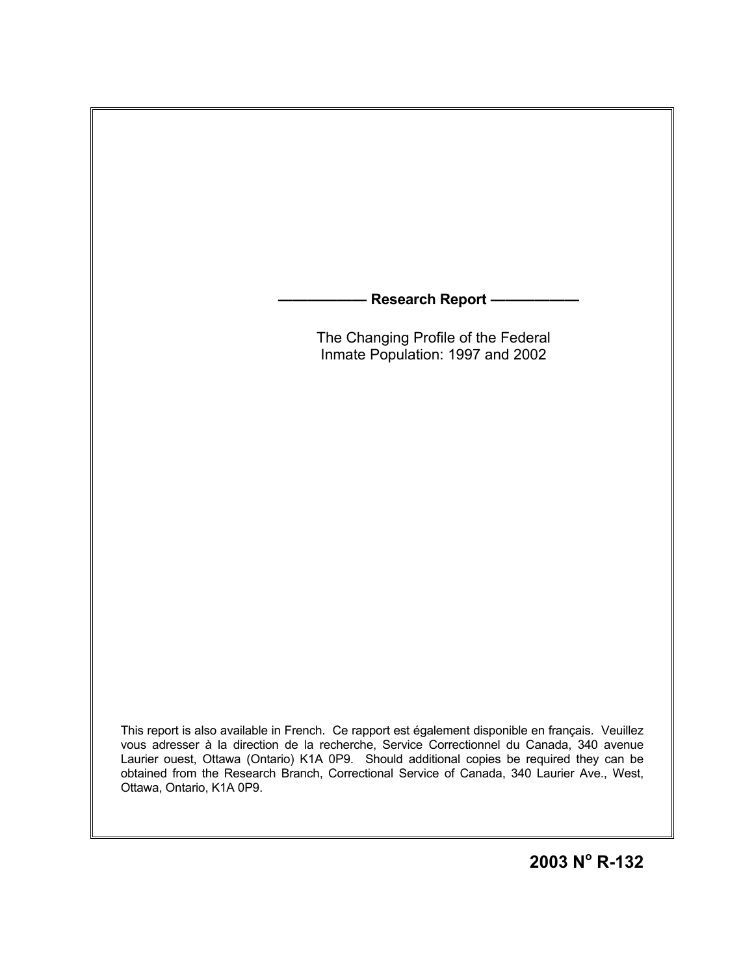**- Research Report –**  The Changing Profile of the Federal Inmate Population: 1997 and 2002

This report is also available in French. Ce rapport est également disponible en français. Veuillez vous adresser à la direction de la recherche, Service Correctionnel du Canada, 340 avenue Laurier ouest, Ottawa (Ontario) K1A 0P9. Should additional copies be required they can be obtained from the Research Branch, Correctional Service of Canada, 340 Laurier Ave., West, Ottawa, Ontario, K1A 0P9.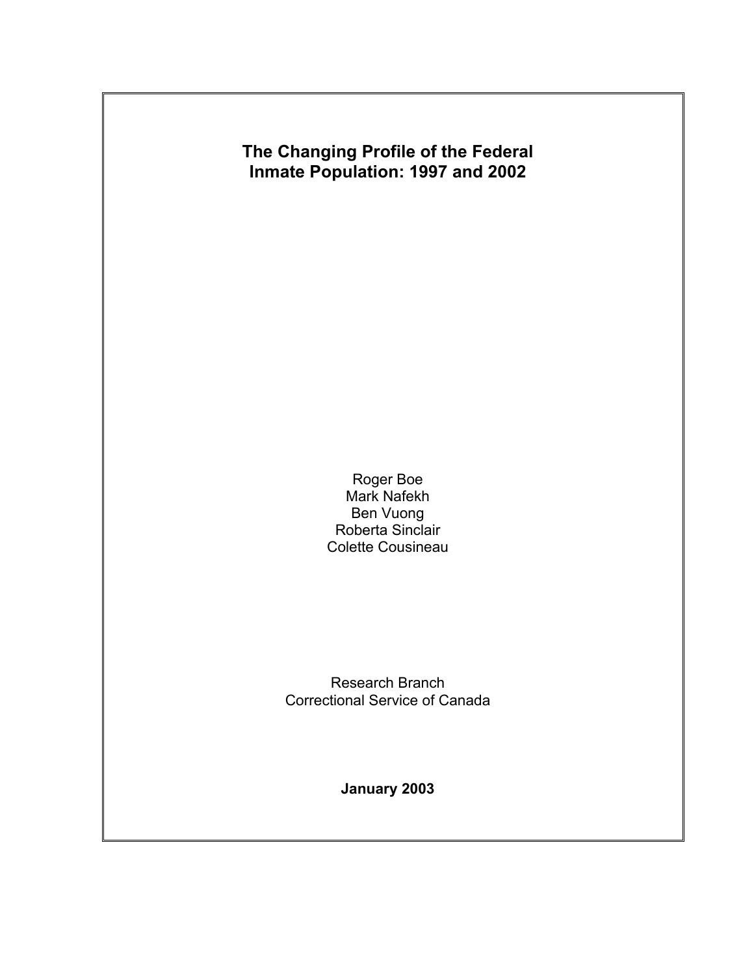

Roger Boe Mark Nafekh Ben Vuong Roberta Sinclair Colette Cousineau

Research Branch Correctional Service of Canada

**January 2003**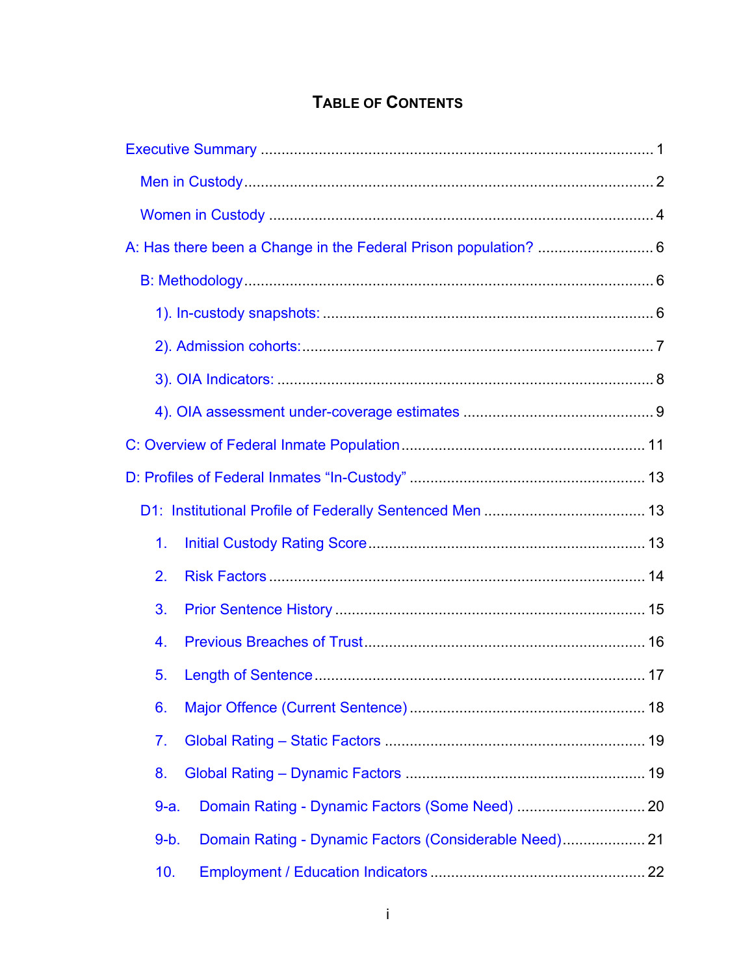# **TABLE OF CONTENTS**

| 1.                                                               |  |
|------------------------------------------------------------------|--|
| 2.                                                               |  |
| 3.                                                               |  |
| 4.                                                               |  |
| 5.                                                               |  |
| 6.                                                               |  |
| 7.                                                               |  |
| 8.                                                               |  |
| $9-a.$                                                           |  |
| Domain Rating - Dynamic Factors (Considerable Need) 21<br>$9-b.$ |  |
| 10.                                                              |  |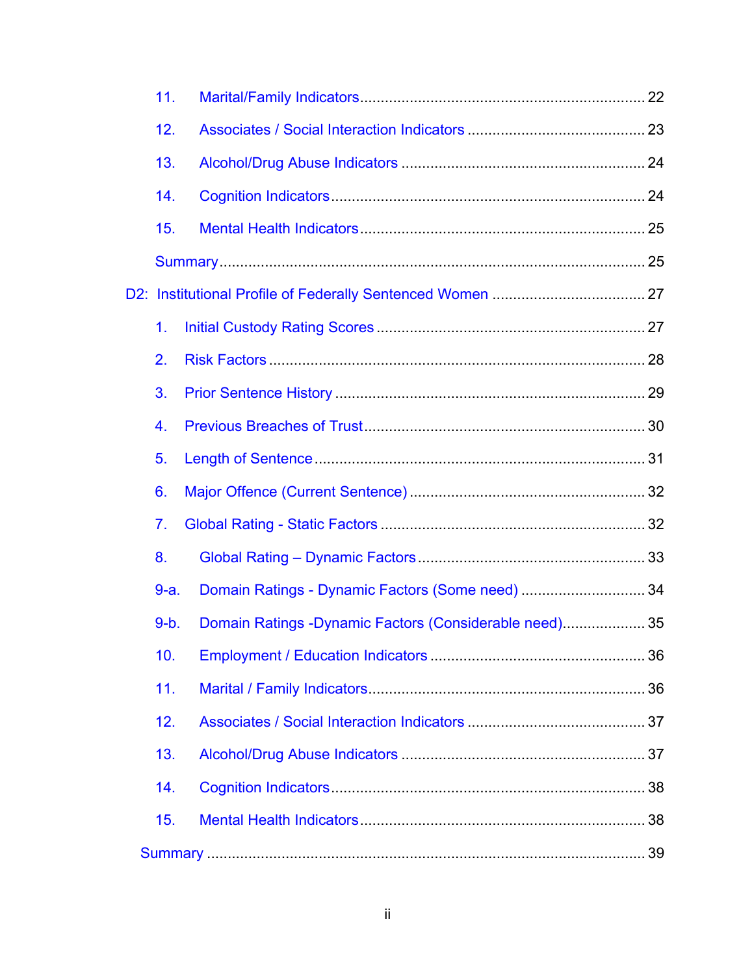| 11.            |                                                         |  |
|----------------|---------------------------------------------------------|--|
| 12.            |                                                         |  |
| 13.            |                                                         |  |
| 14.            |                                                         |  |
| 15.            |                                                         |  |
|                |                                                         |  |
|                |                                                         |  |
| 1.             |                                                         |  |
| 2.             |                                                         |  |
| 3.             |                                                         |  |
| 4.             |                                                         |  |
| 5.             |                                                         |  |
| 6.             |                                                         |  |
| 7 <sub>1</sub> |                                                         |  |
| 8.             |                                                         |  |
| $9-a.$         | Domain Ratings - Dynamic Factors (Some need) 34         |  |
| $9-b.$         | Domain Ratings - Dynamic Factors (Considerable need) 35 |  |
| 10.            |                                                         |  |
| 11.            |                                                         |  |
| 12.            |                                                         |  |
| 13.            |                                                         |  |
| 14.            |                                                         |  |
| 15.            |                                                         |  |
|                |                                                         |  |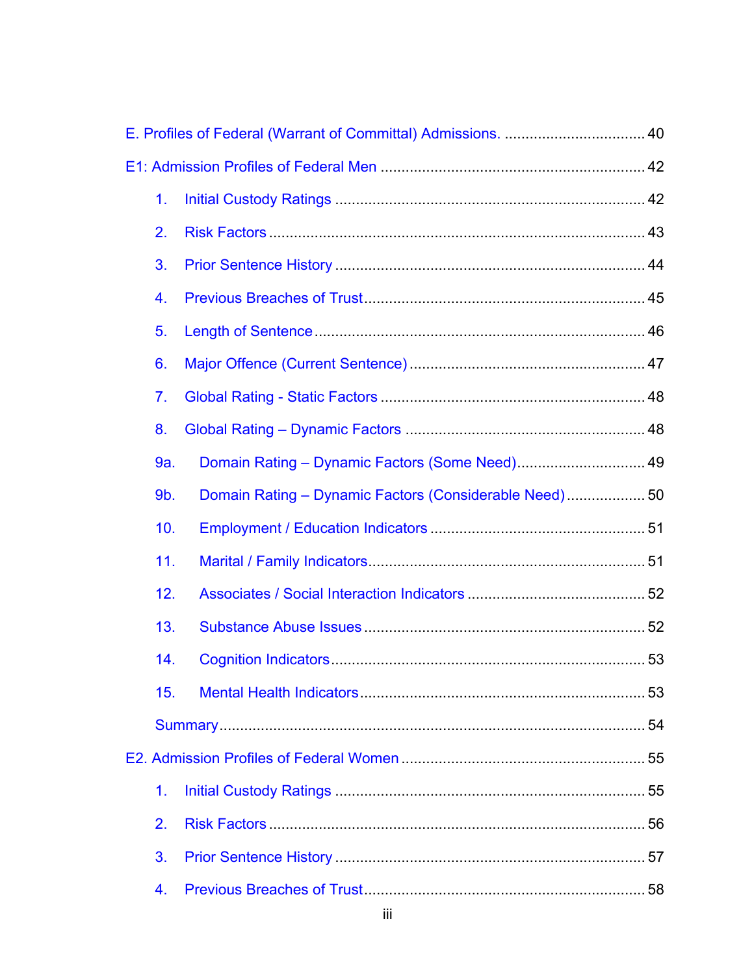| 1.               |                                                        |  |
|------------------|--------------------------------------------------------|--|
| 2.               |                                                        |  |
| 3.               |                                                        |  |
| 4.               |                                                        |  |
| 5.               |                                                        |  |
| 6.               |                                                        |  |
| 7 <sub>1</sub>   |                                                        |  |
| 8.               |                                                        |  |
| 9a.              | Domain Rating - Dynamic Factors (Some Need) 49         |  |
| 9 <sub>b</sub> . | Domain Rating - Dynamic Factors (Considerable Need) 50 |  |
| 10.              |                                                        |  |
| 11.              |                                                        |  |
| 12.              |                                                        |  |
| 13.              |                                                        |  |
| 14.              |                                                        |  |
| 15.              |                                                        |  |
|                  |                                                        |  |
|                  |                                                        |  |
| 1.               |                                                        |  |
| 2.               |                                                        |  |
| 3.               |                                                        |  |
| 4.               |                                                        |  |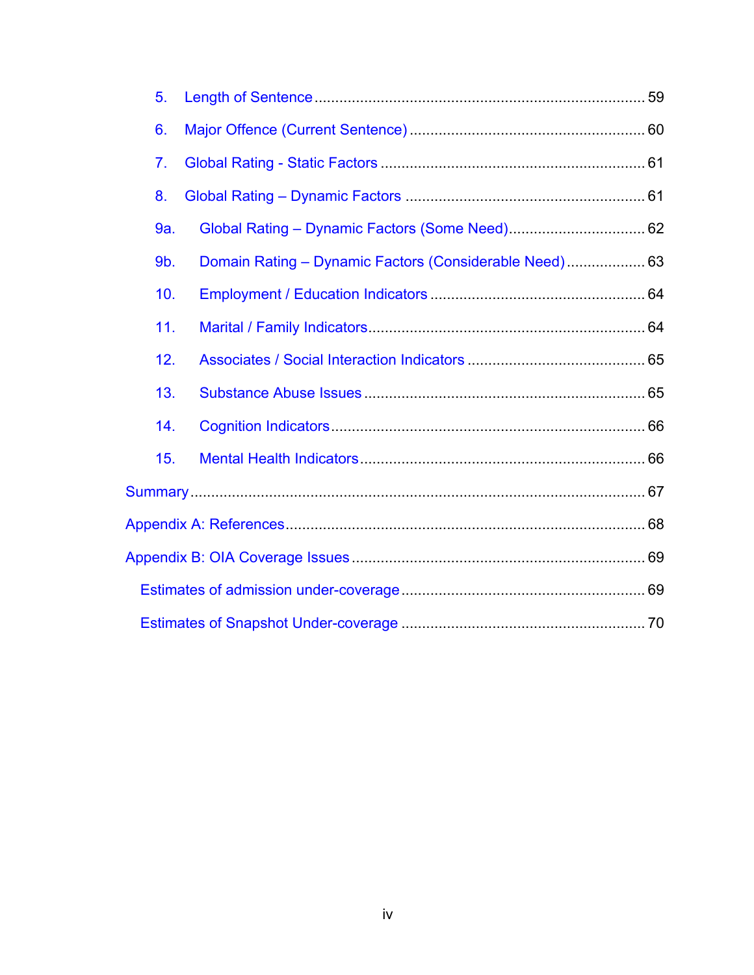| 5.  |                                                        |  |
|-----|--------------------------------------------------------|--|
| 6.  |                                                        |  |
| 7.  |                                                        |  |
| 8.  |                                                        |  |
| 9a. |                                                        |  |
| 9b. | Domain Rating - Dynamic Factors (Considerable Need) 63 |  |
| 10. |                                                        |  |
| 11. |                                                        |  |
| 12. |                                                        |  |
| 13. |                                                        |  |
| 14. |                                                        |  |
| 15. |                                                        |  |
|     |                                                        |  |
|     |                                                        |  |
|     |                                                        |  |
|     |                                                        |  |
|     |                                                        |  |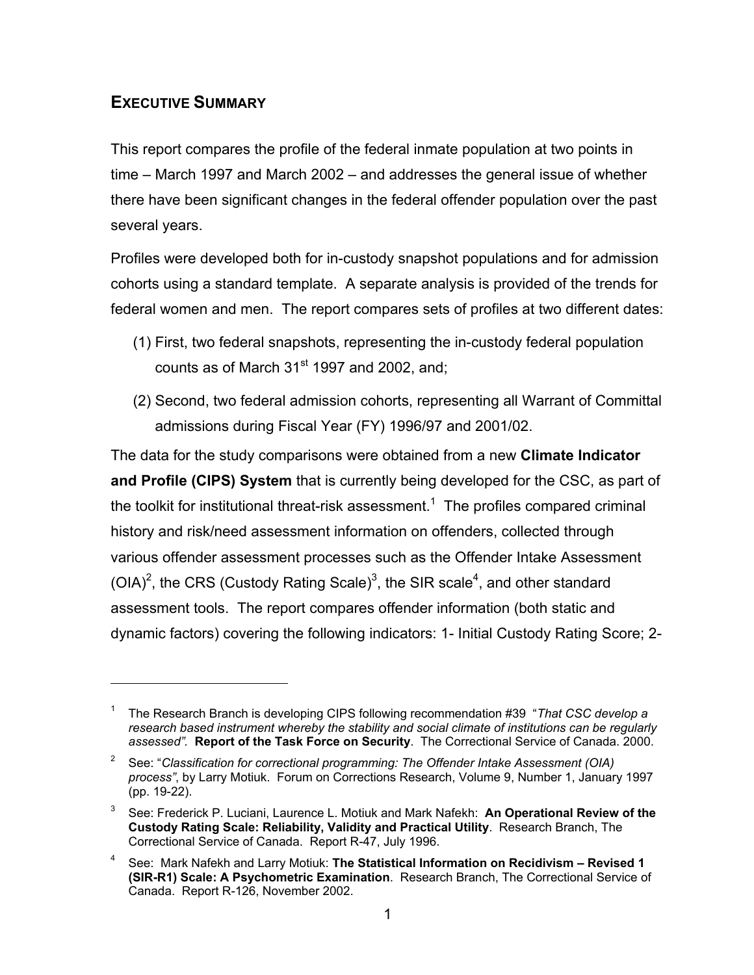## **EXECUTIVE SUMMARY**

 $\overline{a}$ 

This report compares the profile of the federal inmate population at two points in time – March 1997 and March 2002 – and addresses the general issue of whether there have been significant changes in the federal offender population over the past several years.

Profiles were developed both for in-custody snapshot populations and for admission cohorts using a standard template. A separate analysis is provided of the trends for federal women and men. The report compares sets of profiles at two different dates:

- (1) First, two federal snapshots, representing the in-custody federal population counts as of March  $31<sup>st</sup>$  1997 and 2002, and;
- (2) Second, two federal admission cohorts, representing all Warrant of Committal admissions during Fiscal Year (FY) 1996/97 and 2001/02.

The data for the study comparisons were obtained from a new **Climate Indicator and Profile (CIPS) System** that is currently being developed for the CSC, as part of the toolkit for institutional threat-risk assessment.<sup>1</sup> The profiles compared criminal history and risk/need assessment information on offenders, collected through various offender assessment processes such as the Offender Intake Assessment (OIA)<sup>2</sup>, the CRS (Custody Rating Scale)<sup>3</sup>, the SIR scale<sup>4</sup>, and other standard assessment tools. The report compares offender information (both static and dynamic factors) covering the following indicators: 1- Initial Custody Rating Score; 2-

<sup>1</sup> The Research Branch is developing CIPS following recommendation #39 "*That CSC develop a research based instrument whereby the stability and social climate of institutions can be regularly assessed".* **Report of the Task Force on Security**. The Correctional Service of Canada. 2000.

<sup>2</sup> See: "*Classification for correctional programming: The Offender Intake Assessment (OIA) process"*, by Larry Motiuk. Forum on Corrections Research, Volume 9, Number 1, January 1997 (pp. 19-22).

<sup>3</sup> See: Frederick P. Luciani, Laurence L. Motiuk and Mark Nafekh: **An Operational Review of the Custody Rating Scale: Reliability, Validity and Practical Utility**. Research Branch, The Correctional Service of Canada. Report R-47, July 1996.

<sup>4</sup> See: Mark Nafekh and Larry Motiuk: **The Statistical Information on Recidivism – Revised 1 (SIR-R1) Scale: A Psychometric Examination**. Research Branch, The Correctional Service of Canada. Report R-126, November 2002.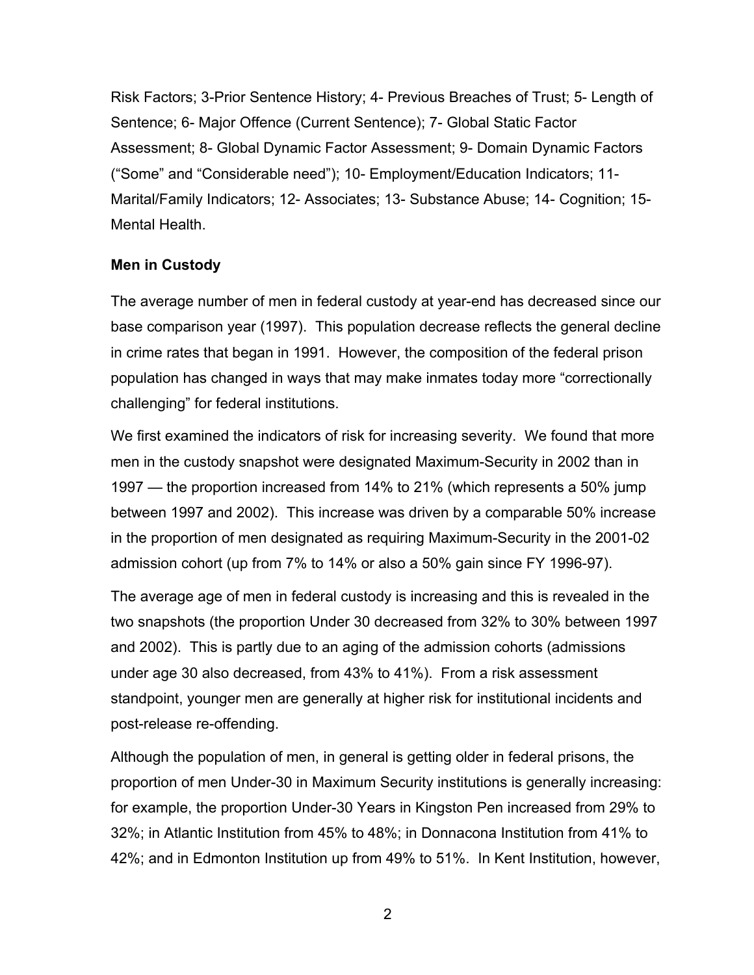Risk Factors; 3-Prior Sentence History; 4- Previous Breaches of Trust; 5- Length of Sentence; 6- Major Offence (Current Sentence); 7- Global Static Factor Assessment; 8- Global Dynamic Factor Assessment; 9- Domain Dynamic Factors ("Some" and "Considerable need"); 10- Employment/Education Indicators; 11- Marital/Family Indicators; 12- Associates; 13- Substance Abuse; 14- Cognition; 15- Mental Health.

## **Men in Custody**

The average number of men in federal custody at year-end has decreased since our base comparison year (1997). This population decrease reflects the general decline in crime rates that began in 1991. However, the composition of the federal prison population has changed in ways that may make inmates today more "correctionally challenging" for federal institutions.

We first examined the indicators of risk for increasing severity. We found that more men in the custody snapshot were designated Maximum-Security in 2002 than in 1997 — the proportion increased from 14% to 21% (which represents a 50% jump between 1997 and 2002). This increase was driven by a comparable 50% increase in the proportion of men designated as requiring Maximum-Security in the 2001-02 admission cohort (up from 7% to 14% or also a 50% gain since FY 1996-97).

The average age of men in federal custody is increasing and this is revealed in the two snapshots (the proportion Under 30 decreased from 32% to 30% between 1997 and 2002). This is partly due to an aging of the admission cohorts (admissions under age 30 also decreased, from 43% to 41%). From a risk assessment standpoint, younger men are generally at higher risk for institutional incidents and post-release re-offending.

Although the population of men, in general is getting older in federal prisons, the proportion of men Under-30 in Maximum Security institutions is generally increasing: for example, the proportion Under-30 Years in Kingston Pen increased from 29% to 32%; in Atlantic Institution from 45% to 48%; in Donnacona Institution from 41% to 42%; and in Edmonton Institution up from 49% to 51%. In Kent Institution, however,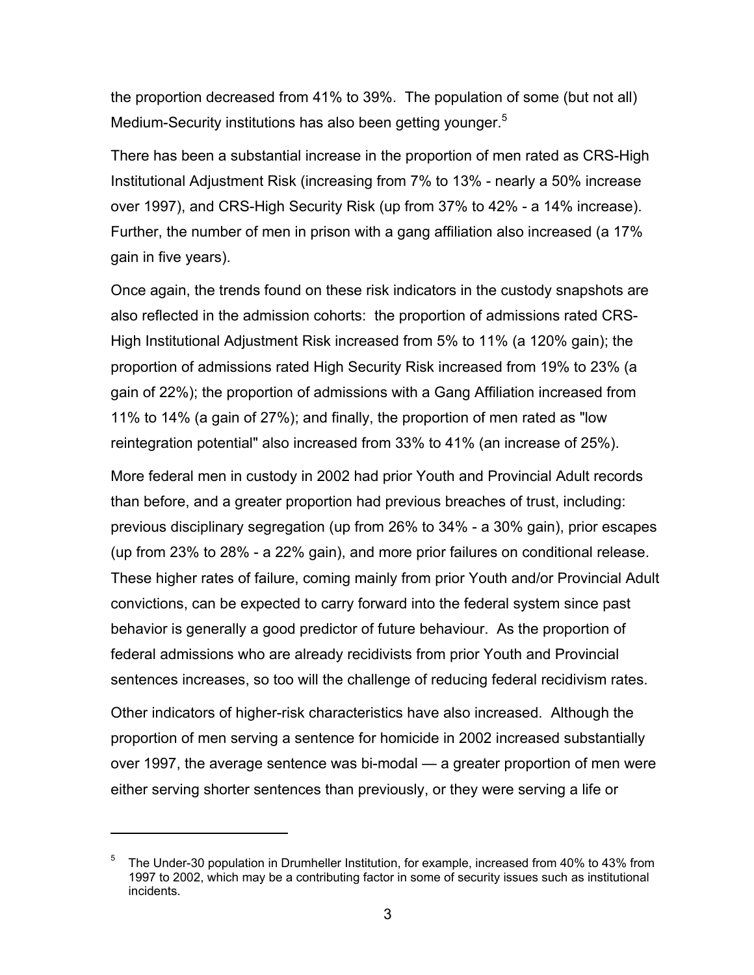the proportion decreased from 41% to 39%. The population of some (but not all) Medium-Security institutions has also been getting younger.<sup>5</sup>

There has been a substantial increase in the proportion of men rated as CRS-High Institutional Adjustment Risk (increasing from 7% to 13% - nearly a 50% increase over 1997), and CRS-High Security Risk (up from 37% to 42% - a 14% increase). Further, the number of men in prison with a gang affiliation also increased (a 17% gain in five years).

Once again, the trends found on these risk indicators in the custody snapshots are also reflected in the admission cohorts: the proportion of admissions rated CRS-High Institutional Adjustment Risk increased from 5% to 11% (a 120% gain); the proportion of admissions rated High Security Risk increased from 19% to 23% (a gain of 22%); the proportion of admissions with a Gang Affiliation increased from 11% to 14% (a gain of 27%); and finally, the proportion of men rated as "low reintegration potential" also increased from 33% to 41% (an increase of 25%).

More federal men in custody in 2002 had prior Youth and Provincial Adult records than before, and a greater proportion had previous breaches of trust, including: previous disciplinary segregation (up from 26% to 34% - a 30% gain), prior escapes (up from 23% to 28% - a 22% gain), and more prior failures on conditional release. These higher rates of failure, coming mainly from prior Youth and/or Provincial Adult convictions, can be expected to carry forward into the federal system since past behavior is generally a good predictor of future behaviour. As the proportion of federal admissions who are already recidivists from prior Youth and Provincial sentences increases, so too will the challenge of reducing federal recidivism rates.

Other indicators of higher-risk characteristics have also increased. Although the proportion of men serving a sentence for homicide in 2002 increased substantially over 1997, the average sentence was bi-modal — a greater proportion of men were either serving shorter sentences than previously, or they were serving a life or

<sup>5</sup> The Under-30 population in Drumheller Institution, for example, increased from 40% to 43% from 1997 to 2002, which may be a contributing factor in some of security issues such as institutional incidents.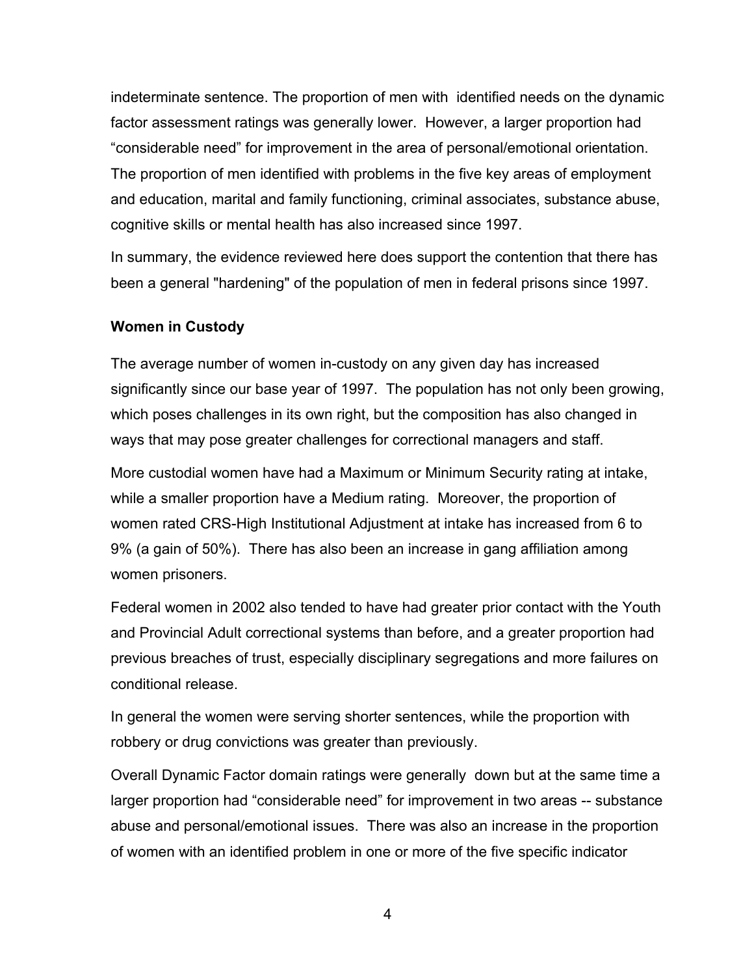indeterminate sentence. The proportion of men with identified needs on the dynamic factor assessment ratings was generally lower. However, a larger proportion had "considerable need" for improvement in the area of personal/emotional orientation. The proportion of men identified with problems in the five key areas of employment and education, marital and family functioning, criminal associates, substance abuse, cognitive skills or mental health has also increased since 1997.

In summary, the evidence reviewed here does support the contention that there has been a general "hardening" of the population of men in federal prisons since 1997.

#### **Women in Custody**

The average number of women in-custody on any given day has increased significantly since our base year of 1997. The population has not only been growing, which poses challenges in its own right, but the composition has also changed in ways that may pose greater challenges for correctional managers and staff.

More custodial women have had a Maximum or Minimum Security rating at intake, while a smaller proportion have a Medium rating. Moreover, the proportion of women rated CRS-High Institutional Adjustment at intake has increased from 6 to 9% (a gain of 50%). There has also been an increase in gang affiliation among women prisoners.

Federal women in 2002 also tended to have had greater prior contact with the Youth and Provincial Adult correctional systems than before, and a greater proportion had previous breaches of trust, especially disciplinary segregations and more failures on conditional release.

In general the women were serving shorter sentences, while the proportion with robbery or drug convictions was greater than previously.

Overall Dynamic Factor domain ratings were generally down but at the same time a larger proportion had "considerable need" for improvement in two areas -- substance abuse and personal/emotional issues. There was also an increase in the proportion of women with an identified problem in one or more of the five specific indicator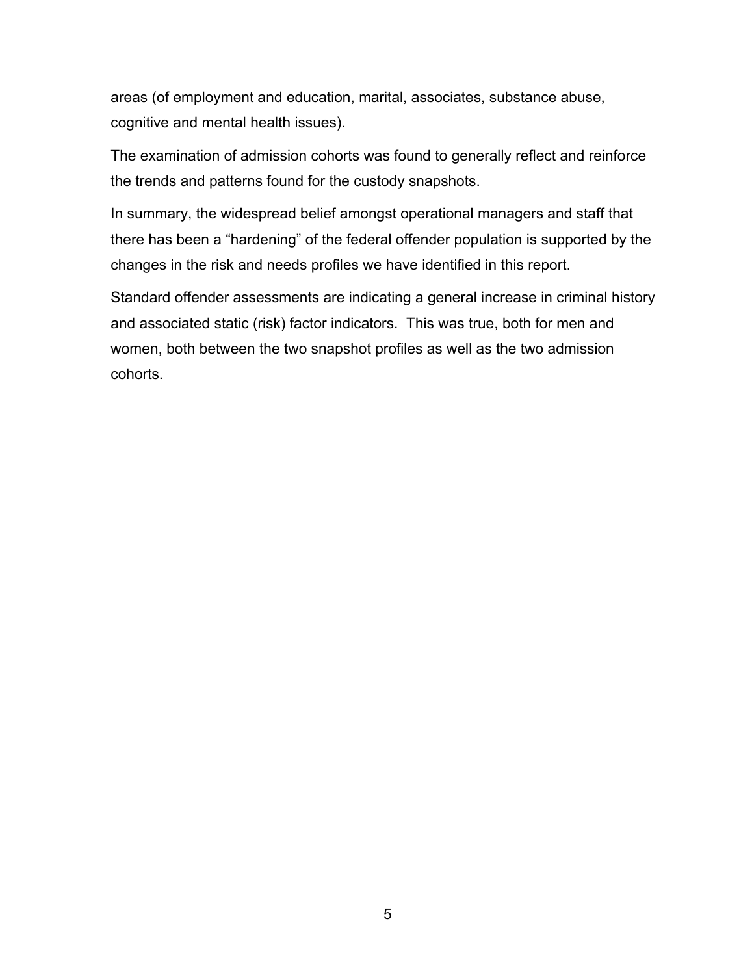areas (of employment and education, marital, associates, substance abuse, cognitive and mental health issues).

The examination of admission cohorts was found to generally reflect and reinforce the trends and patterns found for the custody snapshots.

In summary, the widespread belief amongst operational managers and staff that there has been a "hardening" of the federal offender population is supported by the changes in the risk and needs profiles we have identified in this report.

Standard offender assessments are indicating a general increase in criminal history and associated static (risk) factor indicators. This was true, both for men and women, both between the two snapshot profiles as well as the two admission cohorts.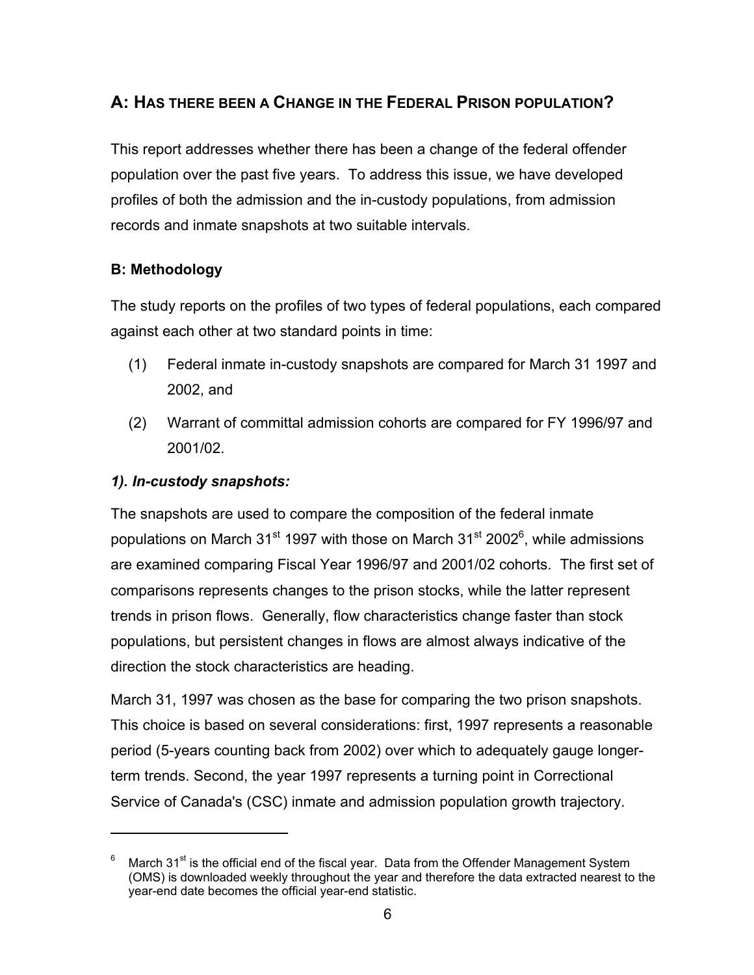# **A: HAS THERE BEEN A CHANGE IN THE FEDERAL PRISON POPULATION?**

This report addresses whether there has been a change of the federal offender population over the past five years. To address this issue, we have developed profiles of both the admission and the in-custody populations, from admission records and inmate snapshots at two suitable intervals.

## **B: Methodology**

The study reports on the profiles of two types of federal populations, each compared against each other at two standard points in time:

- (1) Federal inmate in-custody snapshots are compared for March 31 1997 and 2002, and
- (2) Warrant of committal admission cohorts are compared for FY 1996/97 and 2001/02.

## *1). In-custody snapshots:*

 $\overline{a}$ 

The snapshots are used to compare the composition of the federal inmate populations on March 31<sup>st</sup> 1997 with those on March 31<sup>st</sup> 2002<sup>6</sup>, while admissions are examined comparing Fiscal Year 1996/97 and 2001/02 cohorts. The first set of comparisons represents changes to the prison stocks, while the latter represent trends in prison flows. Generally, flow characteristics change faster than stock populations, but persistent changes in flows are almost always indicative of the direction the stock characteristics are heading.

March 31, 1997 was chosen as the base for comparing the two prison snapshots. This choice is based on several considerations: first, 1997 represents a reasonable period (5-years counting back from 2002) over which to adequately gauge longerterm trends. Second, the year 1997 represents a turning point in Correctional Service of Canada's (CSC) inmate and admission population growth trajectory.

March 31 $\mathrm{st}$  is the official end of the fiscal year. Data from the Offender Management System (OMS) is downloaded weekly throughout the year and therefore the data extracted nearest to the year-end date becomes the official year-end statistic.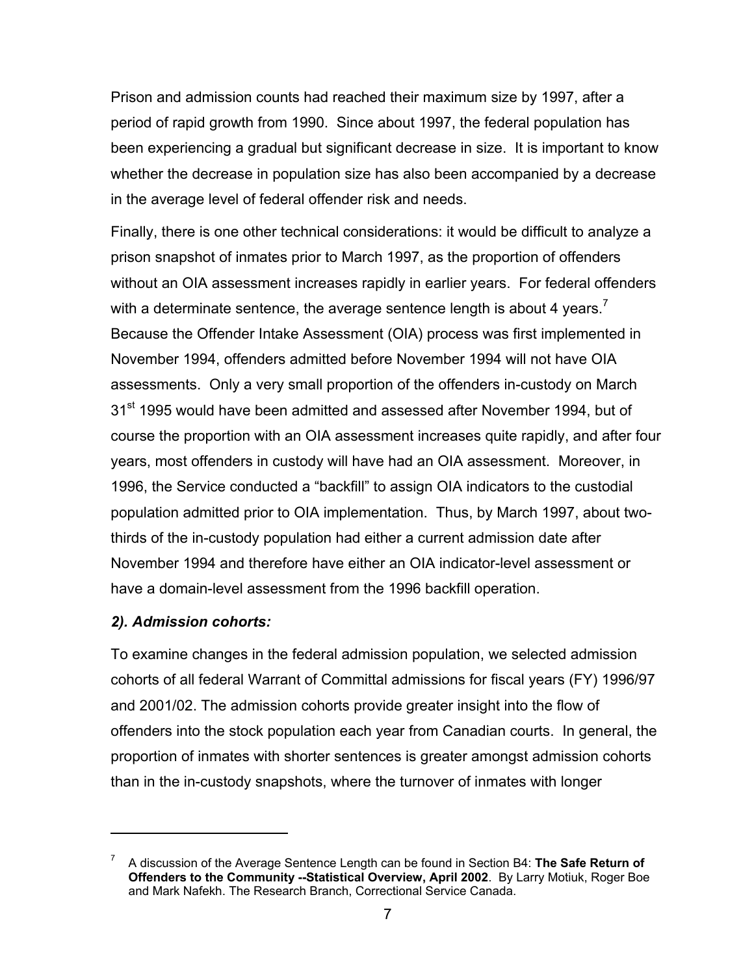Prison and admission counts had reached their maximum size by 1997, after a period of rapid growth from 1990. Since about 1997, the federal population has been experiencing a gradual but significant decrease in size. It is important to know whether the decrease in population size has also been accompanied by a decrease in the average level of federal offender risk and needs.

Finally, there is one other technical considerations: it would be difficult to analyze a prison snapshot of inmates prior to March 1997, as the proportion of offenders without an OIA assessment increases rapidly in earlier years. For federal offenders with a determinate sentence, the average sentence length is about 4 years. $\prime$ Because the Offender Intake Assessment (OIA) process was first implemented in November 1994, offenders admitted before November 1994 will not have OIA assessments. Only a very small proportion of the offenders in-custody on March 31<sup>st</sup> 1995 would have been admitted and assessed after November 1994, but of course the proportion with an OIA assessment increases quite rapidly, and after four years, most offenders in custody will have had an OIA assessment. Moreover, in 1996, the Service conducted a "backfill" to assign OIA indicators to the custodial population admitted prior to OIA implementation. Thus, by March 1997, about twothirds of the in-custody population had either a current admission date after November 1994 and therefore have either an OIA indicator-level assessment or have a domain-level assessment from the 1996 backfill operation.

#### *2). Admission cohorts:*

1

To examine changes in the federal admission population, we selected admission cohorts of all federal Warrant of Committal admissions for fiscal years (FY) 1996/97 and 2001/02. The admission cohorts provide greater insight into the flow of offenders into the stock population each year from Canadian courts. In general, the proportion of inmates with shorter sentences is greater amongst admission cohorts than in the in-custody snapshots, where the turnover of inmates with longer

<sup>7</sup> A discussion of the Average Sentence Length can be found in Section B4: **The Safe Return of Offenders to the Community --Statistical Overview, April 2002**. By Larry Motiuk, Roger Boe and Mark Nafekh. The Research Branch, Correctional Service Canada.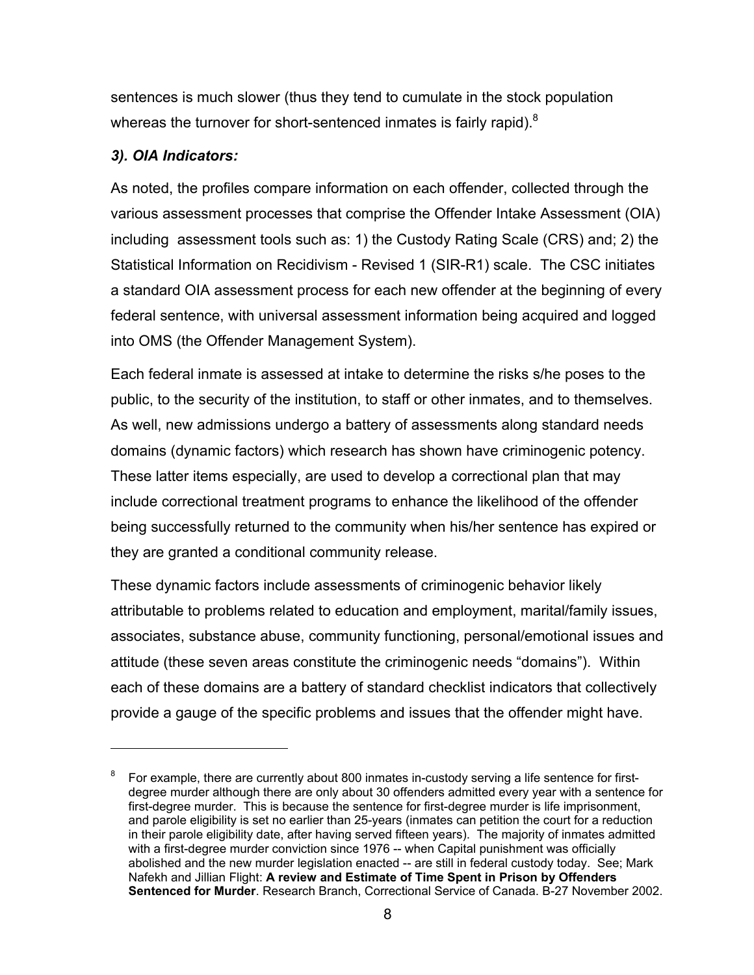sentences is much slower (thus they tend to cumulate in the stock population whereas the turnover for short-sentenced inmates is fairly rapid). $8$ 

### *3). OIA Indicators:*

 $\overline{a}$ 

As noted, the profiles compare information on each offender, collected through the various assessment processes that comprise the Offender Intake Assessment (OIA) including assessment tools such as: 1) the Custody Rating Scale (CRS) and; 2) the Statistical Information on Recidivism - Revised 1 (SIR-R1) scale. The CSC initiates a standard OIA assessment process for each new offender at the beginning of every federal sentence, with universal assessment information being acquired and logged into OMS (the Offender Management System).

Each federal inmate is assessed at intake to determine the risks s/he poses to the public, to the security of the institution, to staff or other inmates, and to themselves. As well, new admissions undergo a battery of assessments along standard needs domains (dynamic factors) which research has shown have criminogenic potency. These latter items especially, are used to develop a correctional plan that may include correctional treatment programs to enhance the likelihood of the offender being successfully returned to the community when his/her sentence has expired or they are granted a conditional community release.

These dynamic factors include assessments of criminogenic behavior likely attributable to problems related to education and employment, marital/family issues, associates, substance abuse, community functioning, personal/emotional issues and attitude (these seven areas constitute the criminogenic needs "domains"). Within each of these domains are a battery of standard checklist indicators that collectively provide a gauge of the specific problems and issues that the offender might have.

<sup>8</sup> For example, there are currently about 800 inmates in-custody serving a life sentence for firstdegree murder although there are only about 30 offenders admitted every year with a sentence for first-degree murder. This is because the sentence for first-degree murder is life imprisonment, and parole eligibility is set no earlier than 25-years (inmates can petition the court for a reduction in their parole eligibility date, after having served fifteen years). The majority of inmates admitted with a first-degree murder conviction since 1976 -- when Capital punishment was officially abolished and the new murder legislation enacted -- are still in federal custody today. See; Mark Nafekh and Jillian Flight: **A review and Estimate of Time Spent in Prison by Offenders Sentenced for Murder**. Research Branch, Correctional Service of Canada. B-27 November 2002.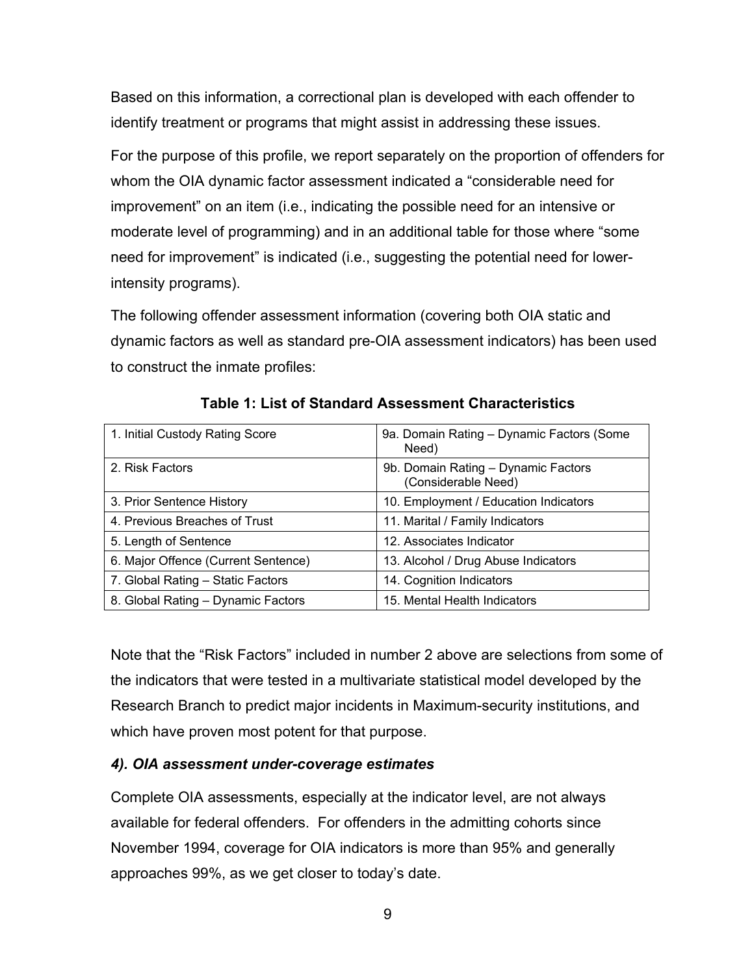Based on this information, a correctional plan is developed with each offender to identify treatment or programs that might assist in addressing these issues.

For the purpose of this profile, we report separately on the proportion of offenders for whom the OIA dynamic factor assessment indicated a "considerable need for improvement" on an item (i.e., indicating the possible need for an intensive or moderate level of programming) and in an additional table for those where "some need for improvement" is indicated (i.e., suggesting the potential need for lowerintensity programs).

The following offender assessment information (covering both OIA static and dynamic factors as well as standard pre-OIA assessment indicators) has been used to construct the inmate profiles:

| 1. Initial Custody Rating Score     | 9a. Domain Rating - Dynamic Factors (Some<br>Need)         |
|-------------------------------------|------------------------------------------------------------|
| 2. Risk Factors                     | 9b. Domain Rating - Dynamic Factors<br>(Considerable Need) |
| 3. Prior Sentence History           | 10. Employment / Education Indicators                      |
| 4. Previous Breaches of Trust       | 11. Marital / Family Indicators                            |
| 5. Length of Sentence               | 12. Associates Indicator                                   |
| 6. Major Offence (Current Sentence) | 13. Alcohol / Drug Abuse Indicators                        |
| 7. Global Rating - Static Factors   | 14. Cognition Indicators                                   |
| 8. Global Rating - Dynamic Factors  | 15. Mental Health Indicators                               |

**Table 1: List of Standard Assessment Characteristics**

Note that the "Risk Factors" included in number 2 above are selections from some of the indicators that were tested in a multivariate statistical model developed by the Research Branch to predict major incidents in Maximum-security institutions, and which have proven most potent for that purpose.

## *4). OIA assessment under-coverage estimates*

Complete OIA assessments, especially at the indicator level, are not always available for federal offenders. For offenders in the admitting cohorts since November 1994, coverage for OIA indicators is more than 95% and generally approaches 99%, as we get closer to today's date.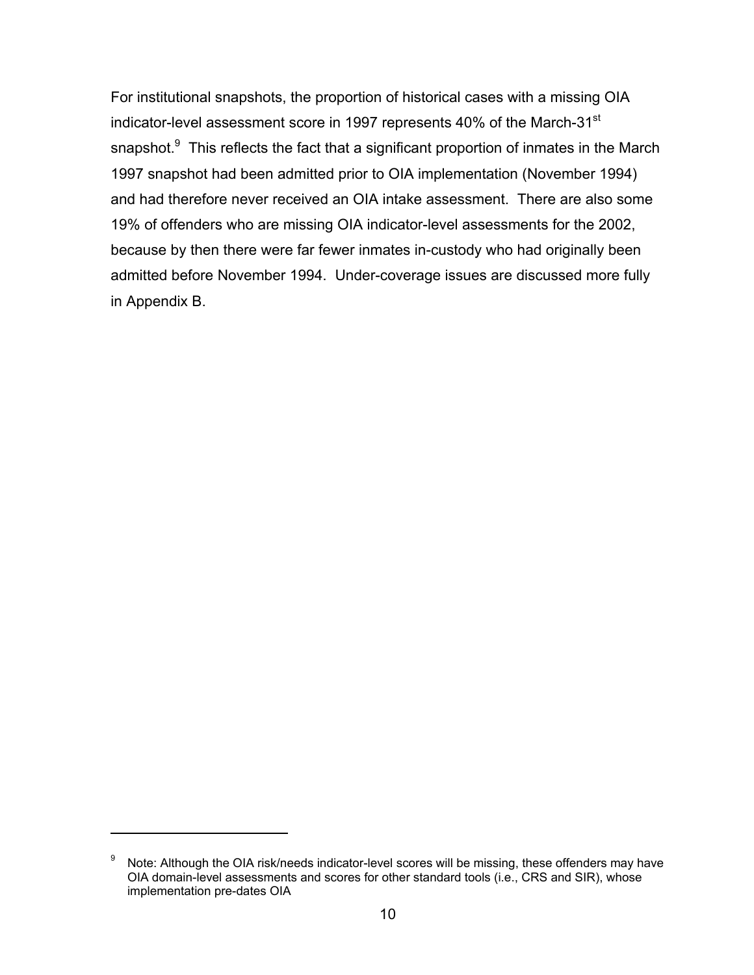For institutional snapshots, the proportion of historical cases with a missing OIA indicator-level assessment score in 1997 represents 40% of the March-31<sup>st</sup> snapshot.<sup>9</sup> This reflects the fact that a significant proportion of inmates in the March 1997 snapshot had been admitted prior to OIA implementation (November 1994) and had therefore never received an OIA intake assessment. There are also some 19% of offenders who are missing OIA indicator-level assessments for the 2002, because by then there were far fewer inmates in-custody who had originally been admitted before November 1994. Under-coverage issues are discussed more fully in Appendix B.

 $\overline{a}$ 

 $9\degree$  Note: Although the OIA risk/needs indicator-level scores will be missing, these offenders may have OIA domain-level assessments and scores for other standard tools (i.e., CRS and SIR), whose implementation pre-dates OIA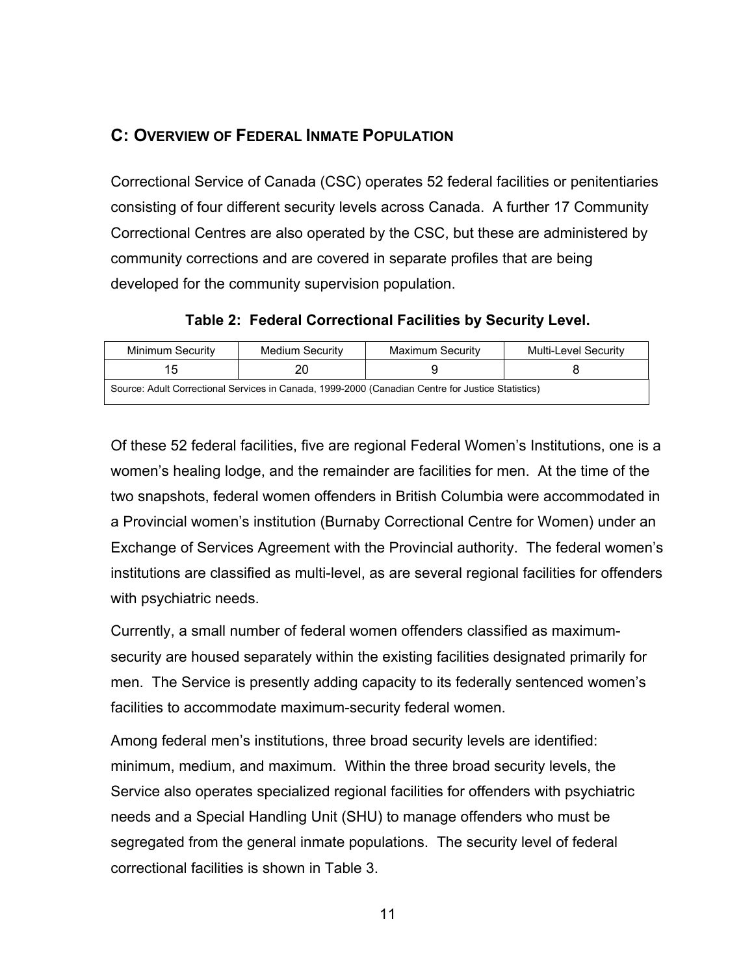# **C: OVERVIEW OF FEDERAL INMATE POPULATION**

Correctional Service of Canada (CSC) operates 52 federal facilities or penitentiaries consisting of four different security levels across Canada. A further 17 Community Correctional Centres are also operated by the CSC, but these are administered by community corrections and are covered in separate profiles that are being developed for the community supervision population.

**Table 2: Federal Correctional Facilities by Security Level.**

| Minimum Security                                                                                  | Medium Security | Maximum Security | Multi-Level Security |  |  |  |
|---------------------------------------------------------------------------------------------------|-----------------|------------------|----------------------|--|--|--|
| ם:ו                                                                                               |                 |                  |                      |  |  |  |
| Source: Adult Correctional Services in Canada, 1999-2000 (Canadian Centre for Justice Statistics) |                 |                  |                      |  |  |  |

Of these 52 federal facilities, five are regional Federal Women's Institutions, one is a women's healing lodge, and the remainder are facilities for men. At the time of the two snapshots, federal women offenders in British Columbia were accommodated in a Provincial women's institution (Burnaby Correctional Centre for Women) under an Exchange of Services Agreement with the Provincial authority. The federal women's institutions are classified as multi-level, as are several regional facilities for offenders with psychiatric needs.

Currently, a small number of federal women offenders classified as maximumsecurity are housed separately within the existing facilities designated primarily for men. The Service is presently adding capacity to its federally sentenced women's facilities to accommodate maximum-security federal women.

Among federal men's institutions, three broad security levels are identified: minimum, medium, and maximum. Within the three broad security levels, the Service also operates specialized regional facilities for offenders with psychiatric needs and a Special Handling Unit (SHU) to manage offenders who must be segregated from the general inmate populations. The security level of federal correctional facilities is shown in Table 3.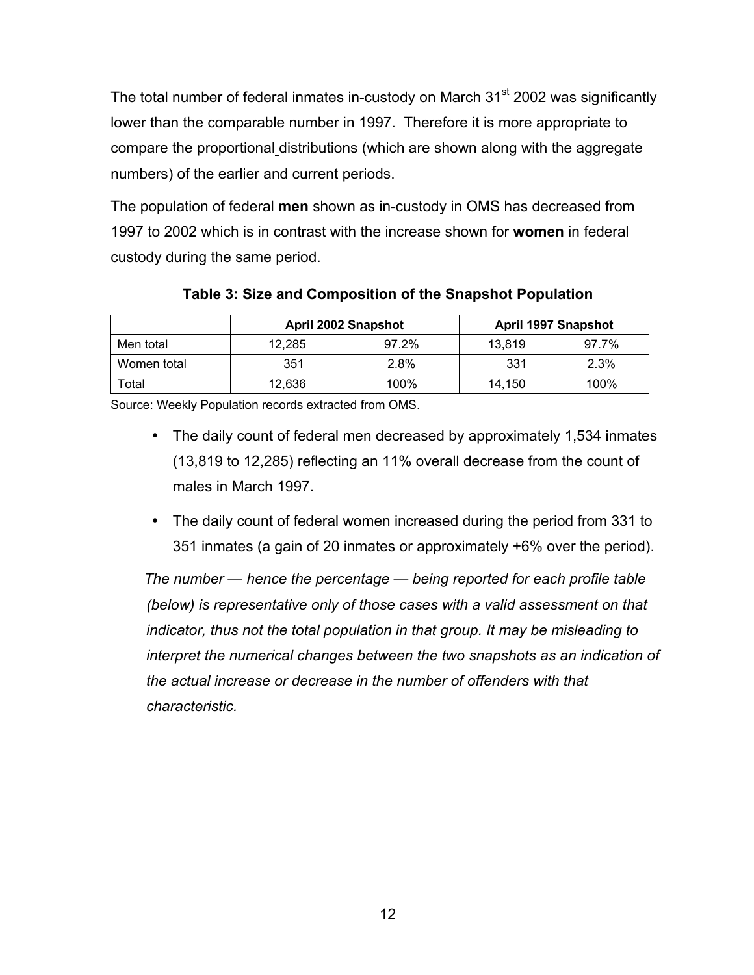The total number of federal inmates in-custody on March 31<sup>st</sup> 2002 was significantly lower than the comparable number in 1997. Therefore it is more appropriate to compare the proportional distributions (which are shown along with the aggregate numbers) of the earlier and current periods.

The population of federal **men** shown as in-custody in OMS has decreased from 1997 to 2002 which is in contrast with the increase shown for **women** in federal custody during the same period.

|             | <b>April 2002 Snapshot</b> |       |        | <b>April 1997 Snapshot</b> |
|-------------|----------------------------|-------|--------|----------------------------|
| Men total   | 12,285                     | 97.2% | 13.819 | 97.7%                      |
| Women total | 351                        | 2.8%  | 331    | 2.3%                       |
| Total       | 12,636                     | 100%  | 14.150 | 100%                       |

**Table 3: Size and Composition of the Snapshot Population**

Source: Weekly Population records extracted from OMS.

- The daily count of federal men decreased by approximately 1,534 inmates (13,819 to 12,285) reflecting an 11% overall decrease from the count of males in March 1997.
- The daily count of federal women increased during the period from 331 to 351 inmates (a gain of 20 inmates or approximately +6% over the period).

*The number — hence the percentage — being reported for each profile table (below) is representative only of those cases with a valid assessment on that indicator, thus not the total population in that group. It may be misleading to interpret the numerical changes between the two snapshots as an indication of the actual increase or decrease in the number of offenders with that characteristic.*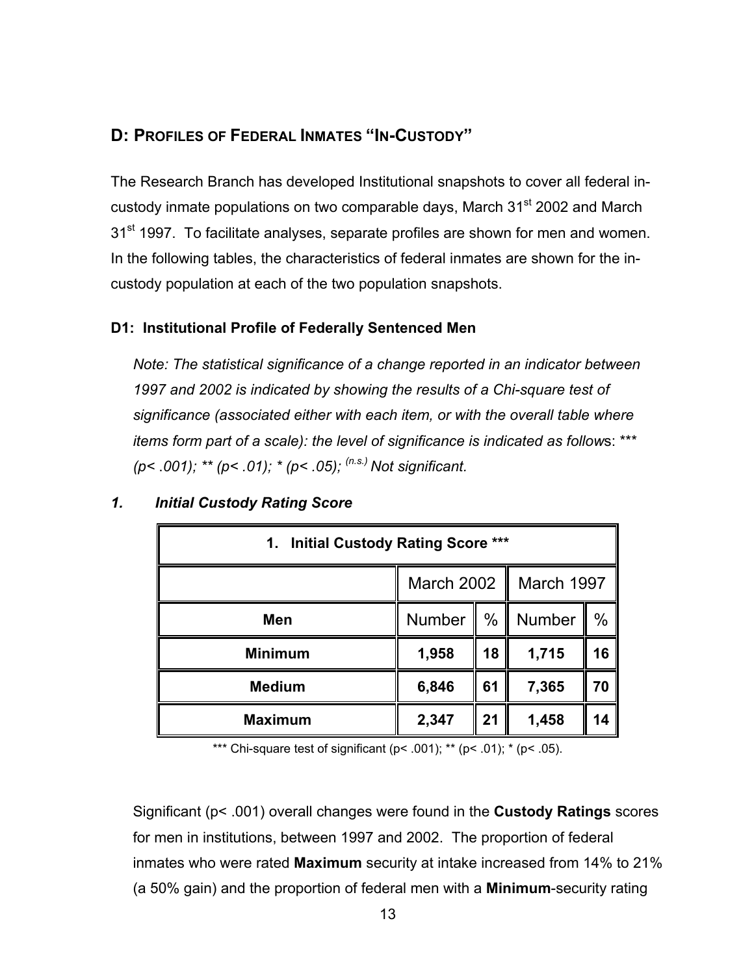# **D: PROFILES OF FEDERAL INMATES "IN-CUSTODY"**

The Research Branch has developed Institutional snapshots to cover all federal incustody inmate populations on two comparable days, March 31<sup>st</sup> 2002 and March 31<sup>st</sup> 1997. To facilitate analyses, separate profiles are shown for men and women. In the following tables, the characteristics of federal inmates are shown for the incustody population at each of the two population snapshots.

## **D1: Institutional Profile of Federally Sentenced Men**

*Note: The statistical significance of a change reported in an indicator between 1997 and 2002 is indicated by showing the results of a Chi-square test of significance (associated either with each item, or with the overall table where items form part of a scale): the level of significance is indicated as follow*s: \*\*\* *(p<* .*001); \*\* (p< .01); \* (p< .05); (n.s.) Not significant.*

| 1. Initial Custody Rating Score *** |                          |    |        |      |  |
|-------------------------------------|--------------------------|----|--------|------|--|
|                                     | March 2002<br>March 1997 |    |        |      |  |
| Men                                 | $\%$<br>Number<br>Ш      |    | Number | $\%$ |  |
| <b>Minimum</b>                      | 1,958                    | 18 | 1,715  | 16   |  |
| <b>Medium</b>                       | 6,846                    | 61 | 7,365  | 70   |  |
| <b>Maximum</b>                      | 2,347                    | 21 | 1,458  | 14   |  |

## *1. Initial Custody Rating Score*

\*\*\* Chi-square test of significant ( $p$  < .001); \*\* ( $p$  < .01); \* ( $p$  < .05).

Significant (p< .001) overall changes were found in the **Custody Ratings** scores for men in institutions, between 1997 and 2002. The proportion of federal inmates who were rated **Maximum** security at intake increased from 14% to 21% (a 50% gain) and the proportion of federal men with a **Minimum**-security rating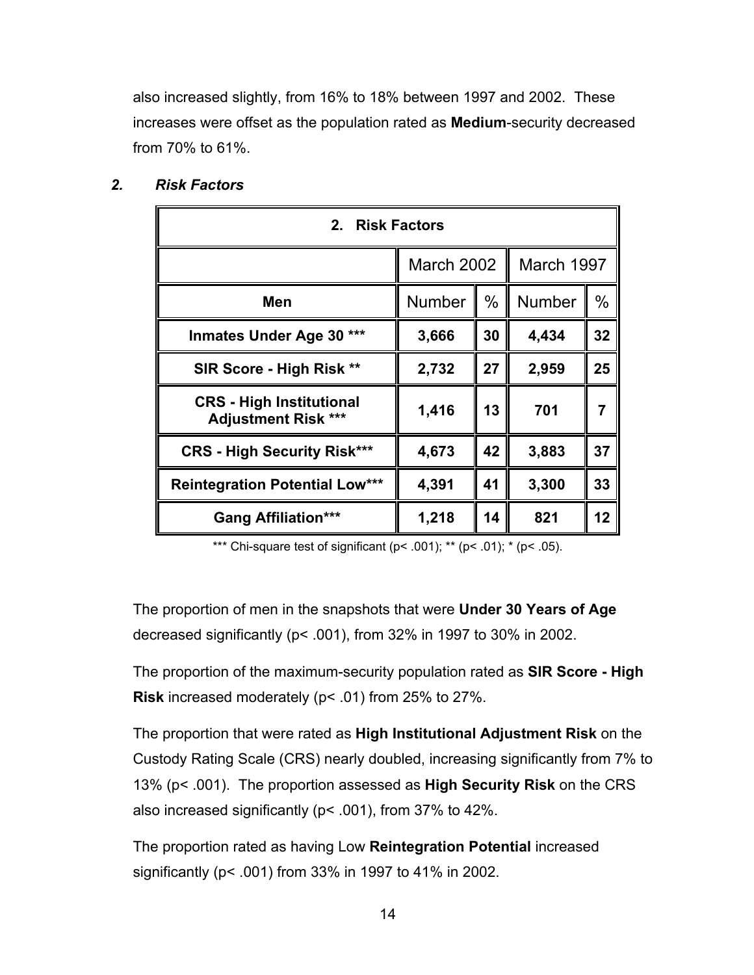also increased slightly, from 16% to 18% between 1997 and 2002. These increases were offset as the population rated as **Medium**-security decreased from 70% to 61%.

| 2. Risk Factors                                               |        |                          |       |      |
|---------------------------------------------------------------|--------|--------------------------|-------|------|
|                                                               |        | March 1997<br>March 2002 |       |      |
| Men                                                           | Number | $\%$                     |       | $\%$ |
| <b>Inmates Under Age 30</b><br>***                            | 3,666  | 30                       | 4,434 | 32   |
| SIR Score - High Risk **                                      | 2,732  | 27                       | 2,959 | 25   |
| <b>CRS</b> - High Institutional<br><b>Adjustment Risk ***</b> | 1,416  | 13                       | 701   | 7    |
| <b>CRS - High Security Risk***</b>                            | 4,673  | 42                       | 3,883 | 37   |
| <b>Reintegration Potential Low***</b>                         | 4,391  | 41                       | 3,300 | 33   |
| <b>Gang Affiliation***</b>                                    | 1,218  | 14                       | 821   | 12   |

## *2. Risk Factors*

\*\*\* Chi-square test of significant ( $p$ < .001); \*\* ( $p$ < .01); \* ( $p$ < .05).

The proportion of men in the snapshots that were **Under 30 Years of Age** decreased significantly (p< .001), from 32% in 1997 to 30% in 2002.

The proportion of the maximum-security population rated as **SIR Score - High Risk** increased moderately (p< .01) from 25% to 27%.

The proportion that were rated as **High Institutional Adjustment Risk** on the Custody Rating Scale (CRS) nearly doubled, increasing significantly from 7% to 13% (p< .001). The proportion assessed as **High Security Risk** on the CRS also increased significantly (p< .001), from 37% to 42%.

The proportion rated as having Low **Reintegration Potential** increased significantly (p< .001) from 33% in 1997 to 41% in 2002.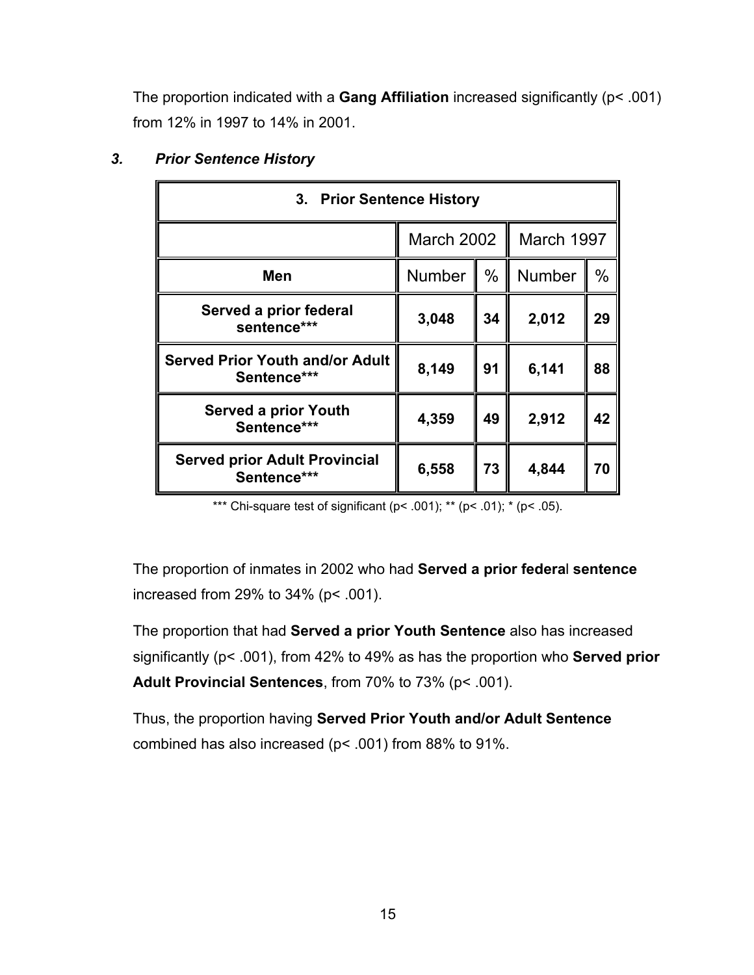The proportion indicated with a **Gang Affiliation** increased significantly (p< .001) from 12% in 1997 to 14% in 2001.

| 3. Prior Sentence History                             |                                 |      |               |      |
|-------------------------------------------------------|---------------------------------|------|---------------|------|
|                                                       | March 1997<br><b>March 2002</b> |      |               |      |
| Men                                                   | <b>Number</b>                   | $\%$ | <b>Number</b> | $\%$ |
| Served a prior federal<br>sentence***                 | 3,048                           | 34   | 2,012         | 29   |
| <b>Served Prior Youth and/or Adult</b><br>Sentence*** | 8,149                           | 91   | 6,141         | 88   |
| <b>Served a prior Youth</b><br>Sentence***            | 4,359                           | 49   | 2,912         | 42   |
| <b>Served prior Adult Provincial</b><br>Sentence***   | 6,558                           | 73   | 4,844         | 70   |

## *3. Prior Sentence History*

\*\*\* Chi-square test of significant ( $p$ < .001); \*\* ( $p$ < .01); \* ( $p$ < .05).

The proportion of inmates in 2002 who had **Served a prior federa**l **sentence** increased from 29% to 34% (p< .001).

The proportion that had **Served a prior Youth Sentence** also has increased significantly (p< .001), from 42% to 49% as has the proportion who **Served prior Adult Provincial Sentences**, from 70% to 73% (p< .001).

Thus, the proportion having **Served Prior Youth and/or Adult Sentence** combined has also increased (p< .001) from 88% to 91%.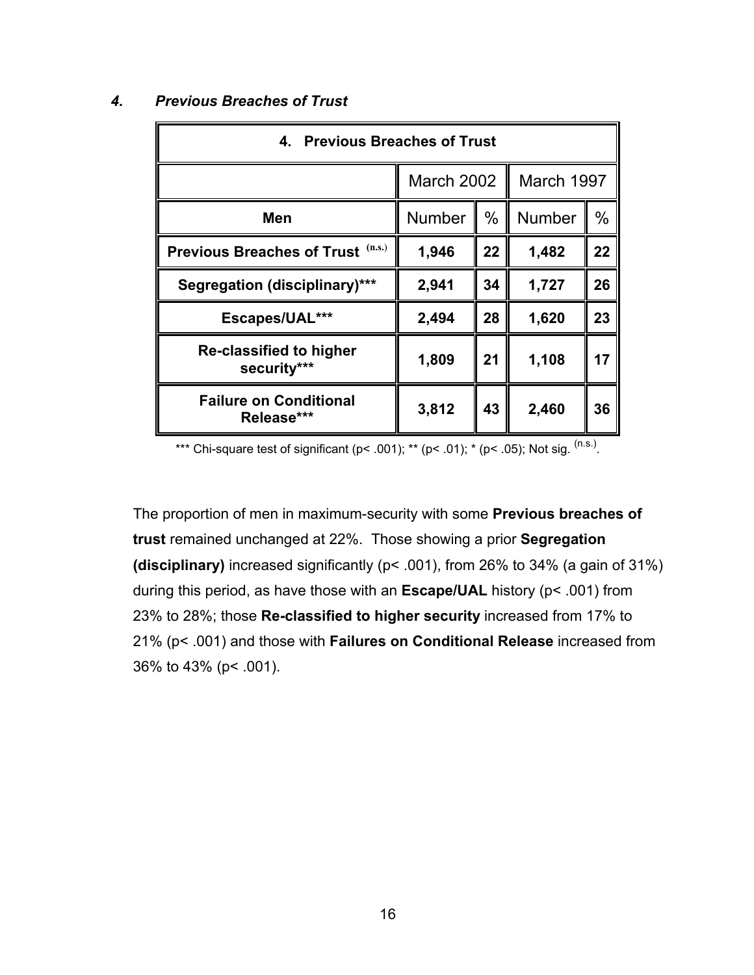| 4. Previous Breaches of Trust               |               |            |        |      |  |
|---------------------------------------------|---------------|------------|--------|------|--|
|                                             | March 2002    | March 1997 |        |      |  |
| Men                                         | <b>Number</b> | %          | Number | $\%$ |  |
| (n.s.)<br><b>Previous Breaches of Trust</b> | 1,946         | 22         | 1,482  | 22   |  |
| <b>Segregation (disciplinary)***</b>        | 2,941         | 34         | 1,727  | 26   |  |
| Escapes/UAL***                              | 2,494         | 28         | 1,620  | 23   |  |
| Re-classified to higher<br>security***      | 1,809         | 21         | 1,108  | 17   |  |
| <b>Failure on Conditional</b><br>Release*** | 3,812         | 43         | 2,460  | 36   |  |

#### *4. Previous Breaches of Trust*

\*\*\* Chi-square test of significant (p< .001); \*\* (p< .01); \* (p< .05); Not sig.  $(ns.)$ .

The proportion of men in maximum-security with some **Previous breaches of trust** remained unchanged at 22%. Those showing a prior **Segregation (disciplinary)** increased significantly (p< .001), from 26% to 34% (a gain of 31%) during this period, as have those with an **Escape/UAL** history (p< .001) from 23% to 28%; those **Re-classified to higher security** increased from 17% to 21% (p< .001) and those with **Failures on Conditional Release** increased from 36% to 43% (p< .001).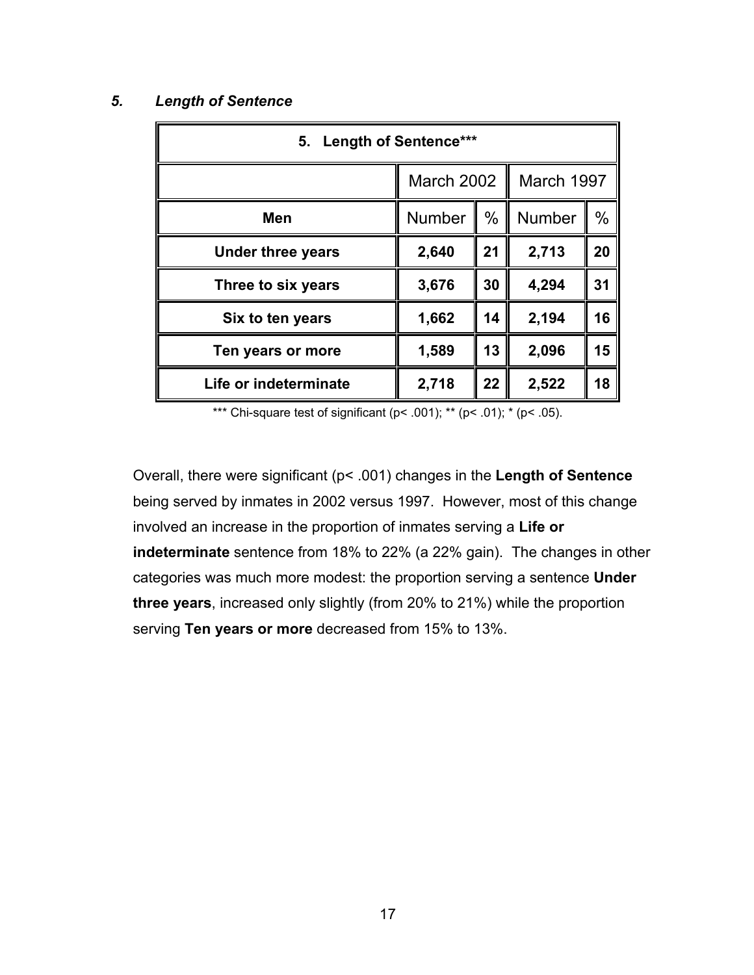#### *5. Length of Sentence*

| 5. Length of Sentence*** |                                 |      |               |      |
|--------------------------|---------------------------------|------|---------------|------|
|                          | <b>March 2002</b><br>March 1997 |      |               |      |
| <b>Men</b>               | <b>Number</b>                   | $\%$ | <b>Number</b> | $\%$ |
| <b>Under three years</b> | 2,640                           | 21   | 2,713         | 20   |
| Three to six years       | 3,676                           | 30   | 4,294         | 31   |
| Six to ten years         | 1,662                           | 14   | 2,194         | 16   |
| Ten years or more        | 1,589                           | 13   | 2,096         | 15   |
| Life or indeterminate    | 2,718                           | 22   | 2,522         | 18   |

\*\*\* Chi-square test of significant ( $p$ < .001); \*\* ( $p$ < .01); \* ( $p$ < .05).

Overall, there were significant (p< .001) changes in the **Length of Sentence** being served by inmates in 2002 versus 1997. However, most of this change involved an increase in the proportion of inmates serving a **Life or indeterminate** sentence from 18% to 22% (a 22% gain). The changes in other categories was much more modest: the proportion serving a sentence **Under three years**, increased only slightly (from 20% to 21%) while the proportion serving **Ten years or more** decreased from 15% to 13%.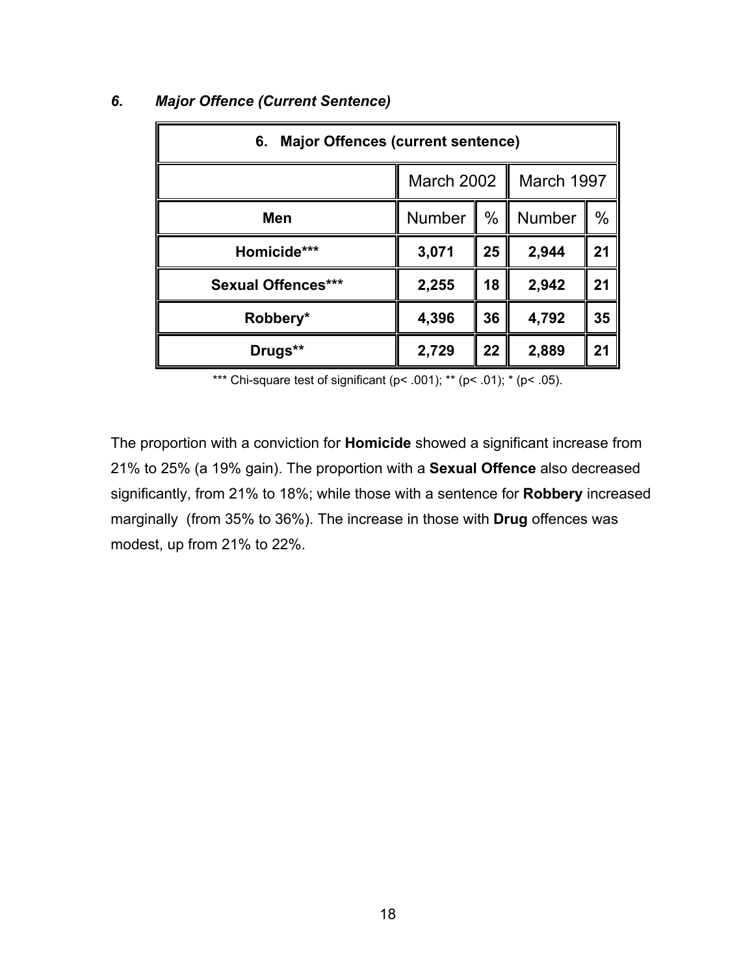| <b>Major Offences (current sentence)</b><br>6. |                                 |      |               |      |
|------------------------------------------------|---------------------------------|------|---------------|------|
|                                                | March 1997<br><b>March 2002</b> |      |               |      |
| <b>Men</b>                                     | Number                          | $\%$ | <b>Number</b> | $\%$ |
| Homicide***                                    | 3,071                           | 25   | 2,944         | 21   |
| <b>Sexual Offences***</b>                      | 2,255                           | 18   | 2,942         | 21   |
| Robbery*                                       | 4,396                           | 36   | 4,792         | 35   |
| Drugs**                                        | 2,729                           | 22   | 2,889         | 21   |

#### *6. Major Offence (Current Sentence)*

\*\*\* Chi-square test of significant (p< .001); \*\* (p< .01); \* (p< .05).

The proportion with a conviction for **Homicide** showed a significant increase from 21% to 25% (a 19% gain). The proportion with a **Sexual Offence** also decreased significantly, from 21% to 18%; while those with a sentence for **Robbery** increased marginally (from 35% to 36%). The increase in those with **Drug** offences was modest, up from 21% to 22%.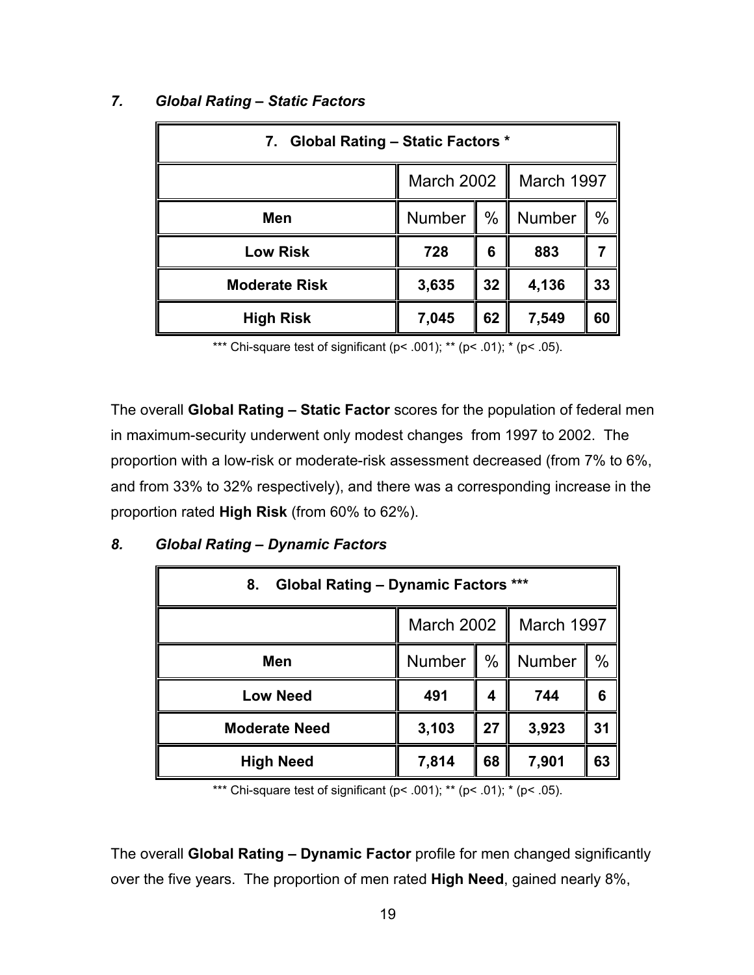| 7. Global Rating - Static Factors * |                          |      |        |               |
|-------------------------------------|--------------------------|------|--------|---------------|
|                                     | March 2002<br>March 1997 |      |        |               |
| Men                                 | Number                   | $\%$ | Number | $\frac{0}{0}$ |
| <b>Low Risk</b>                     | 728                      | 6    | 883    |               |
| <b>Moderate Risk</b>                | 3,635                    | 32   | 4,136  | 33            |
| <b>High Risk</b>                    | 7,045                    | 62   | 7,549  | 60            |

#### *7. Global Rating – Static Factors*

\*\*\* Chi-square test of significant ( $p$  < .001); \*\* ( $p$  < .01); \* ( $p$  < .05).

The overall **Global Rating – Static Factor** scores for the population of federal men in maximum-security underwent only modest changes from 1997 to 2002. The proportion with a low-risk or moderate-risk assessment decreased (from 7% to 6%, and from 33% to 32% respectively), and there was a corresponding increase in the proportion rated **High Risk** (from 60% to 62%).

| <b>Global Rating - Dynamic Factors ***</b><br>8. |                                 |      |        |      |  |
|--------------------------------------------------|---------------------------------|------|--------|------|--|
|                                                  | March 1997<br><b>March 2002</b> |      |        |      |  |
| Men                                              | <b>Number</b><br>Ш              | $\%$ | Number | $\%$ |  |
| <b>Low Need</b>                                  | 491                             | 4    | 744    | 6    |  |
| <b>Moderate Need</b>                             | 3,103                           | 27   | 3,923  | 31   |  |
| <b>High Need</b>                                 | 7,814                           | 68   | 7,901  | 63   |  |

# *8. Global Rating – Dynamic Factors*

\*\*\* Chi-square test of significant ( $p$ < .001); \*\* ( $p$ < .01); \* ( $p$ < .05).

The overall **Global Rating – Dynamic Factor** profile for men changed significantly over the five years. The proportion of men rated **High Need**, gained nearly 8%,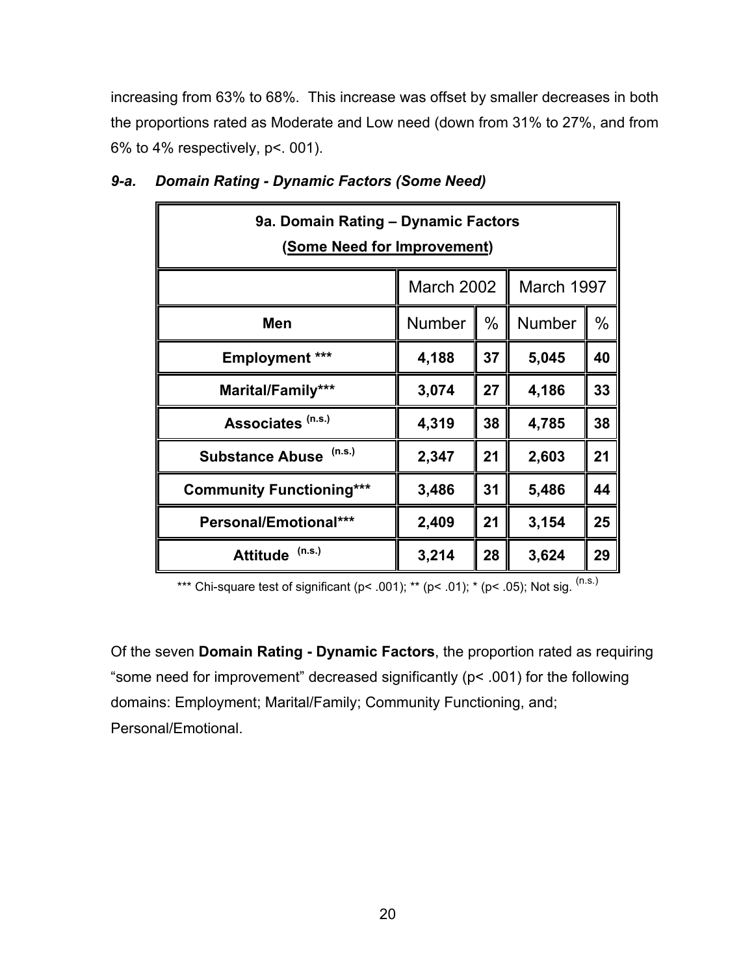increasing from 63% to 68%. This increase was offset by smaller decreases in both the proportions rated as Moderate and Low need (down from 31% to 27%, and from 6% to 4% respectively, p<. 001).

| 9a. Domain Rating - Dynamic Factors<br>(Some Need for Improvement) |               |      |        |      |
|--------------------------------------------------------------------|---------------|------|--------|------|
| March 1997<br><b>March 2002</b>                                    |               |      |        |      |
| Men                                                                | <b>Number</b> | $\%$ | Number | $\%$ |
| <b>Employment ***</b>                                              | 4,188         | 37   | 5,045  | 40   |
| Marital/Family***                                                  | 3,074         | 27   | 4,186  | 33   |
| Associates <sup>(n.s.)</sup>                                       | 4,319         | 38   | 4,785  | 38   |
| (n.s.)<br><b>Substance Abuse</b>                                   | 2,347         | 21   | 2,603  | 21   |
| <b>Community Functioning***</b>                                    | 3,486         | 31   | 5,486  | 44   |
| Personal/Emotional***                                              | 2,409         | 21   | 3,154  | 25   |
| (n.s.)<br><b>Attitude</b>                                          | 3,214         | 28   | 3,624  | 29   |

## *9-a. Domain Rating - Dynamic Factors (Some Need)*

\*\*\* Chi-square test of significant (p< .001); \*\* (p< .01); \* (p< .05); Not sig.  $(n.s.)$ 

Of the seven **Domain Rating - Dynamic Factors**, the proportion rated as requiring "some need for improvement" decreased significantly (p< .001) for the following domains: Employment; Marital/Family; Community Functioning, and; Personal/Emotional.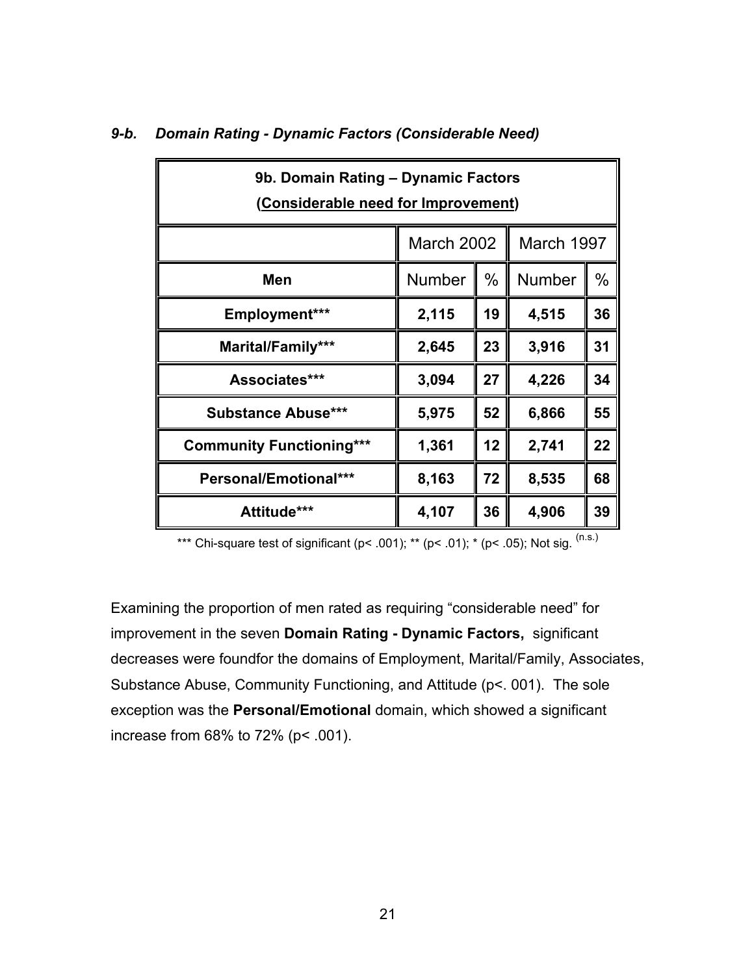| 9b. Domain Rating - Dynamic Factors<br>(Considerable need for Improvement) |                          |      |               |    |
|----------------------------------------------------------------------------|--------------------------|------|---------------|----|
|                                                                            | March 1997<br>March 2002 |      |               |    |
| Men                                                                        | Number                   | $\%$ | <b>Number</b> | %  |
| Employment***                                                              | 2,115                    | 19   | 4,515         | 36 |
| Marital/Family***                                                          | 2,645                    | 23   | 3,916         | 31 |
| Associates***                                                              | 3,094                    | 27   | 4,226         | 34 |
| <b>Substance Abuse***</b>                                                  | 5,975                    | 52   | 6,866         | 55 |
| <b>Community Functioning***</b>                                            | 1,361                    | 12   | 2,741         | 22 |
| <b>Personal/Emotional***</b>                                               | 8,163                    | 72   | 8,535         | 68 |
| Attitude***                                                                | 4,107                    | 36   | 4,906         | 39 |

### *9-b. Domain Rating - Dynamic Factors (Considerable Need)*

\*\*\* Chi-square test of significant (p< .001); \*\* (p< .01); \* (p< .05); Not sig.  $^{(n.s.)}$ 

Examining the proportion of men rated as requiring "considerable need" for improvement in the seven **Domain Rating - Dynamic Factors,** significant decreases were foundfor the domains of Employment, Marital/Family, Associates, Substance Abuse, Community Functioning, and Attitude (p<. 001). The sole exception was the **Personal/Emotional** domain, which showed a significant increase from 68% to 72% (p< .001).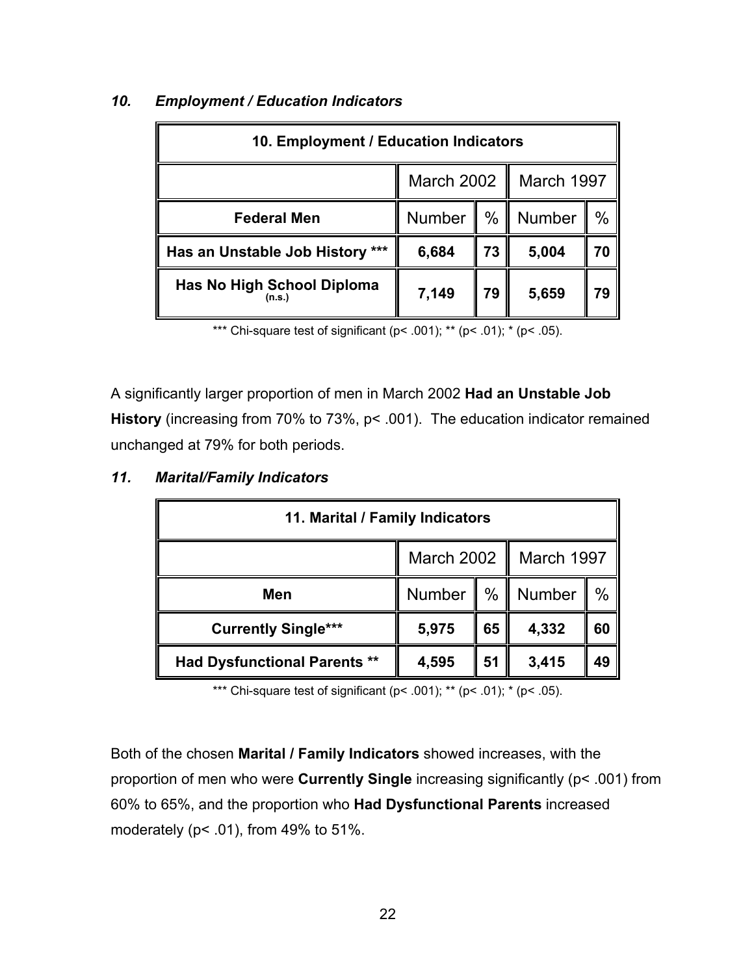| 10. Employment / Education Indicators       |                                         |    |            |    |
|---------------------------------------------|-----------------------------------------|----|------------|----|
|                                             | March 2002<br>$\mathbf l$<br>March 1997 |    |            |    |
| <b>Federal Men</b>                          | Number                                  |    | %   Number | ℅  |
| ***<br>Has an Unstable Job History          | 6,684                                   | 73 | 5,004      | 70 |
| <b>Has No High School Diploma</b><br>(n.s.) | 7,149                                   | 79 | 5,659      | 79 |

### *10. Employment / Education Indicators*

\*\*\* Chi-square test of significant ( $p$ < .001); \*\* ( $p$ < .01); \* ( $p$ < .05).

A significantly larger proportion of men in March 2002 **Had an Unstable Job History** (increasing from 70% to 73%, p< .001). The education indicator remained unchanged at 79% for both periods.

| 11. Marital / Family Indicators     |                               |    |        |      |  |
|-------------------------------------|-------------------------------|----|--------|------|--|
|                                     | March 2002<br>March 1997<br>Ш |    |        |      |  |
| Men                                 | Number $\ $ % $\ $            |    | Number | $\%$ |  |
| <b>Currently Single***</b>          | 5,975                         | 65 | 4,332  | 60   |  |
| <b>Had Dysfunctional Parents **</b> | 4,595                         | 51 | 3,415  | 49   |  |

#### *11. Marital/Family Indicators*

\*\*\* Chi-square test of significant ( $p$ < .001); \*\* ( $p$ < .01); \* ( $p$ < .05).

Both of the chosen **Marital / Family Indicators** showed increases, with the proportion of men who were **Currently Single** increasing significantly (p< .001) from 60% to 65%, and the proportion who **Had Dysfunctional Parents** increased moderately (p< .01), from 49% to 51%.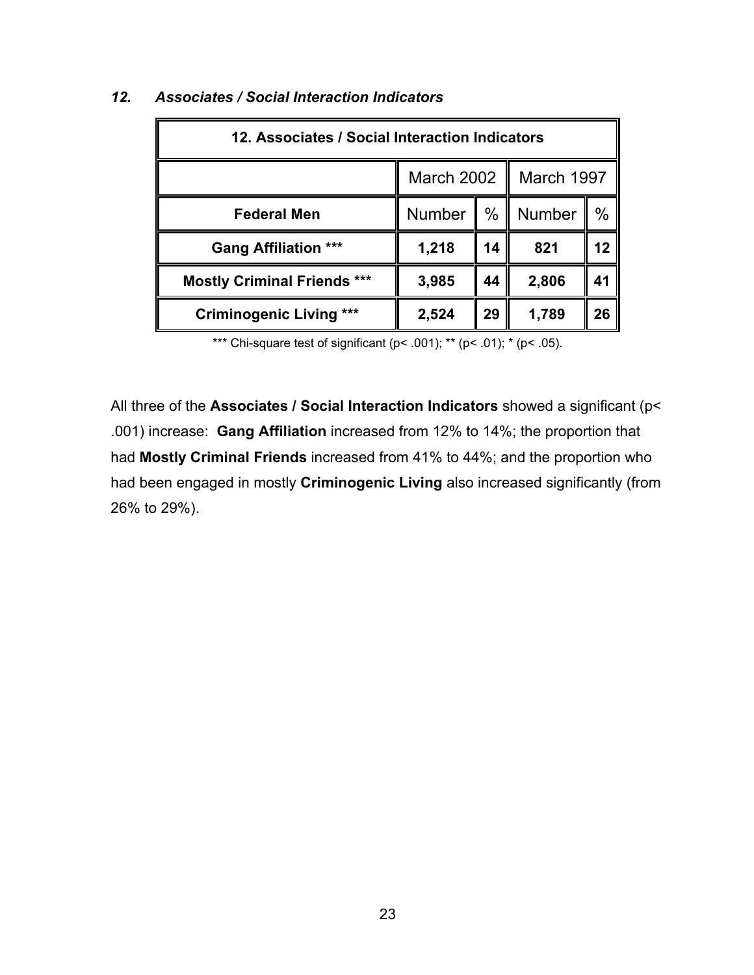| 12. Associates / Social Interaction Indicators |                                 |      |        |    |
|------------------------------------------------|---------------------------------|------|--------|----|
|                                                | <b>March 2002</b><br>March 1997 |      |        |    |
| <b>Federal Men</b>                             | <b>Number</b>                   | $\%$ | Number | %  |
| <b>Gang Affiliation ***</b>                    | 1,218                           | 14   | 821    | 12 |
| <b>Mostly Criminal Friends ***</b>             | 3,985                           | 44   | 2,806  | 41 |
| <b>Criminogenic Living</b>                     | 2,524                           | 29   | 1,789  | 26 |

## *12. Associates / Social Interaction Indicators*

\*\*\* Chi-square test of significant ( $p$  < .001); \*\* ( $p$  < .01); \* ( $p$  < .05).

All three of the **Associates / Social Interaction Indicators** showed a significant (p< .001) increase: **Gang Affiliation** increased from 12% to 14%; the proportion that had **Mostly Criminal Friends** increased from 41% to 44%; and the proportion who had been engaged in mostly **Criminogenic Living** also increased significantly (from 26% to 29%).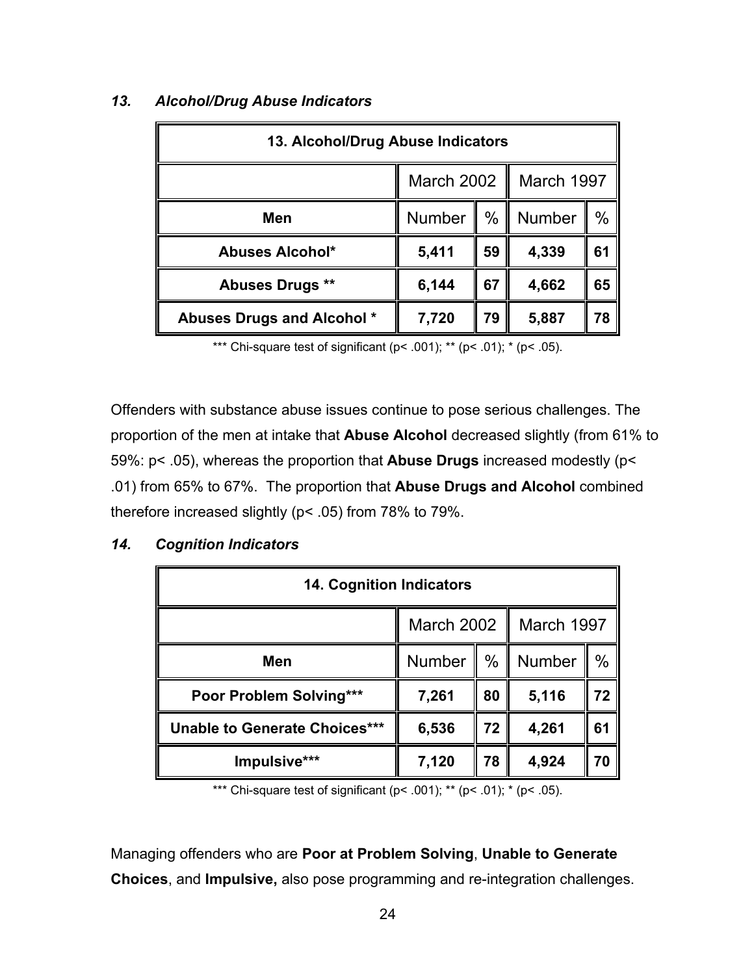| 13. Alcohol/Drug Abuse Indicators |                          |      |        |      |
|-----------------------------------|--------------------------|------|--------|------|
|                                   | March 2002<br>March 1997 |      |        |      |
| Men                               | <b>Number</b>            | $\%$ | Number | $\%$ |
| <b>Abuses Alcohol*</b>            | 5,411                    | 59   | 4,339  | 61   |
| Abuses Drugs **                   | 6,144                    | 67   | 4,662  | 65   |
| Abuses Drugs and Alcohol *        | 7,720                    | 79   | 5,887  | 78   |

## *13. Alcohol/Drug Abuse Indicators*

\*\*\* Chi-square test of significant ( $p$ < .001); \*\* ( $p$ < .01); \* ( $p$ < .05).

Offenders with substance abuse issues continue to pose serious challenges. The proportion of the men at intake that **Abuse Alcohol** decreased slightly (from 61% to 59%: p< .05), whereas the proportion that **Abuse Drugs** increased modestly (p< .01) from 65% to 67%. The proportion that **Abuse Drugs and Alcohol** combined therefore increased slightly (p< .05) from 78% to 79%.

#### *14. Cognition Indicators*

| <b>14. Cognition Indicators</b>      |                                 |      |        |               |  |
|--------------------------------------|---------------------------------|------|--------|---------------|--|
|                                      | <b>March 2002</b><br>March 1997 |      |        |               |  |
| Men                                  | <b>Number</b><br>H              | $\%$ | Number | $\frac{0}{0}$ |  |
| Poor Problem Solving***              | 7,261                           | 80   | 5,116  | 72            |  |
| <b>Unable to Generate Choices***</b> | 6,536                           | 72   | 4,261  | 61            |  |
| Impulsive***                         | 7,120                           | 78   | 4,924  | 70            |  |

\*\*\* Chi-square test of significant ( $p$ < .001); \*\* ( $p$ < .01); \* ( $p$ < .05).

Managing offenders who are **Poor at Problem Solving**, **Unable to Generate Choices**, and **Impulsive,** also pose programming and re-integration challenges.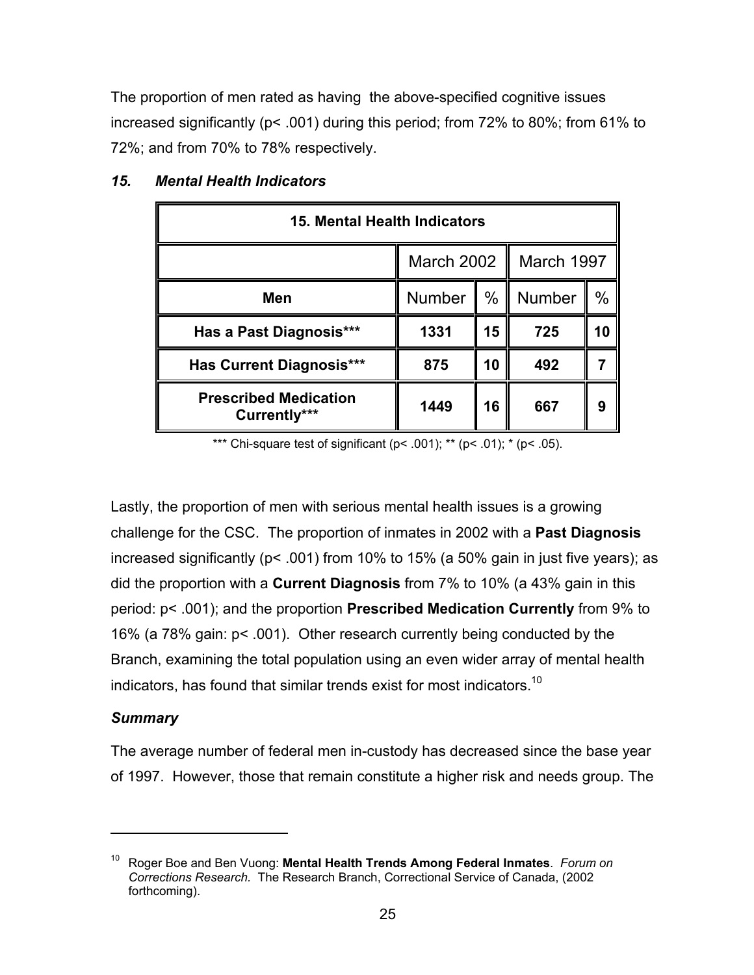The proportion of men rated as having the above-specified cognitive issues increased significantly (p< .001) during this period; from 72% to 80%; from 61% to 72%; and from 70% to 78% respectively.

| 15. Mental Health Indicators                 |                          |               |        |      |
|----------------------------------------------|--------------------------|---------------|--------|------|
|                                              | March 2002<br>March 1997 |               |        |      |
| <b>Men</b>                                   | Number                   | $\frac{0}{0}$ | Number | $\%$ |
| Has a Past Diagnosis***                      | 1331                     | 15            | 725    | 10   |
| Has Current Diagnosis***                     | 875                      | 10            | 492    |      |
| <b>Prescribed Medication</b><br>Currently*** | 1449                     | 16            | 667    | 9    |

## *15. Mental Health Indicators*

\*\*\* Chi-square test of significant ( $p$ < .001); \*\* ( $p$ < .01); \* ( $p$ < .05).

Lastly, the proportion of men with serious mental health issues is a growing challenge for the CSC. The proportion of inmates in 2002 with a **Past Diagnosis** increased significantly (p< .001) from 10% to 15% (a 50% gain in just five years); as did the proportion with a **Current Diagnosis** from 7% to 10% (a 43% gain in this period: p< .001); and the proportion **Prescribed Medication Currently** from 9% to 16% (a 78% gain: p< .001). Other research currently being conducted by the Branch, examining the total population using an even wider array of mental health indicators, has found that similar trends exist for most indicators.<sup>10</sup>

### *Summary*

 $\overline{a}$ 

The average number of federal men in-custody has decreased since the base year of 1997. However, those that remain constitute a higher risk and needs group. The

<sup>10</sup> Roger Boe and Ben Vuong: **Mental Health Trends Among Federal Inmates**. *Forum on Corrections Research.* The Research Branch, Correctional Service of Canada, (2002 forthcoming).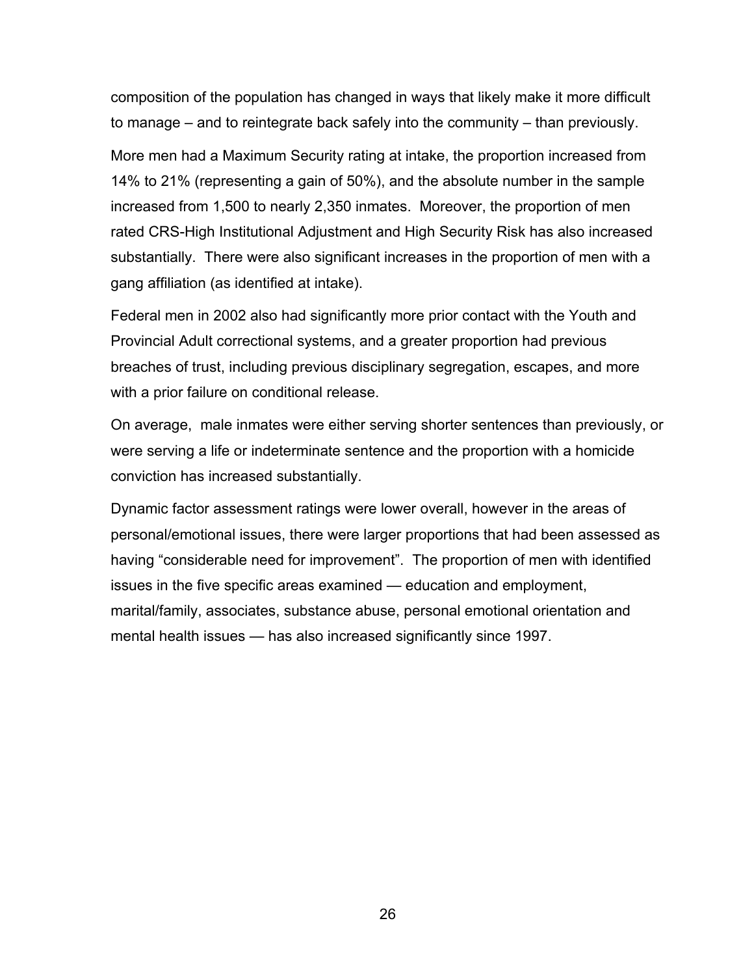composition of the population has changed in ways that likely make it more difficult to manage – and to reintegrate back safely into the community – than previously.

More men had a Maximum Security rating at intake, the proportion increased from 14% to 21% (representing a gain of 50%), and the absolute number in the sample increased from 1,500 to nearly 2,350 inmates. Moreover, the proportion of men rated CRS-High Institutional Adjustment and High Security Risk has also increased substantially. There were also significant increases in the proportion of men with a gang affiliation (as identified at intake).

Federal men in 2002 also had significantly more prior contact with the Youth and Provincial Adult correctional systems, and a greater proportion had previous breaches of trust, including previous disciplinary segregation, escapes, and more with a prior failure on conditional release.

On average, male inmates were either serving shorter sentences than previously, or were serving a life or indeterminate sentence and the proportion with a homicide conviction has increased substantially.

Dynamic factor assessment ratings were lower overall, however in the areas of personal/emotional issues, there were larger proportions that had been assessed as having "considerable need for improvement". The proportion of men with identified issues in the five specific areas examined — education and employment, marital/family, associates, substance abuse, personal emotional orientation and mental health issues — has also increased significantly since 1997.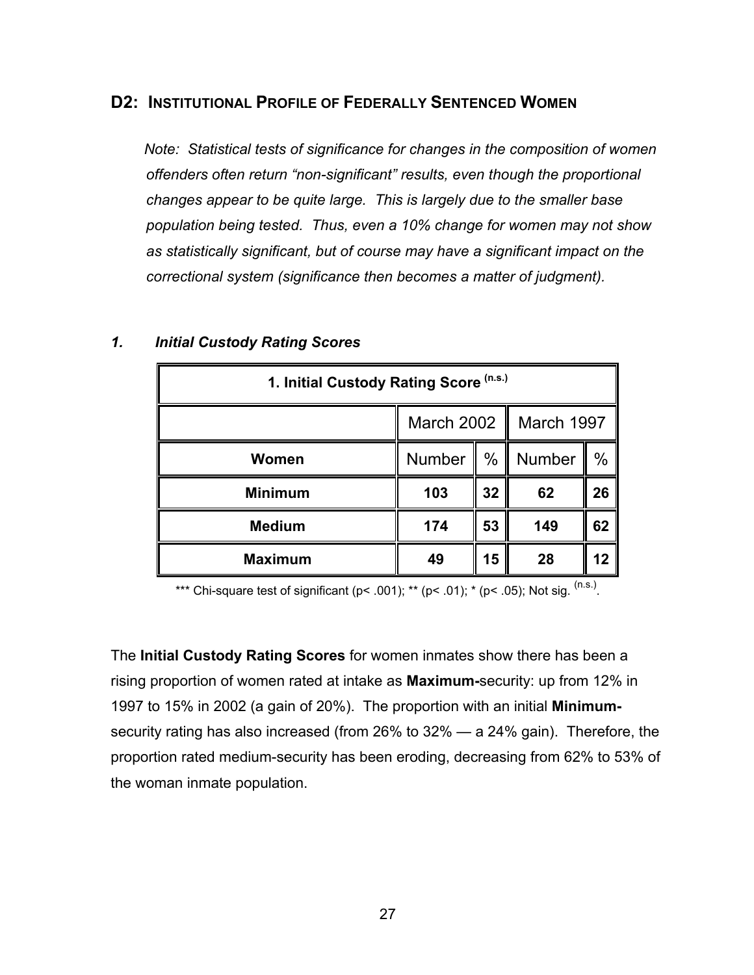## **D2: INSTITUTIONAL PROFILE OF FEDERALLY SENTENCED WOMEN**

*Note: Statistical tests of significance for changes in the composition of women offenders often return "non-significant" results, even though the proportional changes appear to be quite large. This is largely due to the smaller base population being tested. Thus, even a 10% change for women may not show as statistically significant, but of course may have a significant impact on the correctional system (significance then becomes a matter of judgment).*

| 1. Initial Custody Rating Score (n.s.) |                          |      |        |               |
|----------------------------------------|--------------------------|------|--------|---------------|
|                                        | March 2002<br>March 1997 |      |        |               |
| Women                                  | Number<br>Ш              | $\%$ | Number | $\frac{0}{0}$ |
| <b>Minimum</b>                         | 103                      | 32   | 62     | 26            |
| <b>Medium</b>                          | 174                      | 53   | 149    | 62            |
| <b>Maximum</b>                         | 49                       | 15   | 28     | 12            |

#### *1. Initial Custody Rating Scores*

\*\*\* Chi-square test of significant (p< .001); \*\* (p< .01); \* (p< .05); Not sig.  $^{(n.s.)}$ .

The **Initial Custody Rating Scores** for women inmates show there has been a rising proportion of women rated at intake as **Maximum-**security: up from 12% in 1997 to 15% in 2002 (a gain of 20%). The proportion with an initial **Minimum**security rating has also increased (from 26% to 32% — a 24% gain). Therefore, the proportion rated medium-security has been eroding, decreasing from 62% to 53% of the woman inmate population.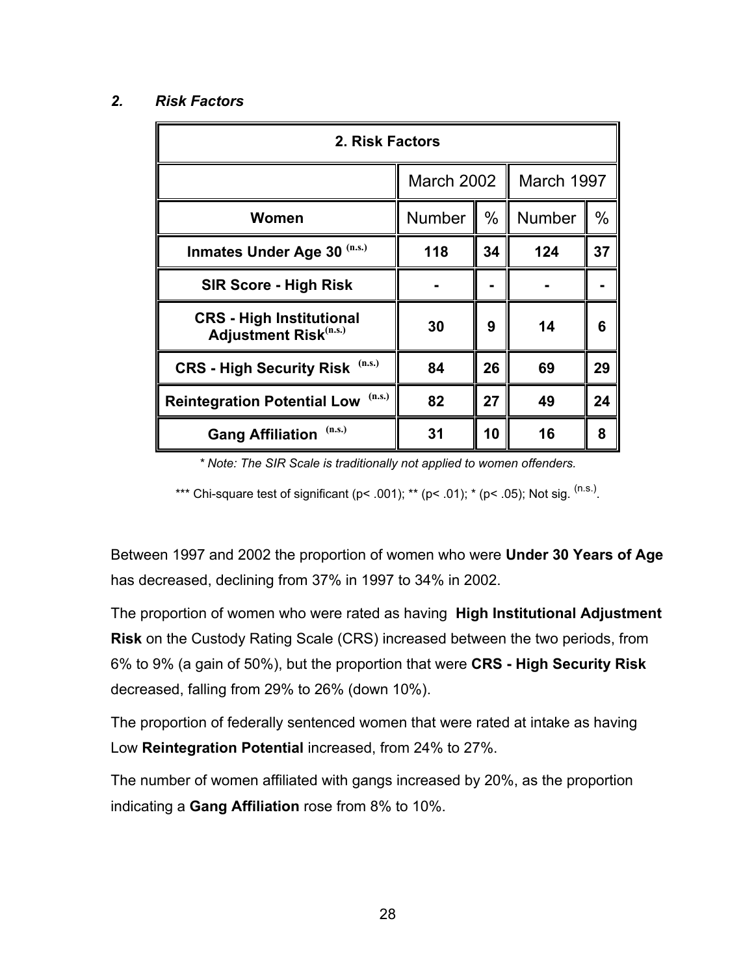#### *2. Risk Factors*

| 2. Risk Factors                                                 |               |      |               |               |  |  |  |
|-----------------------------------------------------------------|---------------|------|---------------|---------------|--|--|--|
|                                                                 | March 2002    |      | March 1997    |               |  |  |  |
| Women                                                           | <b>Number</b> | $\%$ | <b>Number</b> | $\frac{0}{0}$ |  |  |  |
| (n.s.)<br><b>Inmates Under Age 30</b>                           | 118           | 34   | 124           | 37            |  |  |  |
| <b>SIR Score - High Risk</b>                                    |               |      |               |               |  |  |  |
| <b>CRS - High Institutional</b><br><b>Adjustment Risk(n.s.)</b> | 30            | 9    | 14            | 6             |  |  |  |
| (n.s.)<br><b>CRS - High Security Risk</b>                       | 84            | 26   | 69            | 29            |  |  |  |
| (n.s.)<br><b>Reintegration Potential Low</b>                    | 82            | 27   | 49            | 24            |  |  |  |
| (n.s.)<br><b>Gang Affiliation</b>                               | 31            | 10   | 16            | 8             |  |  |  |

*\* Note: The SIR Scale is traditionally not applied to women offenders.*

\*\*\* Chi-square test of significant (p< .001); \*\* (p< .01); \* (p< .05); Not sig.  $(ns.)$ 

Between 1997 and 2002 the proportion of women who were **Under 30 Years of Age** has decreased, declining from 37% in 1997 to 34% in 2002.

The proportion of women who were rated as having **High Institutional Adjustment Risk** on the Custody Rating Scale (CRS) increased between the two periods, from 6% to 9% (a gain of 50%), but the proportion that were **CRS - High Security Risk** decreased, falling from 29% to 26% (down 10%).

The proportion of federally sentenced women that were rated at intake as having Low **Reintegration Potential** increased, from 24% to 27%.

The number of women affiliated with gangs increased by 20%, as the proportion indicating a **Gang Affiliation** rose from 8% to 10%.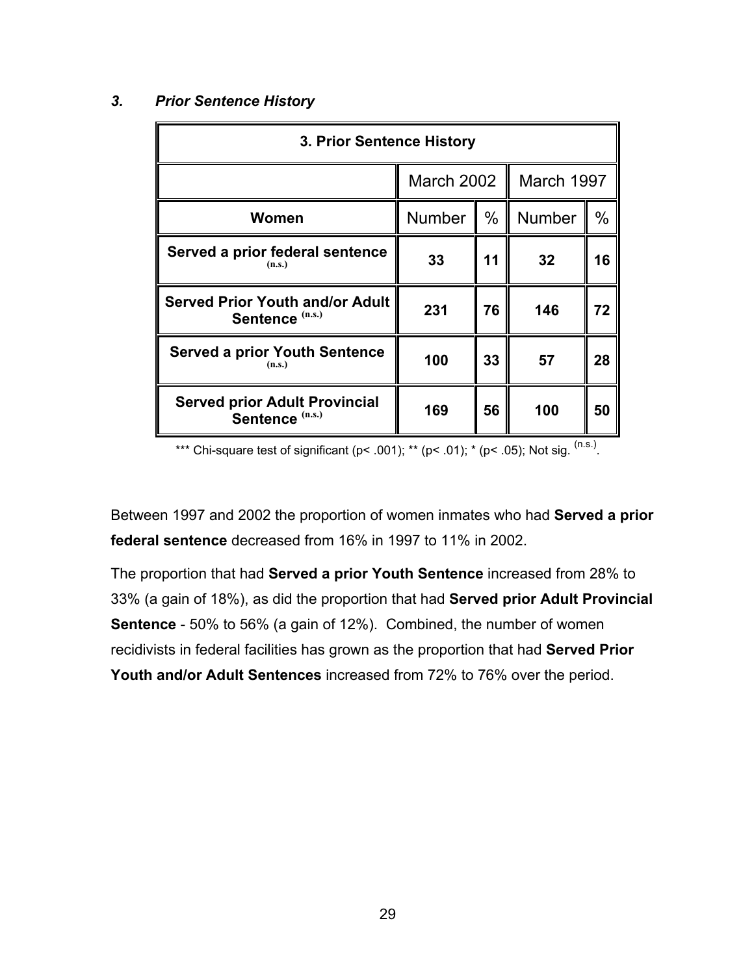#### *3. Prior Sentence History*

| 3. Prior Sentence History                                            |                   |      |               |      |  |  |
|----------------------------------------------------------------------|-------------------|------|---------------|------|--|--|
|                                                                      | <b>March 2002</b> |      | March 1997    |      |  |  |
| Women                                                                | <b>Number</b>     | $\%$ | <b>Number</b> | $\%$ |  |  |
| Served a prior federal sentence<br>(n.s.)                            | 33                | 11   | 32            | 16   |  |  |
| <b>Served Prior Youth and/or Adult</b><br>Sentence <sup>(n.s.)</sup> | 231               | 76   | 146           | 72   |  |  |
| <b>Served a prior Youth Sentence</b><br>(n.s.)                       | 100               | 33   | 57            | 28   |  |  |
| <b>Served prior Adult Provincial</b><br>Sentence <sup>(n.s.)</sup>   | 169               | 56   | 100           | 50   |  |  |

\*\*\* Chi-square test of significant ( $p$ < .001); \*\* ( $p$ < .01); \* ( $p$ < .05); Not sig. <sup>(n.s.)</sup>.

Between 1997 and 2002 the proportion of women inmates who had **Served a prior federal sentence** decreased from 16% in 1997 to 11% in 2002.

The proportion that had **Served a prior Youth Sentence** increased from 28% to 33% (a gain of 18%), as did the proportion that had **Served prior Adult Provincial Sentence** - 50% to 56% (a gain of 12%). Combined, the number of women recidivists in federal facilities has grown as the proportion that had **Served Prior Youth and/or Adult Sentences** increased from 72% to 76% over the period.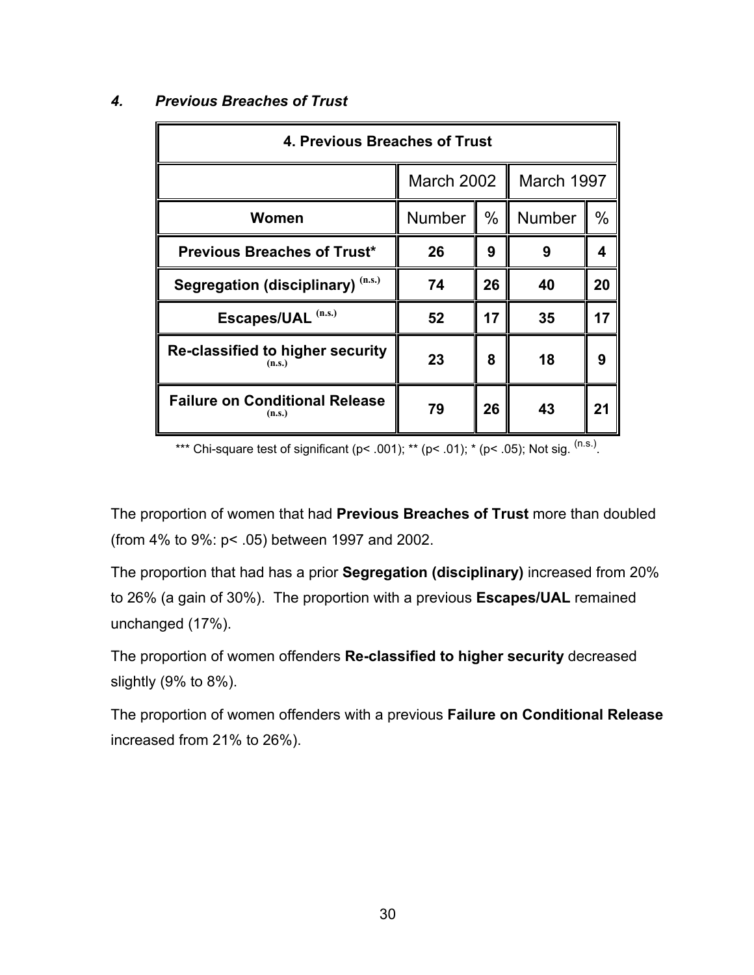| 4. Previous Breaches of Trust                   |               |      |               |      |  |  |
|-------------------------------------------------|---------------|------|---------------|------|--|--|
|                                                 | March 2002    |      | March 1997    |      |  |  |
| Women                                           | <b>Number</b> | $\%$ | <b>Number</b> | $\%$ |  |  |
| <b>Previous Breaches of Trust*</b>              | 26            | 9    | 9             | 4    |  |  |
| Segregation (disciplinary) (n.s.)               | 74            | 26   | 40            | 20   |  |  |
| Escapes/UAL (n.s.)                              | 52            | 17   | 35            | 17   |  |  |
| Re-classified to higher security<br>(n.s.)      | 23            | 8    | 18            | 9    |  |  |
| <b>Failure on Conditional Release</b><br>(n.s.) | 79            | 26   | 43            | 21   |  |  |

## *4. Previous Breaches of Trust*

\*\*\* Chi-square test of significant (p< .001); \*\* (p< .01); \* (p< .05); Not sig.  $^{(n.s.)}$ .

The proportion of women that had **Previous Breaches of Trust** more than doubled (from 4% to 9%: p< .05) between 1997 and 2002.

The proportion that had has a prior **Segregation (disciplinary)** increased from 20% to 26% (a gain of 30%). The proportion with a previous **Escapes/UAL** remained unchanged (17%).

The proportion of women offenders **Re-classified to higher security** decreased slightly (9% to 8%).

The proportion of women offenders with a previous **Failure on Conditional Release** increased from 21% to 26%).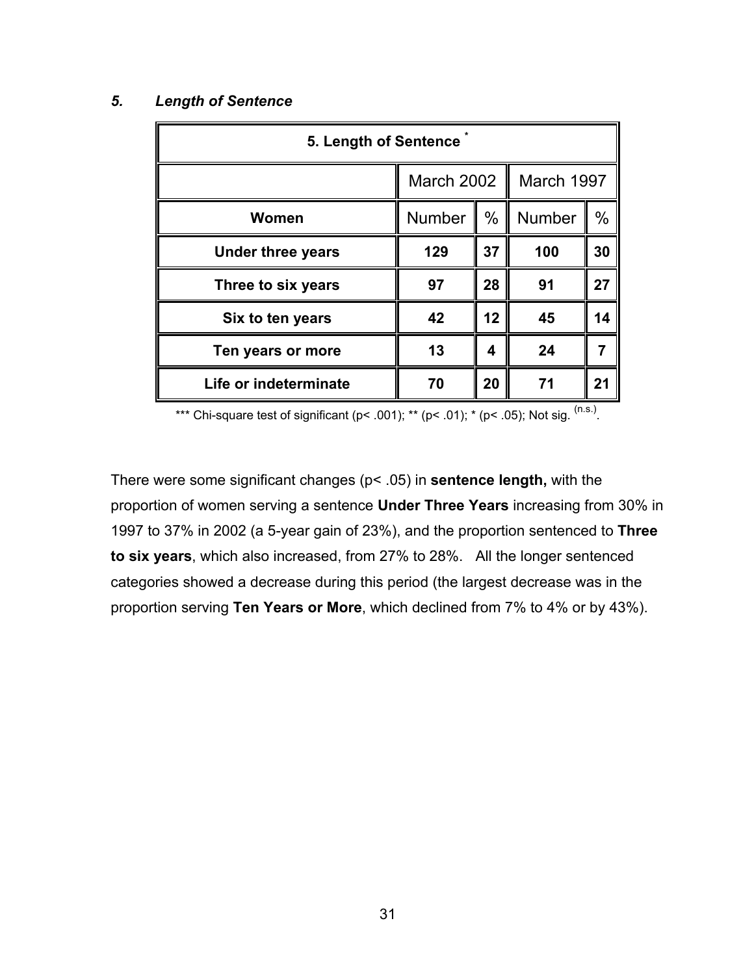#### *5. Length of Sentence*

| 5. Length of Sentence    |            |      |               |               |
|--------------------------|------------|------|---------------|---------------|
|                          | March 2002 |      | March 1997    |               |
| Women                    | Number     | $\%$ | <b>Number</b> | $\frac{0}{0}$ |
| <b>Under three years</b> | 129        | 37   | 100           | 30            |
| Three to six years       | 97         | 28   | 91            | 27            |
| Six to ten years         | 42         | 12   | 45            | 14            |
| Ten years or more        | 13         | 4    | 24            |               |
| Life or indeterminate    | 70         | 20   | 71            | 21            |

\*\*\* Chi-square test of significant (p< .001); \*\* (p< .01); \* (p< .05); Not sig.  $^{(n.s.)}$ .

There were some significant changes (p< .05) in **sentence length,** with the proportion of women serving a sentence **Under Three Years** increasing from 30% in 1997 to 37% in 2002 (a 5-year gain of 23%), and the proportion sentenced to **Three to six years**, which also increased, from 27% to 28%. All the longer sentenced categories showed a decrease during this period (the largest decrease was in the proportion serving **Ten Years or More**, which declined from 7% to 4% or by 43%).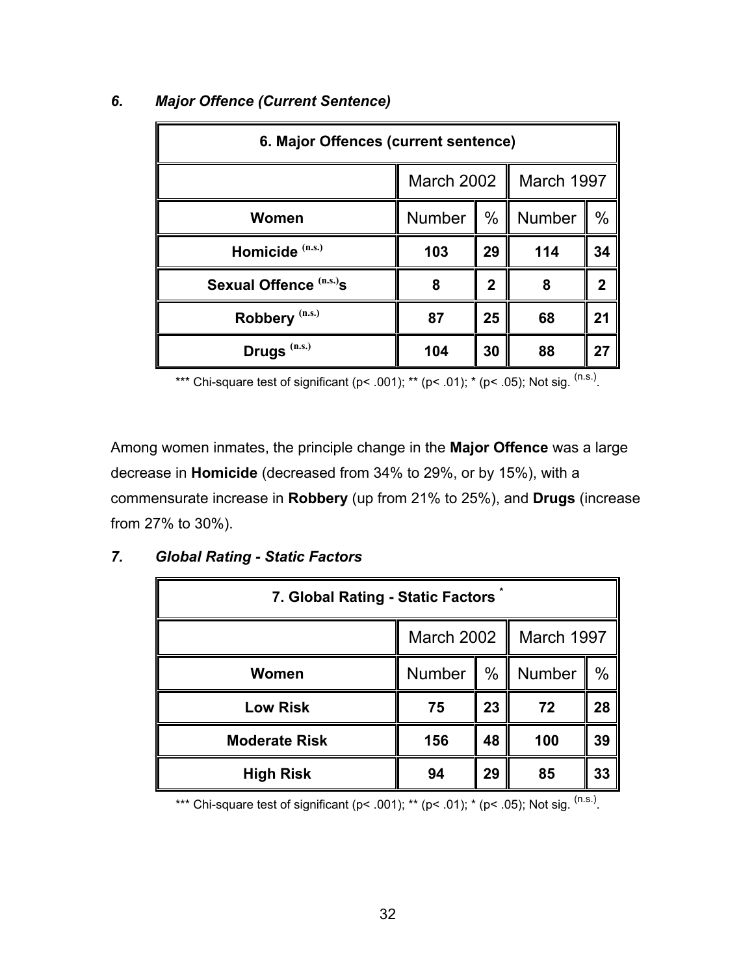| 6. Major Offences (current sentence) |                   |              |               |                |
|--------------------------------------|-------------------|--------------|---------------|----------------|
|                                      | <b>March 2002</b> | March 1997   |               |                |
| Women                                | <b>Number</b>     | $\%$         | <b>Number</b> | $\frac{0}{0}$  |
| Homicide <sup>(n.s.)</sup>           | 103               | 29           | 114           | 34             |
| Sexual Offence <sup>(n.s.)</sup> s   | 8                 | $\mathbf{2}$ | 8             | $\overline{2}$ |
| Robbery <sup>(n.s.)</sup>            | 87                | 25           | 68            | 21             |
| Drugs <sup>(n.s.)</sup>              | 104               | 30           | 88            | 27             |

## *6. Major Offence (Current Sentence)*

\*\*\* Chi-square test of significant (p< .001); \*\* (p< .01); \* (p< .05); Not sig.  $^{(n.s.)}$ .

Among women inmates, the principle change in the **Major Offence** was a large decrease in **Homicide** (decreased from 34% to 29%, or by 15%), with a commensurate increase in **Robbery** (up from 21% to 25%), and **Drugs** (increase from 27% to 30%).

| 7. Global Rating - Static Factors |                             |      |        |    |  |
|-----------------------------------|-----------------------------|------|--------|----|--|
|                                   | March 2002   <br>March 1997 |      |        |    |  |
| <b>Women</b>                      | Number                      | $\%$ | Number | %  |  |
| <b>Low Risk</b>                   | 75                          | 23   | 72     | 28 |  |
| <b>Moderate Risk</b>              | 156                         | 48   | 100    | 39 |  |
| <b>High Risk</b>                  | 94                          | 29   | 85     | 33 |  |

## *7. Global Rating - Static Factors*

\*\*\* Chi-square test of significant (p< .001); \*\* (p< .01); \* (p< .05); Not sig.  $(ns.)$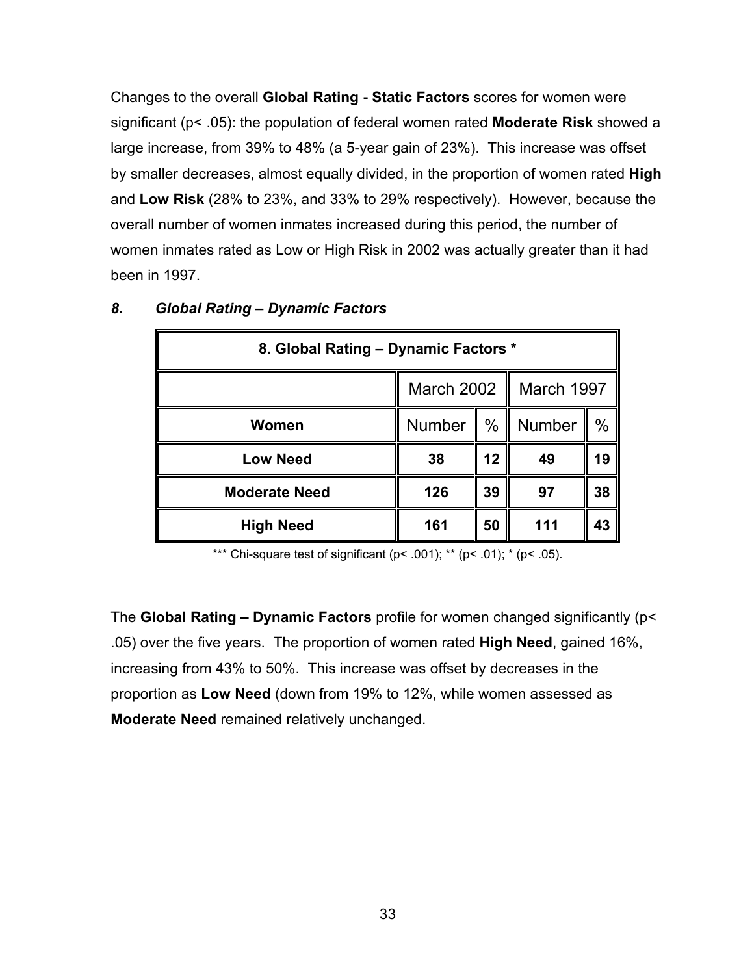Changes to the overall **Global Rating - Static Factors** scores for women were significant (p< .05): the population of federal women rated **Moderate Risk** showed a large increase, from 39% to 48% (a 5-year gain of 23%). This increase was offset by smaller decreases, almost equally divided, in the proportion of women rated **High** and **Low Risk** (28% to 23%, and 33% to 29% respectively). However, because the overall number of women inmates increased during this period, the number of women inmates rated as Low or High Risk in 2002 was actually greater than it had been in 1997.

| 8. Global Rating - Dynamic Factors * |                          |      |        |      |  |
|--------------------------------------|--------------------------|------|--------|------|--|
|                                      | March 2002<br>March 1997 |      |        |      |  |
| Women                                | <b>Number</b><br>H       | $\%$ | Number | $\%$ |  |
| <b>Low Need</b>                      | 38                       | 12   | 49     | 19   |  |
| <b>Moderate Need</b>                 | 126                      | 39   | 97     | 38   |  |
| <b>High Need</b>                     | 161                      | 50   | 111    | 43   |  |

#### *8. Global Rating – Dynamic Factors*

\*\*\* Chi-square test of significant ( $p$ < .001); \*\* ( $p$ < .01); \* ( $p$ < .05).

The **Global Rating – Dynamic Factors** profile for women changed significantly (p< .05) over the five years. The proportion of women rated **High Need**, gained 16%, increasing from 43% to 50%. This increase was offset by decreases in the proportion as **Low Need** (down from 19% to 12%, while women assessed as **Moderate Need** remained relatively unchanged.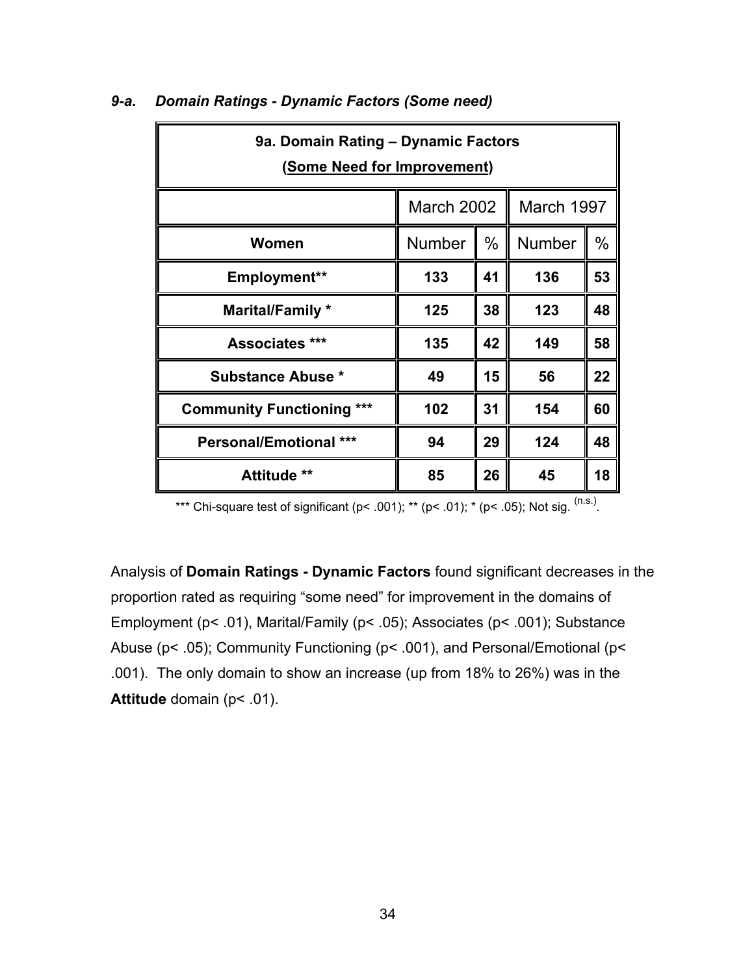| 9a. Domain Rating - Dynamic Factors<br>(Some Need for Improvement) |                                 |      |               |      |  |
|--------------------------------------------------------------------|---------------------------------|------|---------------|------|--|
|                                                                    | <b>March 2002</b><br>March 1997 |      |               |      |  |
| Women                                                              | <b>Number</b>                   | $\%$ | <b>Number</b> | $\%$ |  |
| Employment**                                                       | 133                             | 41   | 136           | 53   |  |
| Marital/Family *                                                   | 125                             | 38   | 123           | 48   |  |
| Associates ***                                                     | 135                             | 42   | 149           | 58   |  |
| <b>Substance Abuse *</b>                                           | 49                              | 15   | 56            | 22   |  |
| <b>Community Functioning ***</b>                                   | 102                             | 31   | 154           | 60   |  |
| <b>Personal/Emotional ***</b>                                      | 94                              | 29   | 124           | 48   |  |
| <b>Attitude **</b>                                                 | 85                              | 26   | 45            | 18   |  |

#### *9-a. Domain Ratings - Dynamic Factors (Some need)*

\*\*\* Chi-square test of significant (p< .001); \*\* (p< .01); \* (p< .05); Not sig.  $^{(n.s.)}$ .

Analysis of **Domain Ratings - Dynamic Factors** found significant decreases in the proportion rated as requiring "some need" for improvement in the domains of Employment (p< .01), Marital/Family (p< .05); Associates (p< .001); Substance Abuse (p< .05); Community Functioning (p< .001), and Personal/Emotional (p< .001). The only domain to show an increase (up from 18% to 26%) was in the **Attitude** domain (p< .01).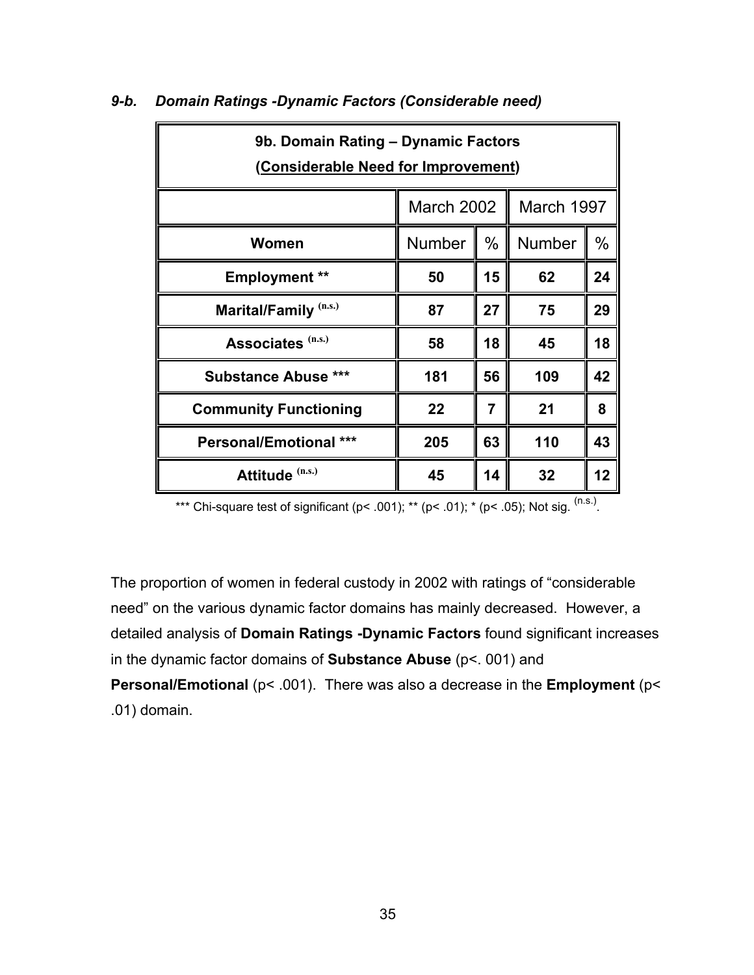| 9b. Domain Rating - Dynamic Factors<br>(Considerable Need for Improvement) |                                 |      |        |               |  |
|----------------------------------------------------------------------------|---------------------------------|------|--------|---------------|--|
|                                                                            | <b>March 2002</b><br>March 1997 |      |        |               |  |
| Women                                                                      | <b>Number</b>                   | $\%$ | Number | $\frac{0}{0}$ |  |
| <b>Employment</b> **                                                       | 50                              | 15   | 62     | 24            |  |
| Marital/Family <sup>(n.s.)</sup>                                           | 87                              | 27   | 75     | 29            |  |
| Associates (n.s.)                                                          | 58                              | 18   | 45     | 18            |  |
| <b>Substance Abuse ***</b>                                                 | 181                             | 56   | 109    | 42            |  |
| <b>Community Functioning</b>                                               | 22                              | 7    | 21     | 8             |  |
| <b>Personal/Emotional ***</b>                                              | 205                             | 63   | 110    | 43            |  |
| Attitude (n.s.)                                                            | 45                              | 14   | 32     | 12            |  |

#### *9-b. Domain Ratings -Dynamic Factors (Considerable need)*

\*\*\* Chi-square test of significant (p< .001); \*\* (p< .01); \* (p< .05); Not sig.  $^{(n.s.)}$ .

The proportion of women in federal custody in 2002 with ratings of "considerable need" on the various dynamic factor domains has mainly decreased. However, a detailed analysis of **Domain Ratings -Dynamic Factors** found significant increases in the dynamic factor domains of **Substance Abuse** (p<. 001) and

**Personal/Emotional** (p< .001). There was also a decrease in the **Employment** (p< .01) domain.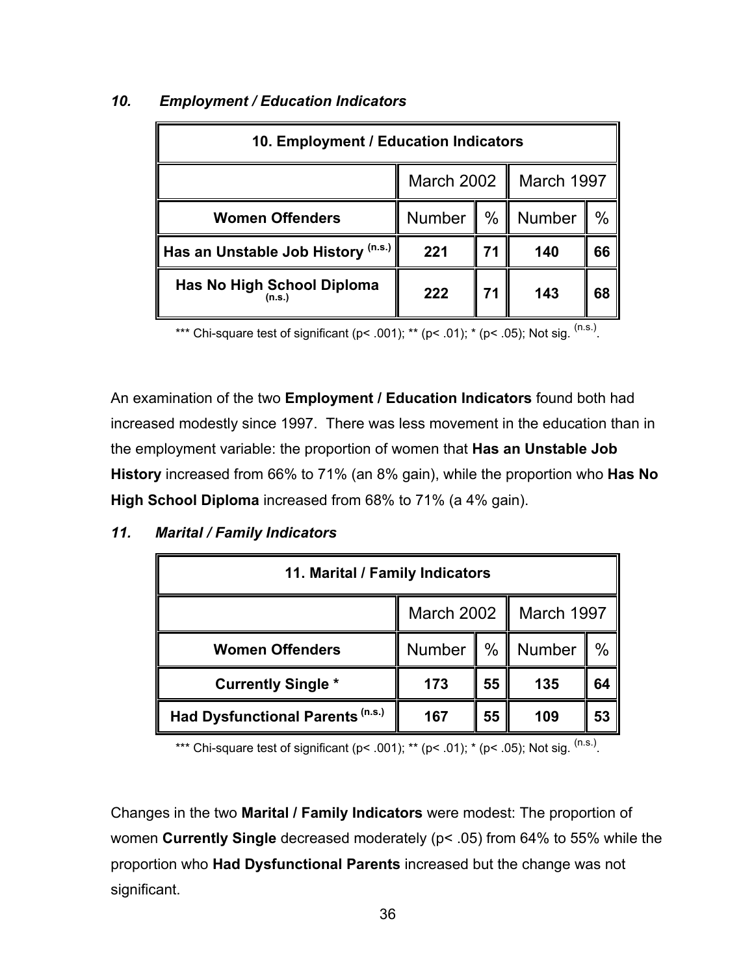| 10. Employment / Education Indicators       |                                       |      |        |    |
|---------------------------------------------|---------------------------------------|------|--------|----|
|                                             | <b>March 2002</b><br>March 1997<br>II |      |        |    |
| <b>Women Offenders</b>                      | Number                                | $\%$ | Number | %  |
| Has an Unstable Job History (n.s.)          | 221                                   | 71   | 140    | 66 |
| <b>Has No High School Diploma</b><br>(n.s.) | 222                                   | 71   | 143    | 68 |

## *10. Employment / Education Indicators*

\*\*\* Chi-square test of significant (p< .001); \*\* (p< .01); \* (p< .05); Not sig.  $^{(n.s.)}$ .

An examination of the two **Employment / Education Indicators** found both had increased modestly since 1997. There was less movement in the education than in the employment variable: the proportion of women that **Has an Unstable Job History** increased from 66% to 71% (an 8% gain), while the proportion who **Has No High School Diploma** increased from 68% to 71% (a 4% gain).

## *11. Marital / Family Indicators*

| 11. Marital / Family Indicators  |                         |    |                     |      |  |
|----------------------------------|-------------------------|----|---------------------|------|--|
|                                  | March 2002   March 1997 |    |                     |      |  |
| <b>Women Offenders</b>           |                         |    | Number   %   Number | $\%$ |  |
| <b>Currently Single *</b>        | 173                     | 55 | 135                 | 64   |  |
| Had Dysfunctional Parents (n.s.) | 167                     | 55 | 109                 | 53   |  |

\*\*\* Chi-square test of significant ( $p$ < .001); \*\* ( $p$ < .01); \* ( $p$ < .05); Not sig. <sup>(n.s.)</sup>.

Changes in the two **Marital / Family Indicators** were modest: The proportion of women **Currently Single** decreased moderately (p< .05) from 64% to 55% while the proportion who **Had Dysfunctional Parents** increased but the change was not significant.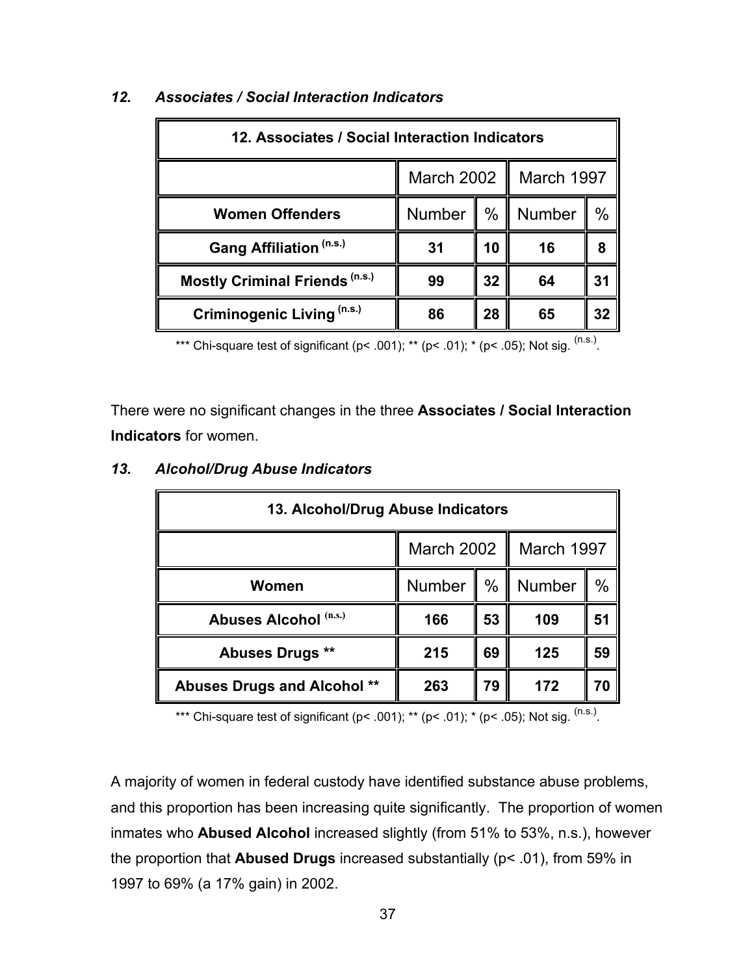| 12. Associates / Social Interaction Indicators |                          |      |        |      |  |
|------------------------------------------------|--------------------------|------|--------|------|--|
|                                                | March 2002<br>March 1997 |      |        |      |  |
| <b>Women Offenders</b>                         | <b>Number</b>            | $\%$ | Number | $\%$ |  |
| Gang Affiliation (n.s.)                        | 31                       | 10   | 16     | 8    |  |
| <b>Mostly Criminal Friends (n.s.)</b>          | 99                       | 32   | 64     | 31   |  |
| Criminogenic Living (n.s.)                     | 86                       | 28   | 65     | 32   |  |

## *12. Associates / Social Interaction Indicators*

\*\*\* Chi-square test of significant (p< .001); \*\* (p< .01); \* (p< .05); Not sig.  $(ns.)$ 

There were no significant changes in the three **Associates / Social Interaction Indicators** for women.

| 13. Alcohol/Drug Abuse Indicators  |                                 |               |               |      |  |
|------------------------------------|---------------------------------|---------------|---------------|------|--|
|                                    | <b>March 2002</b><br>March 1997 |               |               |      |  |
| Women                              | <b>Number</b>                   | $\frac{0}{0}$ | <b>Number</b> | $\%$ |  |
| Abuses Alcohol (n.s.)              | 166                             | 53            | 109           | 51   |  |
| <b>Abuses Drugs **</b>             | 215                             | 69            | 125           | 59   |  |
| <b>Abuses Drugs and Alcohol **</b> | 263                             | 79            | 172           | 70   |  |

#### *13. Alcohol/Drug Abuse Indicators*

\*\*\* Chi-square test of significant ( $p$ < .001); \*\* ( $p$ < .01); \* ( $p$ < .05); Not sig. <sup>(n.s.)</sup>.

A majority of women in federal custody have identified substance abuse problems, and this proportion has been increasing quite significantly. The proportion of women inmates who **Abused Alcohol** increased slightly (from 51% to 53%, n.s.), however the proportion that **Abused Drugs** increased substantially (p< .01), from 59% in 1997 to 69% (a 17% gain) in 2002.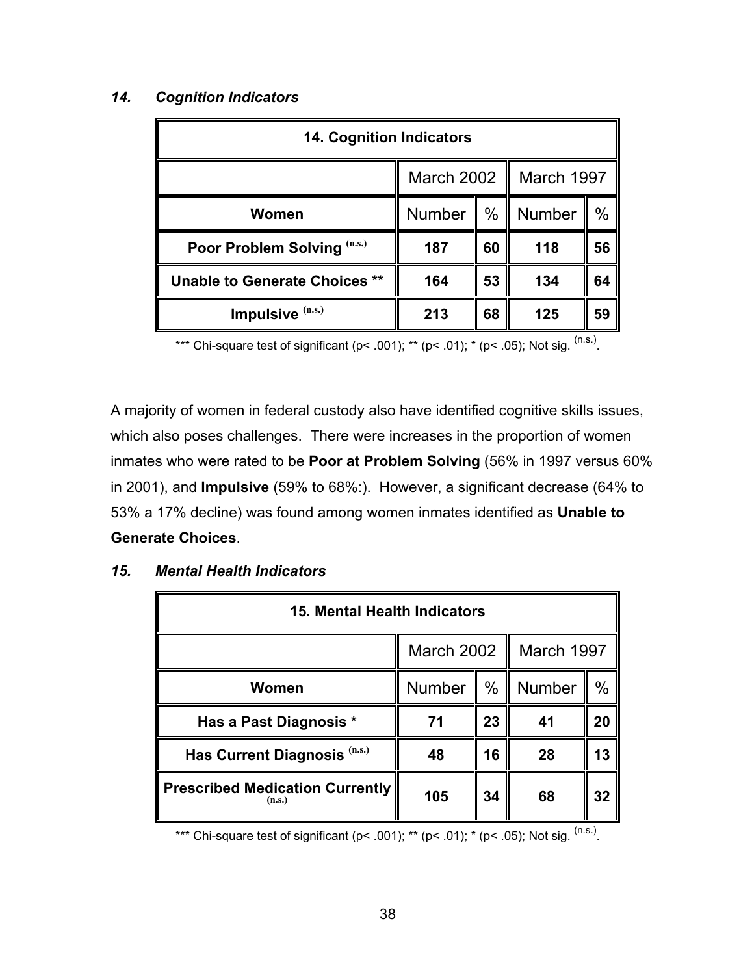# **14. Cognition Indicators** March 2002 | March 1997 **Women**  $\parallel$  Number  $\parallel$  %  $\parallel$  Number  $\parallel$  % **Poor Problem Solving**  $(0.5)$  **| 187 | 60 | 118 | 56 Unable to Generate Choices \*\* || 164 || 53 || 134 || 64 Impulsive**  $(n.s.)$   $\|$  213  $\|$  68  $\|$  125  $\|$  59

### *14. Cognition Indicators*

\*\*\* Chi-square test of significant (p< .001); \*\* (p< .01); \* (p< .05); Not sig.  $^{(n.s.)}$ .

A majority of women in federal custody also have identified cognitive skills issues, which also poses challenges. There were increases in the proportion of women inmates who were rated to be **Poor at Problem Solving** (56% in 1997 versus 60% in 2001), and **Impulsive** (59% to 68%:). However, a significant decrease (64% to 53% a 17% decline) was found among women inmates identified as **Unable to Generate Choices**.

| 15. Mental Health Indicators                     |                                 |      |               |      |
|--------------------------------------------------|---------------------------------|------|---------------|------|
|                                                  | March 1997<br><b>March 2002</b> |      |               |      |
| Women                                            | <b>Number</b>                   | $\%$ | <b>Number</b> | $\%$ |
| Has a Past Diagnosis *                           | 71                              | 23   | 41            | 20   |
| Has Current Diagnosis (n.s.)                     | 48                              | 16   | 28            | 13   |
| <b>Prescribed Medication Currently</b><br>(n.s.) | 105                             | 34   | 68            | 32   |

#### *15. Mental Health Indicators*

\*\*\* Chi-square test of significant (p< .001); \*\* (p< .01); \* (p< .05); Not sig.  $(ns.)$ .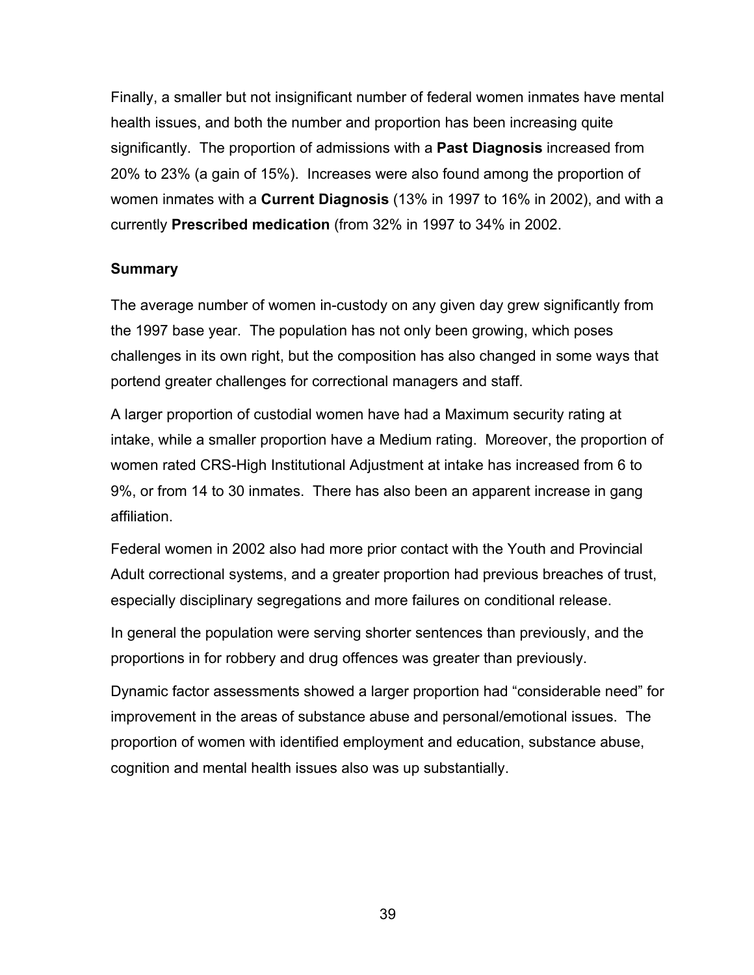Finally, a smaller but not insignificant number of federal women inmates have mental health issues, and both the number and proportion has been increasing quite significantly. The proportion of admissions with a **Past Diagnosis** increased from 20% to 23% (a gain of 15%). Increases were also found among the proportion of women inmates with a **Current Diagnosis** (13% in 1997 to 16% in 2002), and with a currently **Prescribed medication** (from 32% in 1997 to 34% in 2002.

## **Summary**

The average number of women in-custody on any given day grew significantly from the 1997 base year. The population has not only been growing, which poses challenges in its own right, but the composition has also changed in some ways that portend greater challenges for correctional managers and staff.

A larger proportion of custodial women have had a Maximum security rating at intake, while a smaller proportion have a Medium rating. Moreover, the proportion of women rated CRS-High Institutional Adjustment at intake has increased from 6 to 9%, or from 14 to 30 inmates. There has also been an apparent increase in gang affiliation.

Federal women in 2002 also had more prior contact with the Youth and Provincial Adult correctional systems, and a greater proportion had previous breaches of trust, especially disciplinary segregations and more failures on conditional release.

In general the population were serving shorter sentences than previously, and the proportions in for robbery and drug offences was greater than previously.

Dynamic factor assessments showed a larger proportion had "considerable need" for improvement in the areas of substance abuse and personal/emotional issues. The proportion of women with identified employment and education, substance abuse, cognition and mental health issues also was up substantially.

39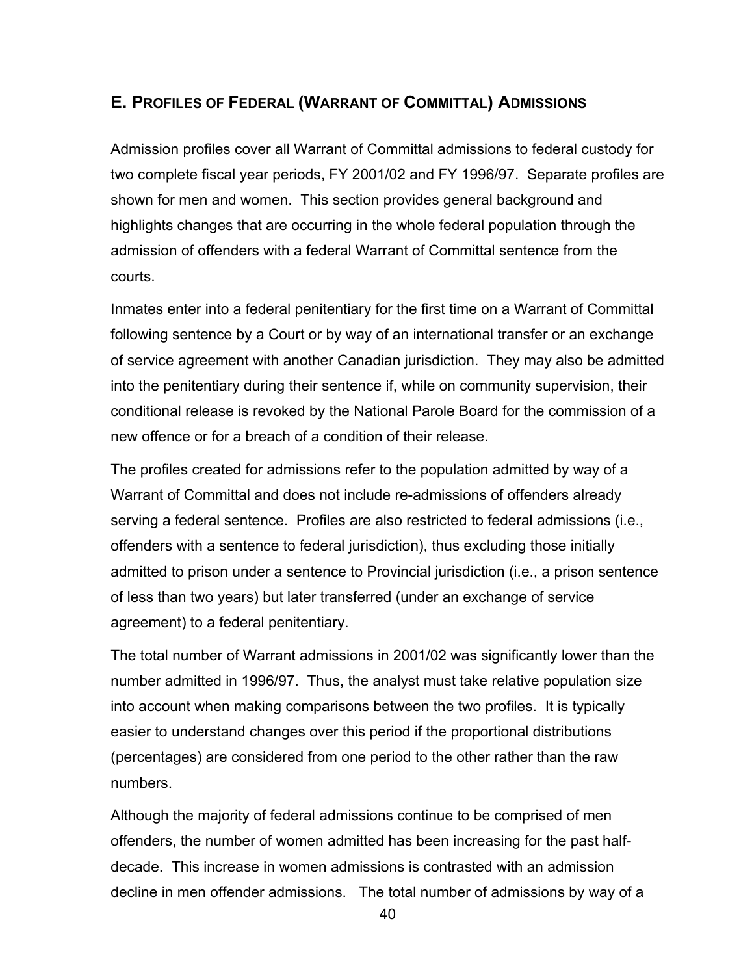## **E. PROFILES OF FEDERAL (WARRANT OF COMMITTAL) ADMISSIONS**

Admission profiles cover all Warrant of Committal admissions to federal custody for two complete fiscal year periods, FY 2001/02 and FY 1996/97. Separate profiles are shown for men and women. This section provides general background and highlights changes that are occurring in the whole federal population through the admission of offenders with a federal Warrant of Committal sentence from the courts.

Inmates enter into a federal penitentiary for the first time on a Warrant of Committal following sentence by a Court or by way of an international transfer or an exchange of service agreement with another Canadian jurisdiction. They may also be admitted into the penitentiary during their sentence if, while on community supervision, their conditional release is revoked by the National Parole Board for the commission of a new offence or for a breach of a condition of their release.

The profiles created for admissions refer to the population admitted by way of a Warrant of Committal and does not include re-admissions of offenders already serving a federal sentence. Profiles are also restricted to federal admissions (i.e., offenders with a sentence to federal jurisdiction), thus excluding those initially admitted to prison under a sentence to Provincial jurisdiction (i.e., a prison sentence of less than two years) but later transferred (under an exchange of service agreement) to a federal penitentiary.

The total number of Warrant admissions in 2001/02 was significantly lower than the number admitted in 1996/97. Thus, the analyst must take relative population size into account when making comparisons between the two profiles. It is typically easier to understand changes over this period if the proportional distributions (percentages) are considered from one period to the other rather than the raw numbers.

Although the majority of federal admissions continue to be comprised of men offenders, the number of women admitted has been increasing for the past halfdecade. This increase in women admissions is contrasted with an admission decline in men offender admissions. The total number of admissions by way of a

40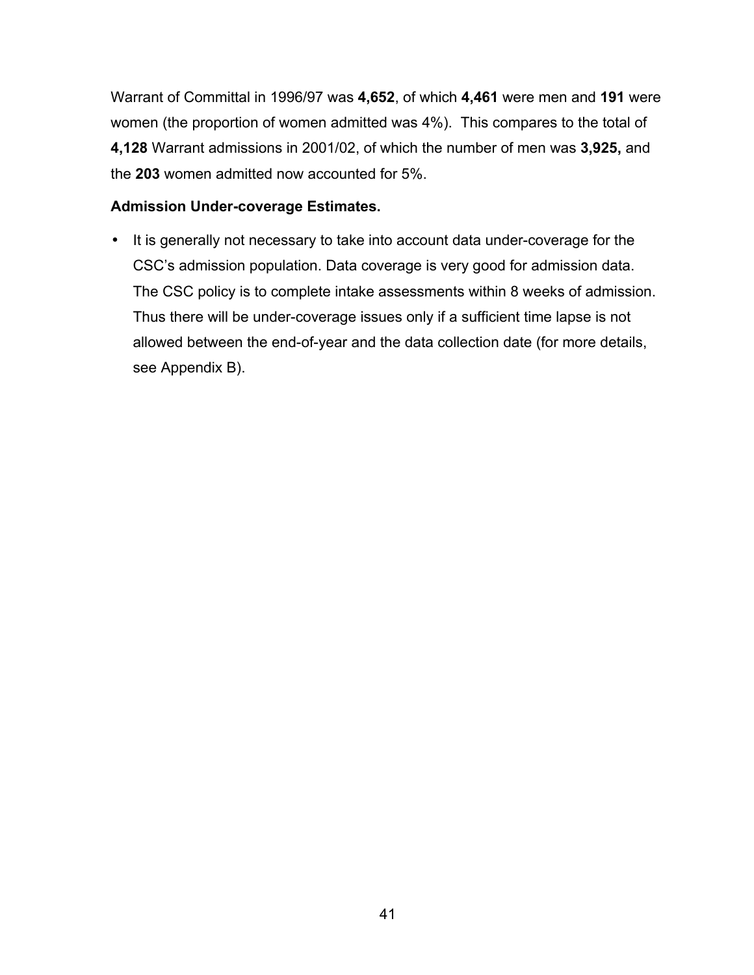Warrant of Committal in 1996/97 was **4,652**, of which **4,461** were men and **191** were women (the proportion of women admitted was 4%). This compares to the total of **4,128** Warrant admissions in 2001/02, of which the number of men was **3,925,** and the **203** women admitted now accounted for 5%.

#### **Admission Under-coverage Estimates.**

• It is generally not necessary to take into account data under-coverage for the CSC's admission population. Data coverage is very good for admission data. The CSC policy is to complete intake assessments within 8 weeks of admission. Thus there will be under-coverage issues only if a sufficient time lapse is not allowed between the end-of-year and the data collection date (for more details, see Appendix B).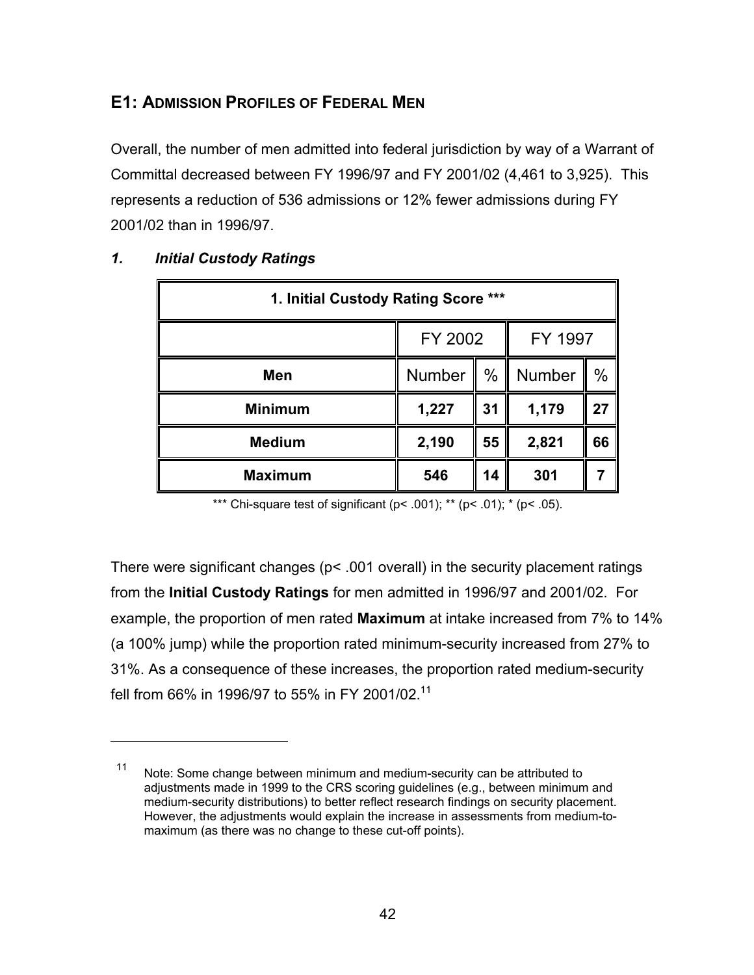# **E1: ADMISSION PROFILES OF FEDERAL MEN**

Overall, the number of men admitted into federal jurisdiction by way of a Warrant of Committal decreased between FY 1996/97 and FY 2001/02 (4,461 to 3,925). This represents a reduction of 536 admissions or 12% fewer admissions during FY 2001/02 than in 1996/97.

| 1. Initial Custody Rating Score *** |                    |      |        |    |  |
|-------------------------------------|--------------------|------|--------|----|--|
|                                     | FY 2002<br>FY 1997 |      |        |    |  |
| Men                                 | Number             | $\%$ | Number | %  |  |
| <b>Minimum</b>                      | 1,227              | 31   | 1,179  | 27 |  |
| <b>Medium</b>                       | 2,190              | 55   | 2,821  | 66 |  |
| <b>Maximum</b>                      | 546                | 14   | 301    |    |  |

## *1. Initial Custody Ratings*

 $\overline{a}$ 

\*\*\* Chi-square test of significant ( $p$ < .001); \*\* ( $p$ < .01); \* ( $p$ < .05).

There were significant changes (p< .001 overall) in the security placement ratings from the **Initial Custody Ratings** for men admitted in 1996/97 and 2001/02. For example, the proportion of men rated **Maximum** at intake increased from 7% to 14% (a 100% jump) while the proportion rated minimum-security increased from 27% to 31%. As a consequence of these increases, the proportion rated medium-security fell from 66% in 1996/97 to 55% in FY 2001/02.<sup>11</sup>

<sup>11</sup> Note: Some change between minimum and medium-security can be attributed to adjustments made in 1999 to the CRS scoring guidelines (e.g., between minimum and medium-security distributions) to better reflect research findings on security placement. However, the adjustments would explain the increase in assessments from medium-tomaximum (as there was no change to these cut-off points).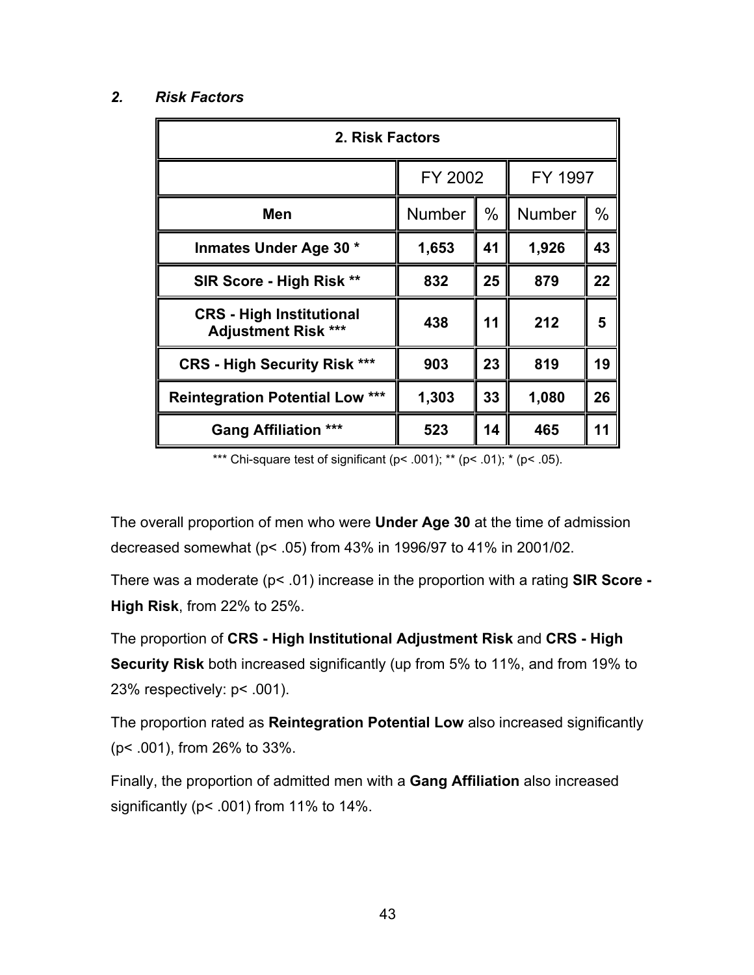## *2. Risk Factors*

| 2. Risk Factors                                               |         |      |               |      |  |
|---------------------------------------------------------------|---------|------|---------------|------|--|
|                                                               | FY 2002 |      | FY 1997       |      |  |
| Men                                                           | Number  | $\%$ | <b>Number</b> | $\%$ |  |
| Inmates Under Age 30 *                                        | 1,653   | 41   | 1,926         | 43   |  |
| SIR Score - High Risk **                                      | 832     | 25   | 879           | 22   |  |
| <b>CRS</b> - High Institutional<br><b>Adjustment Risk ***</b> | 438     | 11   | 212           | 5    |  |
| <b>CRS - High Security Risk ***</b>                           | 903     | 23   | 819           | 19   |  |
| <b>Reintegration Potential Low ***</b>                        | 1,303   | 33   | 1,080         | 26   |  |
| <b>Gang Affiliation ***</b>                                   | 523     | 14   | 465           | 11   |  |

\*\*\* Chi-square test of significant (p< .001); \*\* (p< .01); \* (p< .05).

The overall proportion of men who were **Under Age 30** at the time of admission decreased somewhat (p< .05) from 43% in 1996/97 to 41% in 2001/02.

There was a moderate (p< .01) increase in the proportion with a rating **SIR Score - High Risk**, from 22% to 25%.

The proportion of **CRS - High Institutional Adjustment Risk** and **CRS - High Security Risk** both increased significantly (up from 5% to 11%, and from 19% to 23% respectively: p< .001).

The proportion rated as **Reintegration Potential Low** also increased significantly (p< .001), from 26% to 33%.

Finally, the proportion of admitted men with a **Gang Affiliation** also increased significantly (p< .001) from 11% to 14%.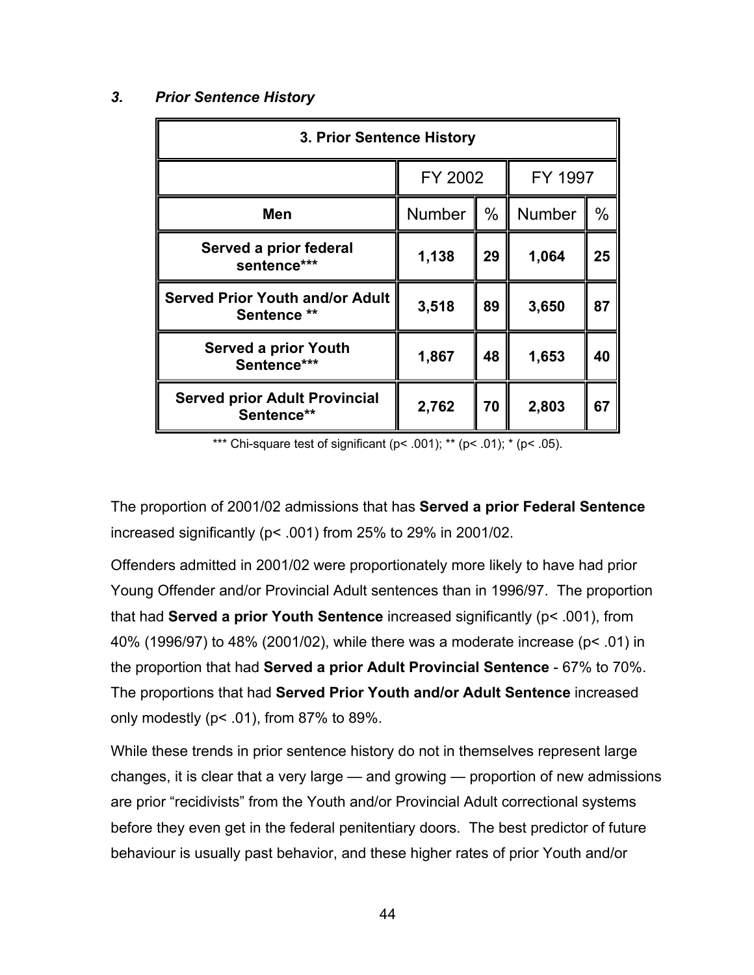#### *3. Prior Sentence History*

| 3. Prior Sentence History                             |        |         |        |               |
|-------------------------------------------------------|--------|---------|--------|---------------|
|                                                       |        | FY 2002 |        | FY 1997       |
| Men                                                   | Number | $\%$    | Number | $\frac{0}{0}$ |
| Served a prior federal<br>sentence***                 | 1,138  | 29      | 1,064  | 25            |
| <b>Served Prior Youth and/or Adult</b><br>Sentence ** | 3,518  | 89      | 3,650  | 87            |
| <b>Served a prior Youth</b><br>Sentence***            | 1,867  | 48      | 1,653  | 40            |
| <b>Served prior Adult Provincial</b><br>Sentence**    | 2,762  | 70      | 2,803  | 67            |

\*\*\* Chi-square test of significant ( $p$ < .001); \*\* ( $p$ < .01); \* ( $p$ < .05).

The proportion of 2001/02 admissions that has **Served a prior Federal Sentence** increased significantly ( $p$ < .001) from 25% to 29% in 2001/02.

Offenders admitted in 2001/02 were proportionately more likely to have had prior Young Offender and/or Provincial Adult sentences than in 1996/97. The proportion that had **Served a prior Youth Sentence** increased significantly (p< .001), from 40% (1996/97) to 48% (2001/02), while there was a moderate increase (p< .01) in the proportion that had **Served a prior Adult Provincial Sentence** - 67% to 70%. The proportions that had **Served Prior Youth and/or Adult Sentence** increased only modestly (p< .01), from 87% to 89%.

While these trends in prior sentence history do not in themselves represent large changes, it is clear that a very large — and growing — proportion of new admissions are prior "recidivists" from the Youth and/or Provincial Adult correctional systems before they even get in the federal penitentiary doors. The best predictor of future behaviour is usually past behavior, and these higher rates of prior Youth and/or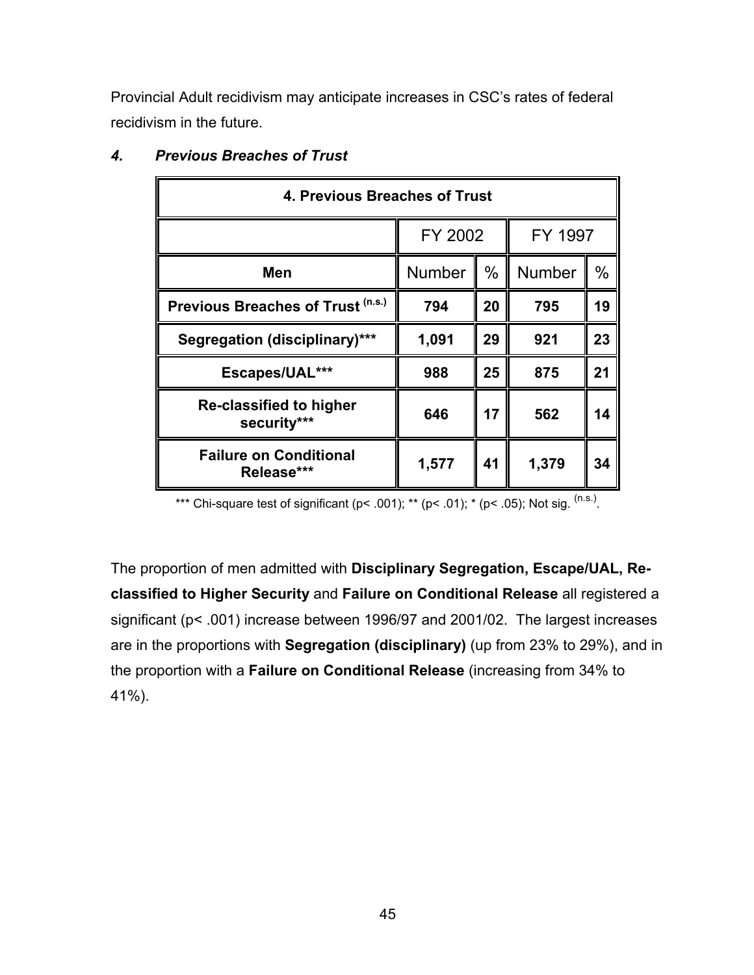Provincial Adult recidivism may anticipate increases in CSC's rates of federal recidivism in the future.

| 4. Previous Breaches of Trust               |               |      |               |      |
|---------------------------------------------|---------------|------|---------------|------|
|                                             | FY 2002       |      | FY 1997       |      |
| Men                                         | <b>Number</b> | $\%$ | <b>Number</b> | $\%$ |
| Previous Breaches of Trust (n.s.)           | 794           | 20   | 795           | 19   |
| <b>Segregation (disciplinary)***</b>        | 1,091         | 29   | 921           | 23   |
| Escapes/UAL***                              | 988           | 25   | 875           | 21   |
| Re-classified to higher<br>security***      | 646           | 17   | 562           | 14   |
| <b>Failure on Conditional</b><br>Release*** | 1,577         | 41   | 1,379         | 34   |

## *4. Previous Breaches of Trust*

\*\*\* Chi-square test of significant (p< .001); \*\* (p< .01); \* (p< .05); Not sig.  $^{(n.s.)}$ .

The proportion of men admitted with **Disciplinary Segregation, Escape/UAL, Reclassified to Higher Security** and **Failure on Conditional Release** all registered a significant (p< .001) increase between 1996/97 and 2001/02. The largest increases are in the proportions with **Segregation (disciplinary)** (up from 23% to 29%), and in the proportion with a **Failure on Conditional Release** (increasing from 34% to 41%).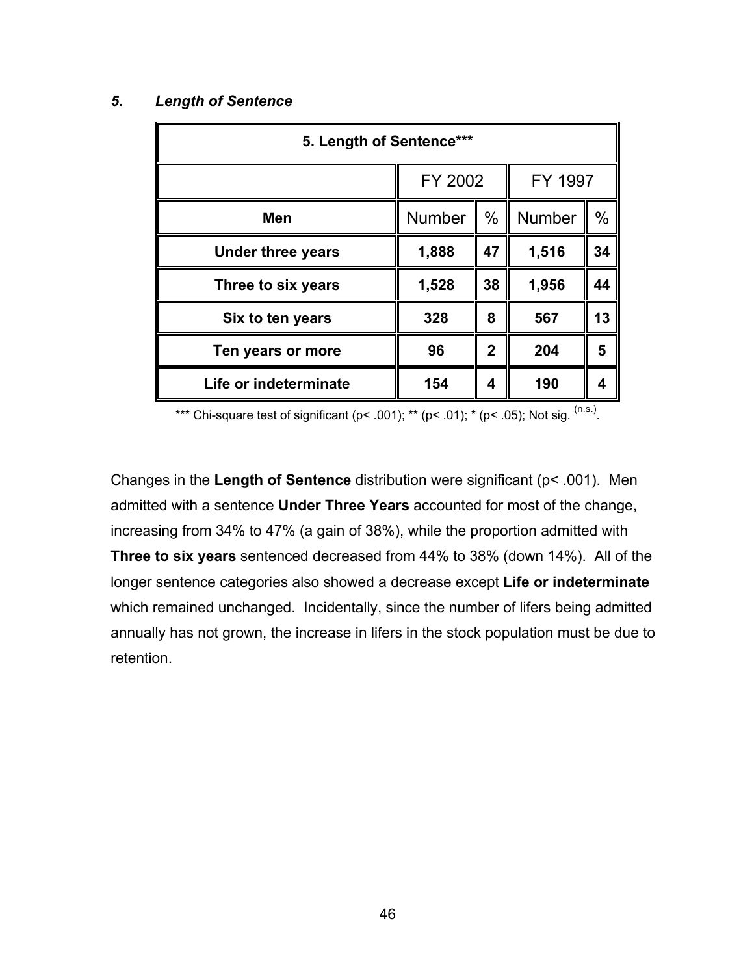#### *5. Length of Sentence*

| 5. Length of Sentence*** |               |                |         |               |
|--------------------------|---------------|----------------|---------|---------------|
|                          | FY 2002       |                | FY 1997 |               |
| <b>Men</b>               | <b>Number</b> | $\%$           | Number  | $\frac{0}{0}$ |
| <b>Under three years</b> | 1,888         | 47             | 1,516   | 34            |
| Three to six years       | 1,528         | 38             | 1,956   | 44            |
| Six to ten years         | 328           | 8              | 567     | 13            |
| Ten years or more        | 96            | $\overline{2}$ | 204     | 5             |
| Life or indeterminate    | 154           | 4              | 190     | 4             |

\*\*\* Chi-square test of significant (p< .001); \*\* (p< .01); \* (p< .05); Not sig.  $^{(n.s.)}$ .

Changes in the **Length of Sentence** distribution were significant (p< .001). Men admitted with a sentence **Under Three Years** accounted for most of the change, increasing from 34% to 47% (a gain of 38%), while the proportion admitted with **Three to six years** sentenced decreased from 44% to 38% (down 14%). All of the longer sentence categories also showed a decrease except **Life or indeterminate** which remained unchanged. Incidentally, since the number of lifers being admitted annually has not grown, the increase in lifers in the stock population must be due to retention.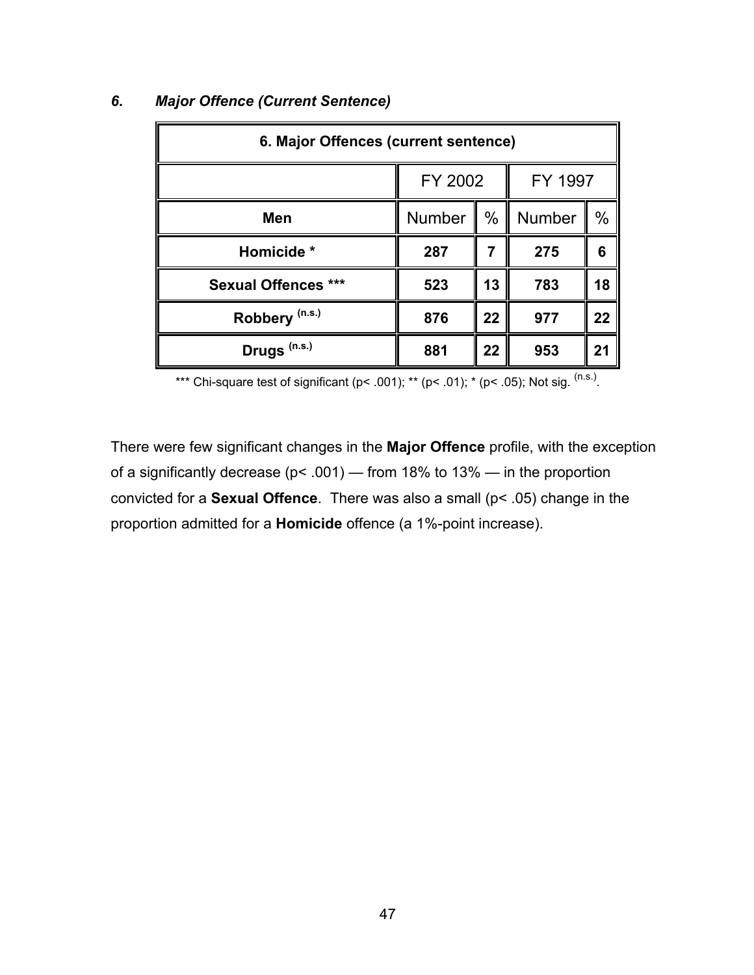| 6. Major Offences (current sentence) |         |      |               |      |  |
|--------------------------------------|---------|------|---------------|------|--|
|                                      | FY 2002 |      | FY 1997       |      |  |
| Men                                  | Number  | $\%$ | <b>Number</b> | $\%$ |  |
| Homicide *                           | 287     |      | 275           | 6    |  |
| <b>Sexual Offences ***</b>           | 523     | 13   | 783           | 18   |  |
| Robbery <sup>(n.s.)</sup>            | 876     | 22   | 977           | 22   |  |
| Drugs <sup>(n.s.)</sup>              | 881     | 22   | 953           | 21   |  |

## *6. Major Offence (Current Sentence)*

\*\*\* Chi-square test of significant (p< .001); \*\* (p< .01); \* (p< .05); Not sig.  $(ns.)$ .

There were few significant changes in the **Major Offence** profile, with the exception of a significantly decrease (p< .001) — from 18% to 13% — in the proportion convicted for a **Sexual Offence**. There was also a small (p< .05) change in the proportion admitted for a **Homicide** offence (a 1%-point increase).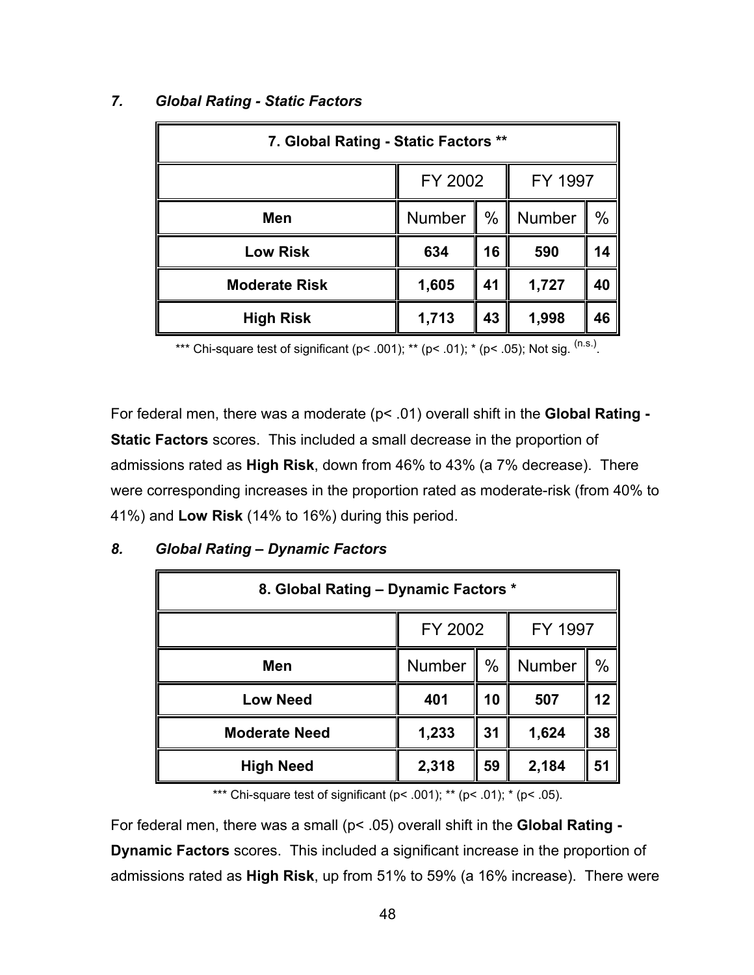| 7. Global Rating - Static Factors ** |                    |               |               |               |
|--------------------------------------|--------------------|---------------|---------------|---------------|
|                                      | FY 2002<br>FY 1997 |               |               |               |
| Men                                  | Number             | $\frac{0}{0}$ | <b>Number</b> | $\frac{0}{0}$ |
| <b>Low Risk</b>                      | 634                | 16            | 590           | 14            |
| <b>Moderate Risk</b>                 | 1,605              | 41            | 1,727         | 40            |
| <b>High Risk</b>                     | 1,713              | 43            | 1,998         | 46            |

### *7. Global Rating - Static Factors*

\*\*\* Chi-square test of significant (p< .001); \*\* (p< .01); \* (p< .05); Not sig.  $(n.s.)$ 

For federal men, there was a moderate (p< .01) overall shift in the **Global Rating - Static Factors** scores. This included a small decrease in the proportion of admissions rated as **High Risk**, down from 46% to 43% (a 7% decrease). There were corresponding increases in the proportion rated as moderate-risk (from 40% to 41%) and **Low Risk** (14% to 16%) during this period.

| 8. Global Rating - Dynamic Factors * |                    |               |        |      |  |
|--------------------------------------|--------------------|---------------|--------|------|--|
|                                      | FY 2002<br>FY 1997 |               |        |      |  |
| Men                                  | Number             | $\frac{0}{0}$ | Number | $\%$ |  |
| <b>Low Need</b>                      | 401                | 10            | 507    | 12   |  |
| <b>Moderate Need</b>                 | 1,233              | 31            | 1,624  | 38   |  |
| <b>High Need</b>                     | 2,318              | 59            | 2,184  | 51   |  |

#### *8. Global Rating – Dynamic Factors*

\*\*\* Chi-square test of significant ( $p$ < .001); \*\* ( $p$ < .01); \* ( $p$ < .05).

For federal men, there was a small (p< .05) overall shift in the **Global Rating - Dynamic Factors** scores. This included a significant increase in the proportion of admissions rated as **High Risk**, up from 51% to 59% (a 16% increase). There were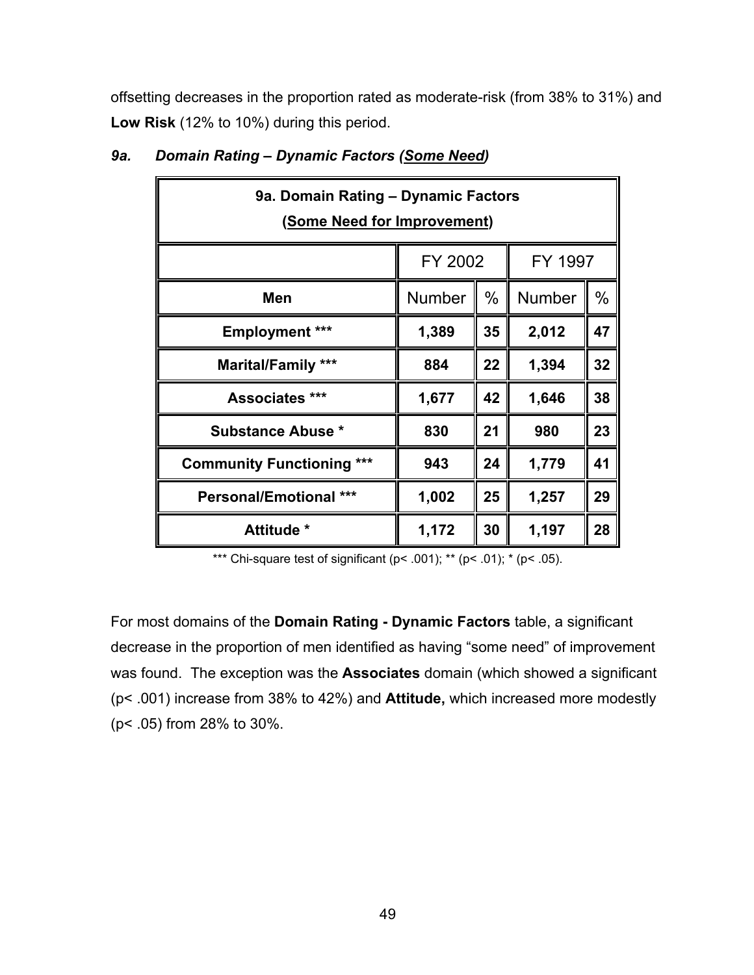offsetting decreases in the proportion rated as moderate-risk (from 38% to 31%) and **Low Risk** (12% to 10%) during this period.

| 9a. Domain Rating - Dynamic Factors<br>(Some Need for Improvement) |         |               |         |               |
|--------------------------------------------------------------------|---------|---------------|---------|---------------|
|                                                                    | FY 2002 |               | FY 1997 |               |
| Men                                                                | Number  | $\frac{0}{0}$ | Number  | $\frac{0}{0}$ |
| <b>Employment ***</b>                                              | 1,389   | 35            | 2,012   | 47            |
| <b>Marital/Family ***</b>                                          | 884     | 22            | 1,394   | 32            |
| Associates ***                                                     | 1,677   | 42            | 1,646   | 38            |
| <b>Substance Abuse *</b>                                           | 830     | 21            | 980     | 23            |
| <b>Community Functioning ***</b>                                   | 943     | 24            | 1,779   | 41            |
| <b>Personal/Emotional ***</b>                                      | 1,002   | 25            | 1,257   | 29            |
| Attitude *                                                         | 1,172   | 30            | 1,197   | 28            |

## *9a. Domain Rating – Dynamic Factors (Some Need)*

\*\*\* Chi-square test of significant ( $p$ < .001); \*\* ( $p$ < .01); \* ( $p$ < .05).

For most domains of the **Domain Rating - Dynamic Factors** table, a significant decrease in the proportion of men identified as having "some need" of improvement was found. The exception was the **Associates** domain (which showed a significant (p< .001) increase from 38% to 42%) and **Attitude,** which increased more modestly (p< .05) from 28% to 30%.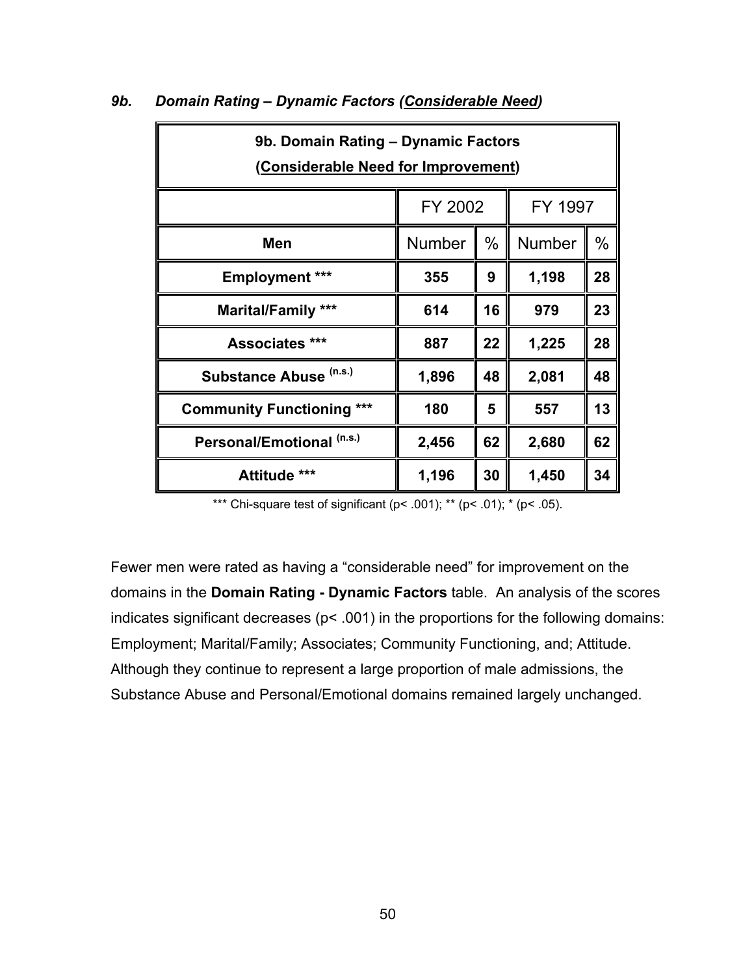| 9b. Domain Rating - Dynamic Factors<br>(Considerable Need for Improvement) |                    |    |        |      |  |
|----------------------------------------------------------------------------|--------------------|----|--------|------|--|
|                                                                            | FY 2002<br>FY 1997 |    |        |      |  |
| Men                                                                        | <b>Number</b>      | %  | Number | $\%$ |  |
| <b>Employment ***</b>                                                      | 355                | 9  | 1,198  | 28   |  |
| <b>Marital/Family ***</b>                                                  | 614                | 16 | 979    | 23   |  |
| <b>Associates ***</b>                                                      | 887                | 22 | 1,225  | 28   |  |
| Substance Abuse (n.s.)                                                     | 1,896              | 48 | 2,081  | 48   |  |
| <b>Community Functioning ***</b>                                           | 180                | 5  | 557    | 13   |  |
| Personal/Emotional (n.s.)                                                  | 2,456              | 62 | 2,680  | 62   |  |
| Attitude ***                                                               | 1,196              | 30 | 1,450  | 34   |  |

#### *9b. Domain Rating – Dynamic Factors (Considerable Need)*

\*\*\* Chi-square test of significant ( $p$ < .001); \*\* ( $p$ < .01); \* ( $p$ < .05).

Fewer men were rated as having a "considerable need" for improvement on the domains in the **Domain Rating - Dynamic Factors** table. An analysis of the scores indicates significant decreases ( $p$ < .001) in the proportions for the following domains: Employment; Marital/Family; Associates; Community Functioning, and; Attitude. Although they continue to represent a large proportion of male admissions, the Substance Abuse and Personal/Emotional domains remained largely unchanged.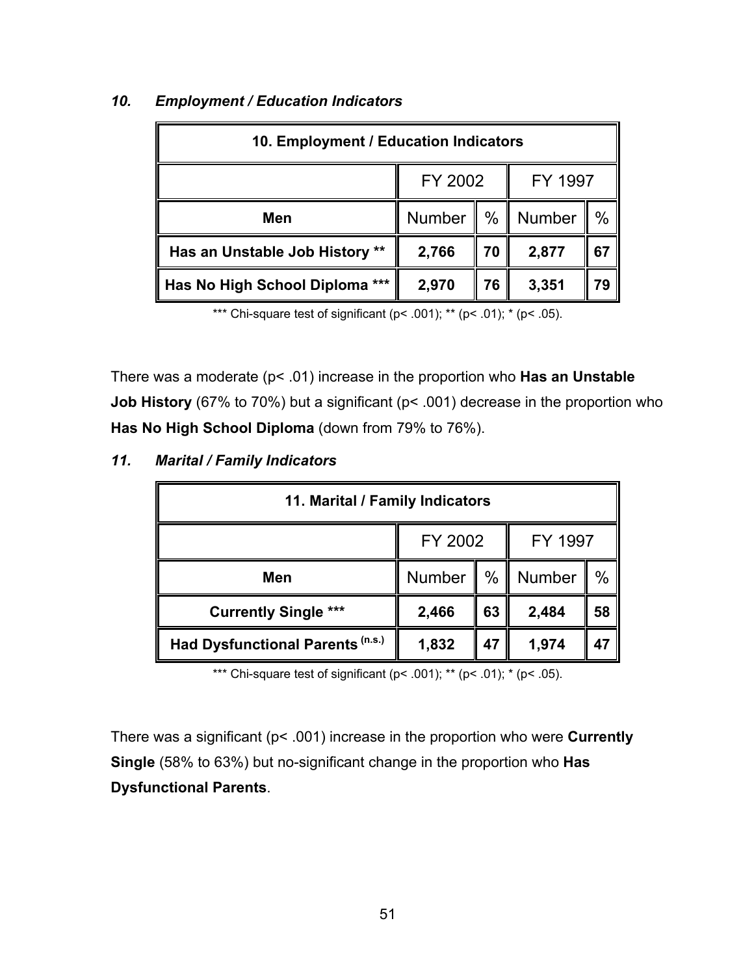| 10. Employment / Education Indicators |         |           |        |      |  |
|---------------------------------------|---------|-----------|--------|------|--|
|                                       | FY 2002 | FY 1997   |        |      |  |
| Men                                   | Number  | Π<br>$\%$ | Number | $\%$ |  |
| Has an Unstable Job History **        | 2,766   | 70        | 2,877  | 67   |  |
| Has No High School Diploma ***        | 2,970   | 76        | 3,351  | 79   |  |

## *10. Employment / Education Indicators*

\*\*\* Chi-square test of significant ( $p$ < .001); \*\* ( $p$ < .01); \* ( $p$ < .05).

There was a moderate (p< .01) increase in the proportion who **Has an Unstable Job History** (67% to 70%) but a significant (p< .001) decrease in the proportion who **Has No High School Diploma** (down from 79% to 76%).

| 11. Marital / Family Indicators  |             |    |         |      |  |
|----------------------------------|-------------|----|---------|------|--|
|                                  | FY 2002     |    | FY 1997 |      |  |
| Men                              | Number<br>Ш | %  | Number  | $\%$ |  |
| <b>Currently Single ***</b>      | 2,466       | 63 | 2,484   | 58   |  |
| Had Dysfunctional Parents (n.s.) | 1,832       | 47 | 1,974   | 47   |  |

#### *11. Marital / Family Indicators*

\*\*\* Chi-square test of significant ( $p$ < .001); \*\* ( $p$ < .01); \* ( $p$ < .05).

There was a significant (p< .001) increase in the proportion who were **Currently Single** (58% to 63%) but no-significant change in the proportion who **Has Dysfunctional Parents**.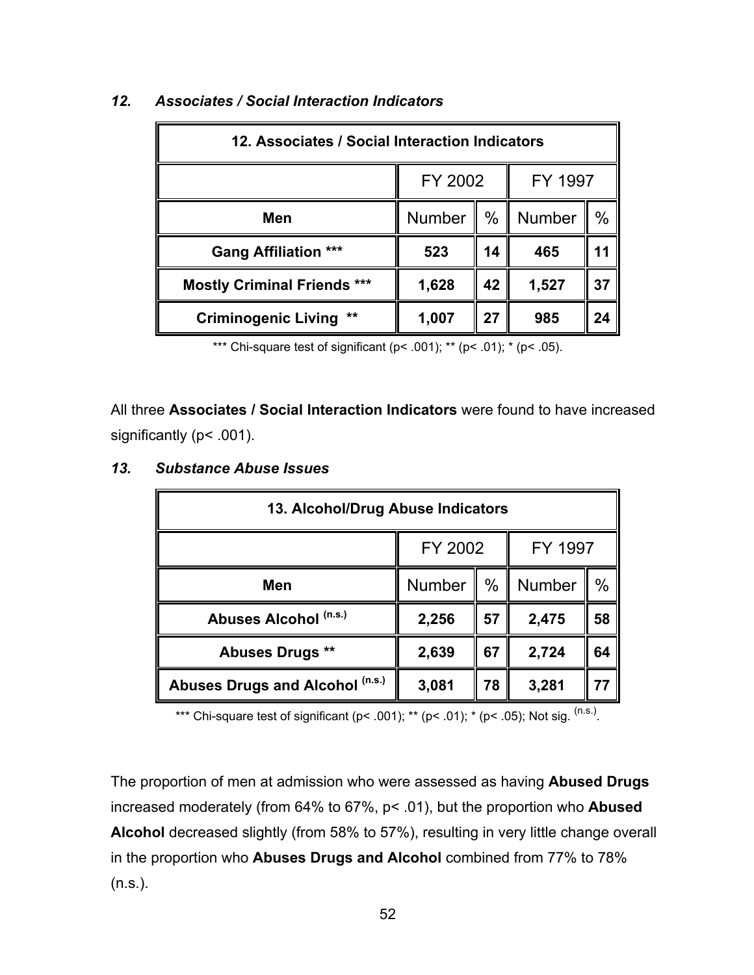| 12. Associates / Social Interaction Indicators |                    |      |        |      |  |
|------------------------------------------------|--------------------|------|--------|------|--|
|                                                | FY 2002<br>FY 1997 |      |        |      |  |
| Men                                            | Number             | $\%$ | Number | $\%$ |  |
| <b>Gang Affiliation ***</b>                    | 523                | 14   | 465    | 11   |  |
| <b>Mostly Criminal Friends ***</b>             | 1,628              | 42   | 1,527  | 37   |  |
| **<br><b>Criminogenic Living</b>               | 1,007              | 27   | 985    | 24   |  |

## *12. Associates / Social Interaction Indicators*

\*\*\* Chi-square test of significant ( $p$  < .001); \*\* ( $p$  < .01); \* ( $p$  < .05).

All three **Associates / Social Interaction Indicators** were found to have increased significantly (p< .001).

| 13. Alcohol/Drug Abuse Indicators |                    |    |        |               |  |
|-----------------------------------|--------------------|----|--------|---------------|--|
|                                   | FY 2002<br>FY 1997 |    |        |               |  |
| Men                               | Number             | %  | Number | $\frac{0}{0}$ |  |
| Abuses Alcohol (n.s.)             | 2,256              | 57 | 2,475  | 58            |  |
| <b>Abuses Drugs **</b>            | 2,639              | 67 | 2,724  | 64            |  |
| Abuses Drugs and Alcohol (n.s.)   | 3,081              | 78 | 3,281  |               |  |

## *13. Substance Abuse Issues*

\*\*\* Chi-square test of significant (p< .001); \*\* (p< .01); \* (p< .05); Not sig.  $^{(n.s.)}$ .

The proportion of men at admission who were assessed as having **Abused Drugs** increased moderately (from 64% to 67%, p< .01), but the proportion who **Abused Alcohol** decreased slightly (from 58% to 57%), resulting in very little change overall in the proportion who **Abuses Drugs and Alcohol** combined from 77% to 78% (n.s.).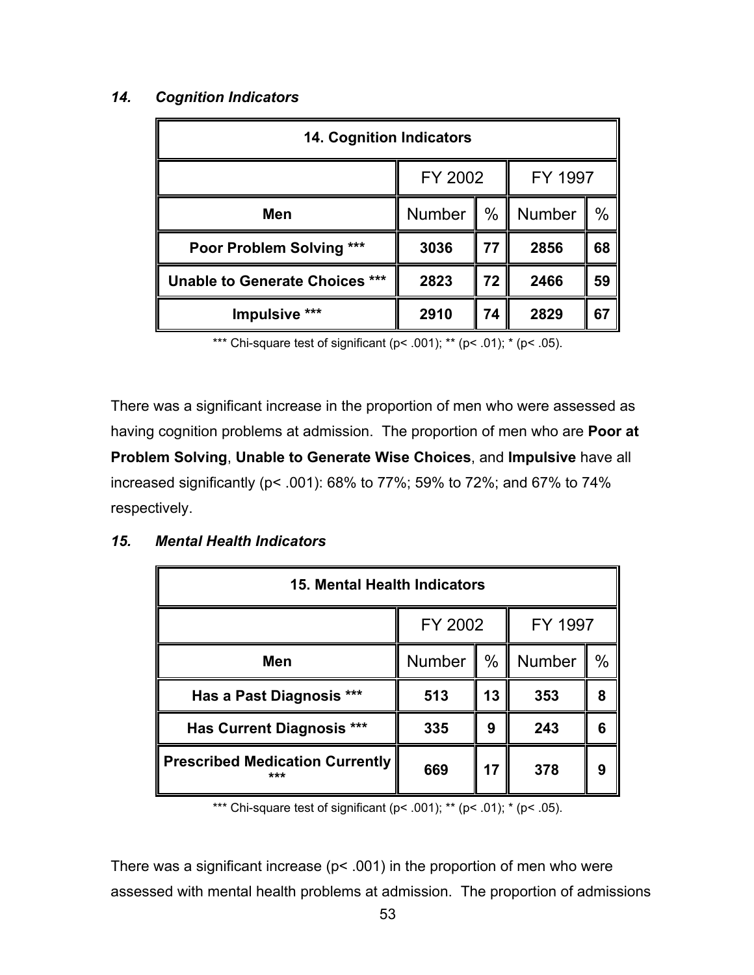## *14. Cognition Indicators*

| <b>14. Cognition Indicators</b>    |                    |               |        |      |
|------------------------------------|--------------------|---------------|--------|------|
|                                    | FY 2002<br>FY 1997 |               |        |      |
| Men                                | Number             | $\frac{0}{0}$ | Number | $\%$ |
| ***<br><b>Poor Problem Solving</b> | 3036               | 77            | 2856   | 68   |
| Unable to Generate Choices ***     | 2823               | 72            | 2466   | 59   |
| Impulsive ***                      | 2910               | 74            | 2829   | 67   |

\*\*\* Chi-square test of significant ( $p$ < .001); \*\* ( $p$ < .01); \* ( $p$ < .05).

There was a significant increase in the proportion of men who were assessed as having cognition problems at admission. The proportion of men who are **Poor at Problem Solving**, **Unable to Generate Wise Choices**, and **Impulsive** have all increased significantly (p< .001): 68% to 77%; 59% to 72%; and 67% to 74% respectively.

| 15. Mental Health Indicators                  |                    |      |               |      |  |
|-----------------------------------------------|--------------------|------|---------------|------|--|
|                                               | FY 2002<br>FY 1997 |      |               |      |  |
| Men                                           | Number             | $\%$ | <b>Number</b> | $\%$ |  |
| Has a Past Diagnosis ***                      | 513                | 13   | 353           | 8    |  |
| <b>Has Current Diagnosis ***</b>              | 335                | 9    | 243           | 6    |  |
| <b>Prescribed Medication Currently</b><br>*** | 669                | 17   | 378           | 9    |  |

#### *15. Mental Health Indicators*

\*\*\* Chi-square test of significant ( $p$  < .001); \*\* ( $p$  < .01); \* ( $p$  < .05).

There was a significant increase ( $p$ < .001) in the proportion of men who were assessed with mental health problems at admission. The proportion of admissions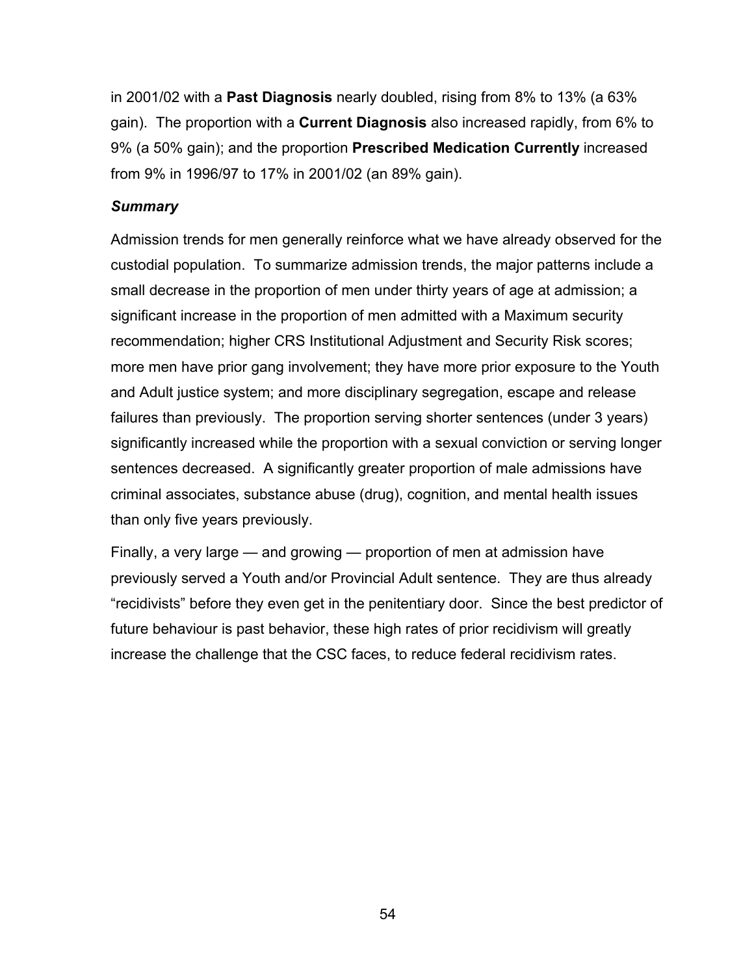in 2001/02 with a **Past Diagnosis** nearly doubled, rising from 8% to 13% (a 63% gain). The proportion with a **Current Diagnosis** also increased rapidly, from 6% to 9% (a 50% gain); and the proportion **Prescribed Medication Currently** increased from 9% in 1996/97 to 17% in 2001/02 (an 89% gain).

#### *Summary*

Admission trends for men generally reinforce what we have already observed for the custodial population. To summarize admission trends, the major patterns include a small decrease in the proportion of men under thirty years of age at admission; a significant increase in the proportion of men admitted with a Maximum security recommendation; higher CRS Institutional Adjustment and Security Risk scores; more men have prior gang involvement; they have more prior exposure to the Youth and Adult justice system; and more disciplinary segregation, escape and release failures than previously. The proportion serving shorter sentences (under 3 years) significantly increased while the proportion with a sexual conviction or serving longer sentences decreased. A significantly greater proportion of male admissions have criminal associates, substance abuse (drug), cognition, and mental health issues than only five years previously.

Finally, a very large — and growing — proportion of men at admission have previously served a Youth and/or Provincial Adult sentence. They are thus already "recidivists" before they even get in the penitentiary door. Since the best predictor of future behaviour is past behavior, these high rates of prior recidivism will greatly increase the challenge that the CSC faces, to reduce federal recidivism rates.

54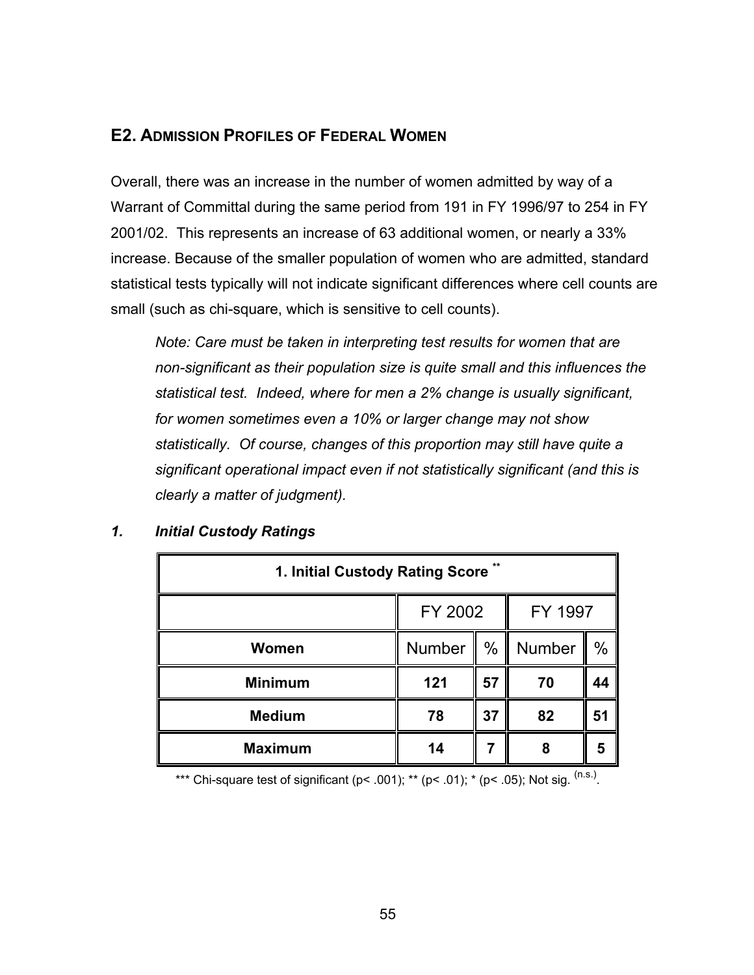## **E2. ADMISSION PROFILES OF FEDERAL WOMEN**

Overall, there was an increase in the number of women admitted by way of a Warrant of Committal during the same period from 191 in FY 1996/97 to 254 in FY 2001/02. This represents an increase of 63 additional women, or nearly a 33% increase. Because of the smaller population of women who are admitted, standard statistical tests typically will not indicate significant differences where cell counts are small (such as chi-square, which is sensitive to cell counts).

*Note: Care must be taken in interpreting test results for women that are non-significant as their population size is quite small and this influences the statistical test. Indeed, where for men a 2% change is usually significant, for women sometimes even a 10% or larger change may not show statistically. Of course, changes of this proportion may still have quite a significant operational impact even if not statistically significant (and this is clearly a matter of judgment).*

| $***$<br>1. Initial Custody Rating Score |                    |      |        |      |  |
|------------------------------------------|--------------------|------|--------|------|--|
|                                          | FY 2002<br>FY 1997 |      |        |      |  |
| Women                                    | <b>Number</b>      | $\%$ | Number | $\%$ |  |
| <b>Minimum</b>                           | 121                | 57   | 70     | 44   |  |
| <b>Medium</b>                            | 78                 | 37   | 82     | 51   |  |
| <b>Maximum</b>                           | 14                 |      | 8      | 5    |  |

#### *1. Initial Custody Ratings*

\*\*\* Chi-square test of significant (p< .001); \*\* (p< .01); \* (p< .05); Not sig.  $^{(n.s.)}$ .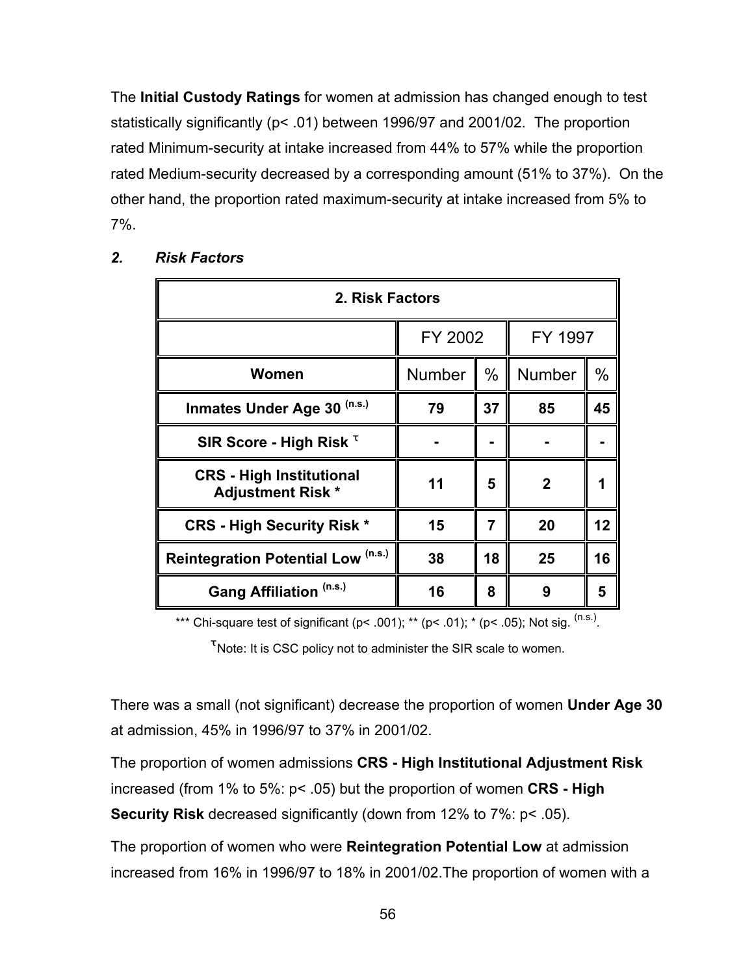The **Initial Custody Ratings** for women at admission has changed enough to test statistically significantly (p< .01) between 1996/97 and 2001/02. The proportion rated Minimum-security at intake increased from 44% to 57% while the proportion rated Medium-security decreased by a corresponding amount (51% to 37%). On the other hand, the proportion rated maximum-security at intake increased from 5% to 7%.

| 2. Risk Factors                                             |               |    |         |      |
|-------------------------------------------------------------|---------------|----|---------|------|
|                                                             | FY 2002       |    | FY 1997 |      |
| Women                                                       | <b>Number</b> | %  | Number  | $\%$ |
| (n.s.)<br><b>Inmates Under Age 30</b>                       | 79            | 37 | 85      | 45   |
| SIR Score - High Risk <sup>T</sup>                          |               |    |         |      |
| <b>CRS</b> - High Institutional<br><b>Adjustment Risk *</b> | 11            | 5  | 2       |      |
| <b>CRS - High Security Risk *</b>                           | 15            | 7  | 20      | 12   |
| Reintegration Potential Low (n.s.)                          | 38            | 18 | 25      | 16   |
| Gang Affiliation (n.s.)                                     | 16            | 8  | 9       | 5    |

## *2. Risk Factors*

\*\*\* Chi-square test of significant (p< .001); \*\* (p< .01); \* (p< .05); Not sig.  $^{(n.s.)}$ .

 $\mathfrak{r}$  Note: It is CSC policy not to administer the SIR scale to women.

There was a small (not significant) decrease the proportion of women **Under Age 30** at admission, 45% in 1996/97 to 37% in 2001/02.

The proportion of women admissions **CRS - High Institutional Adjustment Risk** increased (from 1% to 5%: p< .05) but the proportion of women **CRS - High Security Risk** decreased significantly (down from 12% to 7%: p< .05).

The proportion of women who were **Reintegration Potential Low** at admission increased from 16% in 1996/97 to 18% in 2001/02.The proportion of women with a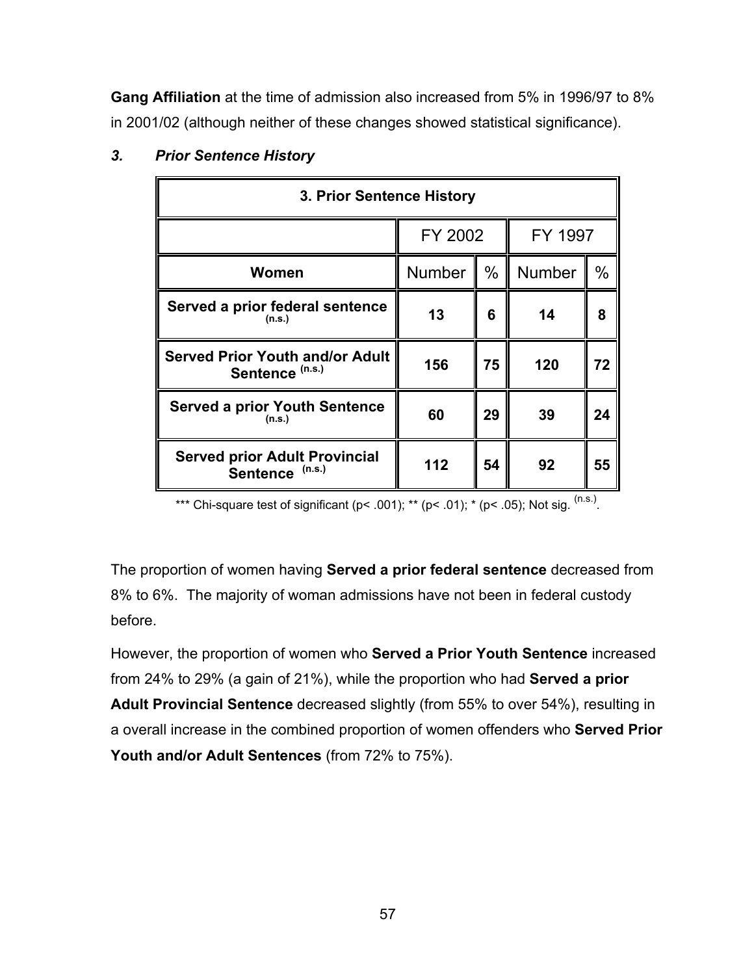**Gang Affiliation** at the time of admission also increased from 5% in 1996/97 to 8% in 2001/02 (although neither of these changes showed statistical significance).

| 3. Prior Sentence History                                         |                    |      |               |      |
|-------------------------------------------------------------------|--------------------|------|---------------|------|
|                                                                   | FY 2002<br>FY 1997 |      |               |      |
| Women                                                             | <b>Number</b>      | $\%$ | <b>Number</b> | $\%$ |
| Served a prior federal sentence<br>(n.s.)                         | 13                 | 6    | 14            | 8    |
| <b>Served Prior Youth and/or Adult</b><br>Sentence (n.s.)         | 156                | 75   | 120           | 72   |
| <b>Served a prior Youth Sentence</b><br>(n.s.)                    | 60                 | 29   | 39            | 24   |
| <b>Served prior Adult Provincial</b><br>(n.s.)<br><b>Sentence</b> | 112                | 54   | 92            | 55   |

## *3. Prior Sentence History*

\*\*\* Chi-square test of significant (p< .001); \*\* (p< .01); \* (p< .05); Not sig.  $(ns.)$ 

The proportion of women having **Served a prior federal sentence** decreased from 8% to 6%. The majority of woman admissions have not been in federal custody before.

However, the proportion of women who **Served a Prior Youth Sentence** increased from 24% to 29% (a gain of 21%), while the proportion who had **Served a prior Adult Provincial Sentence** decreased slightly (from 55% to over 54%), resulting in a overall increase in the combined proportion of women offenders who **Served Prior Youth and/or Adult Sentences** (from 72% to 75%).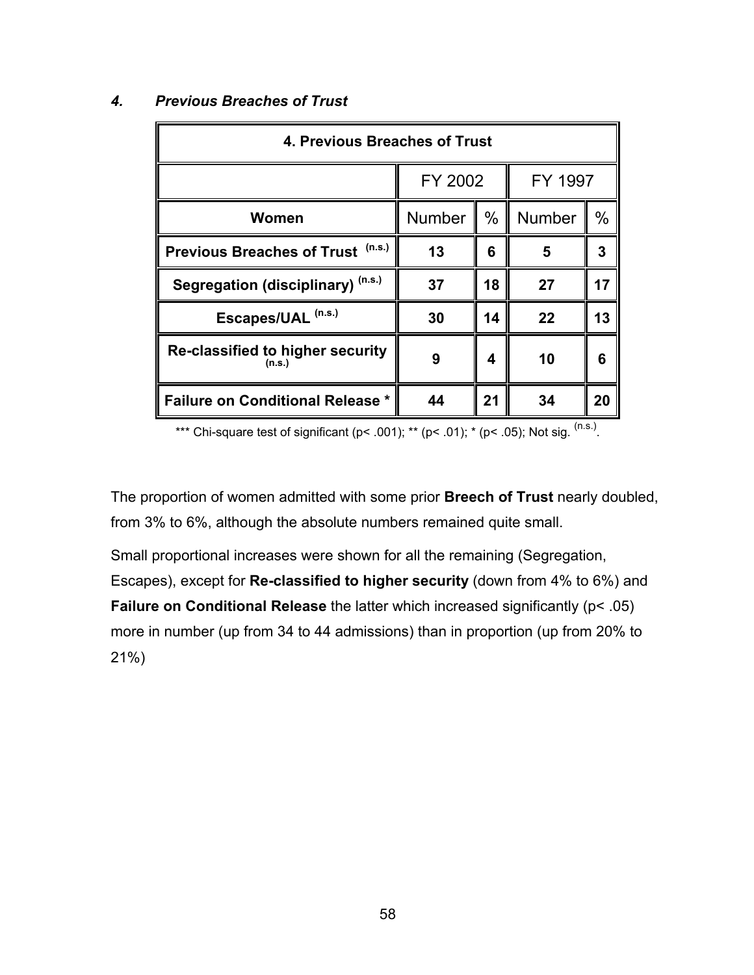| 4. Previous Breaches of Trust               |               |      |               |      |
|---------------------------------------------|---------------|------|---------------|------|
|                                             | FY 2002       |      | FY 1997       |      |
| Women                                       | <b>Number</b> | $\%$ | <b>Number</b> | $\%$ |
| (n.s.)<br><b>Previous Breaches of Trust</b> | 13            | 6    | 5             | 3    |
| Segregation (disciplinary) (n.s.)           | 37            | 18   | 27            | 17   |
| Escapes/UAL <sup>(n.s.)</sup>               | 30            | 14   | 22            | 13   |
| Re-classified to higher security<br>(n.s.)  | 9             | 4    | 10            | 6    |
| <b>Failure on Conditional Release *</b>     | 44            | 21   | 34            | 20   |

## *4. Previous Breaches of Trust*

\*\*\* Chi-square test of significant (p< .001); \*\* (p< .01); \* (p< .05); Not sig.  $(n.s.)$ .

The proportion of women admitted with some prior **Breech of Trust** nearly doubled, from 3% to 6%, although the absolute numbers remained quite small.

Small proportional increases were shown for all the remaining (Segregation, Escapes), except for **Re-classified to higher security** (down from 4% to 6%) and **Failure on Conditional Release** the latter which increased significantly (p< .05) more in number (up from 34 to 44 admissions) than in proportion (up from 20% to 21%)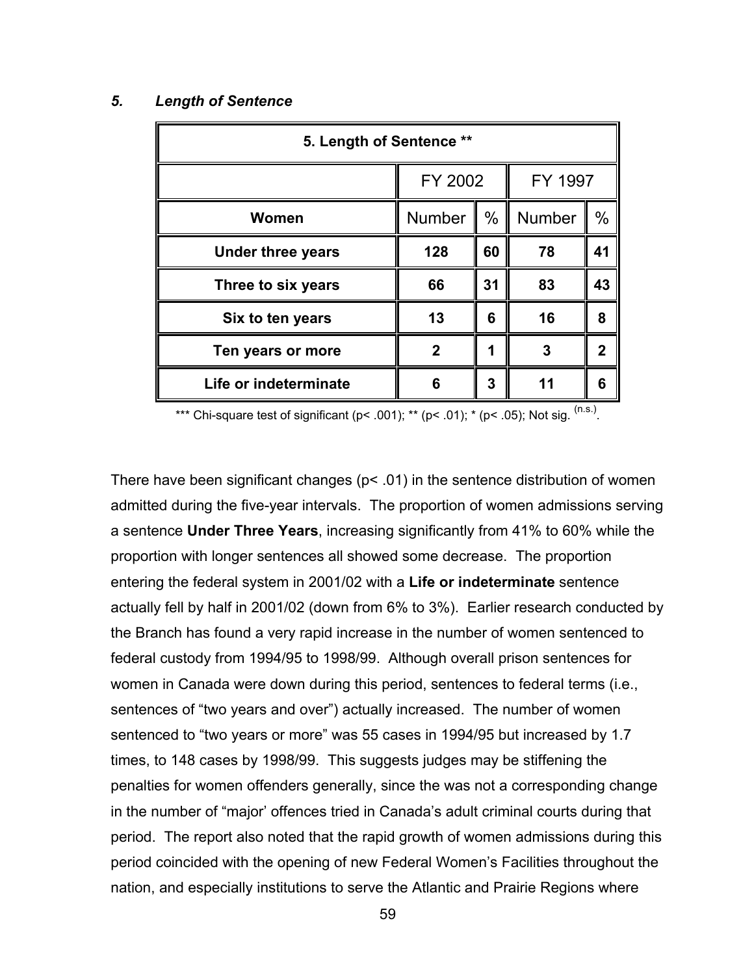#### *5. Length of Sentence*

| 5. Length of Sentence ** |               |         |               |      |
|--------------------------|---------------|---------|---------------|------|
|                          |               | FY 2002 |               |      |
| Women                    | <b>Number</b> | $\%$    | <b>Number</b> | $\%$ |
| <b>Under three years</b> | 128           | 60      | 78            | 41   |
| Three to six years       | 66            | 31      | 83            | 43   |
| Six to ten years         | 13            | 6       | 16            | 8    |
| Ten years or more        | 2             | ◀       | 3             | 2    |
| Life or indeterminate    | 6             | 3       | 11            | 6    |

\*\*\* Chi-square test of significant (p< .001); \*\* (p< .01); \* (p< .05); Not sig.  $^{(n.s.)}$ .

There have been significant changes (p< .01) in the sentence distribution of women admitted during the five-year intervals. The proportion of women admissions serving a sentence **Under Three Years**, increasing significantly from 41% to 60% while the proportion with longer sentences all showed some decrease. The proportion entering the federal system in 2001/02 with a **Life or indeterminate** sentence actually fell by half in 2001/02 (down from 6% to 3%). Earlier research conducted by the Branch has found a very rapid increase in the number of women sentenced to federal custody from 1994/95 to 1998/99. Although overall prison sentences for women in Canada were down during this period, sentences to federal terms (i.e., sentences of "two years and over") actually increased. The number of women sentenced to "two years or more" was 55 cases in 1994/95 but increased by 1.7 times, to 148 cases by 1998/99. This suggests judges may be stiffening the penalties for women offenders generally, since the was not a corresponding change in the number of "major' offences tried in Canada's adult criminal courts during that period. The report also noted that the rapid growth of women admissions during this period coincided with the opening of new Federal Women's Facilities throughout the nation, and especially institutions to serve the Atlantic and Prairie Regions where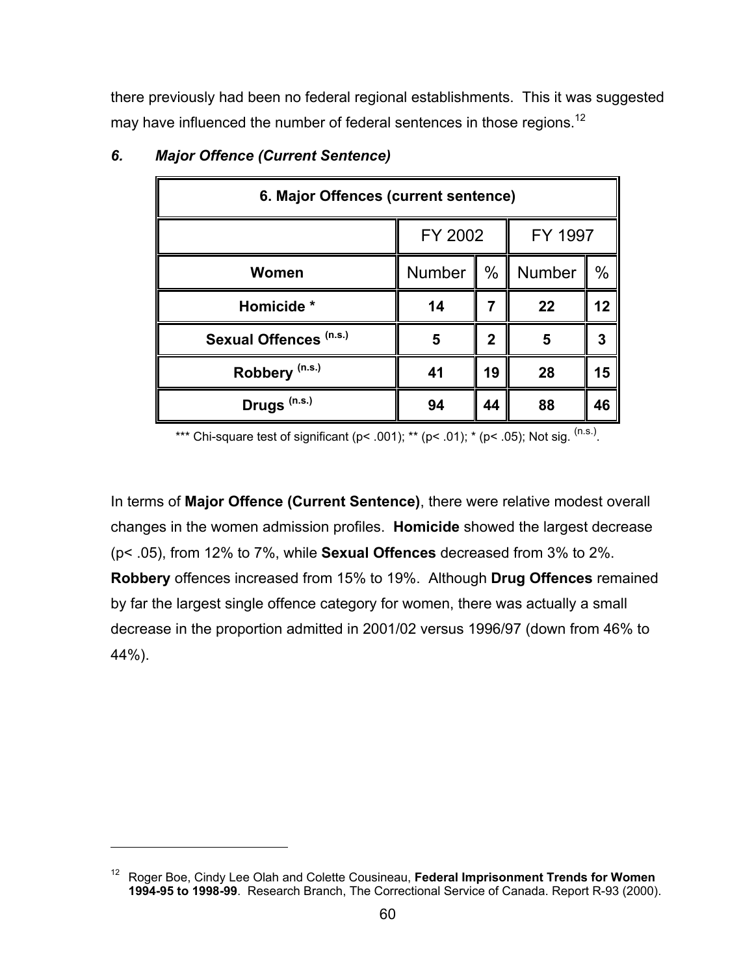there previously had been no federal regional establishments. This it was suggested may have influenced the number of federal sentences in those regions.<sup>12</sup>

| 6. Major Offences (current sentence) |                    |      |        |               |
|--------------------------------------|--------------------|------|--------|---------------|
|                                      | FY 2002<br>FY 1997 |      |        |               |
| Women                                | Number             | $\%$ | Number | $\frac{0}{0}$ |
| Homicide *                           | 14                 |      | 22     | 12            |
| Sexual Offences (n.s.)               | 5                  | 2    | 5      | 3             |
| Robbery <sup>(n.s.)</sup>            | 41                 | 19   | 28     | 15            |
| Drugs <sup>(n.s.)</sup>              | 94                 | 44   | 88     | 46            |

## *6. Major Offence (Current Sentence)*

1

\*\*\* Chi-square test of significant (p< .001); \*\* (p< .01); \* (p< .05); Not sig.  $(ns.)$ 

In terms of **Major Offence (Current Sentence)**, there were relative modest overall changes in the women admission profiles. **Homicide** showed the largest decrease (p< .05), from 12% to 7%, while **Sexual Offences** decreased from 3% to 2%. **Robbery** offences increased from 15% to 19%. Although **Drug Offences** remained by far the largest single offence category for women, there was actually a small decrease in the proportion admitted in 2001/02 versus 1996/97 (down from 46% to 44%).

<sup>12</sup> Roger Boe, Cindy Lee Olah and Colette Cousineau, **Federal Imprisonment Trends for Women 1994-95 to 1998-99**. Research Branch, The Correctional Service of Canada. Report R-93 (2000).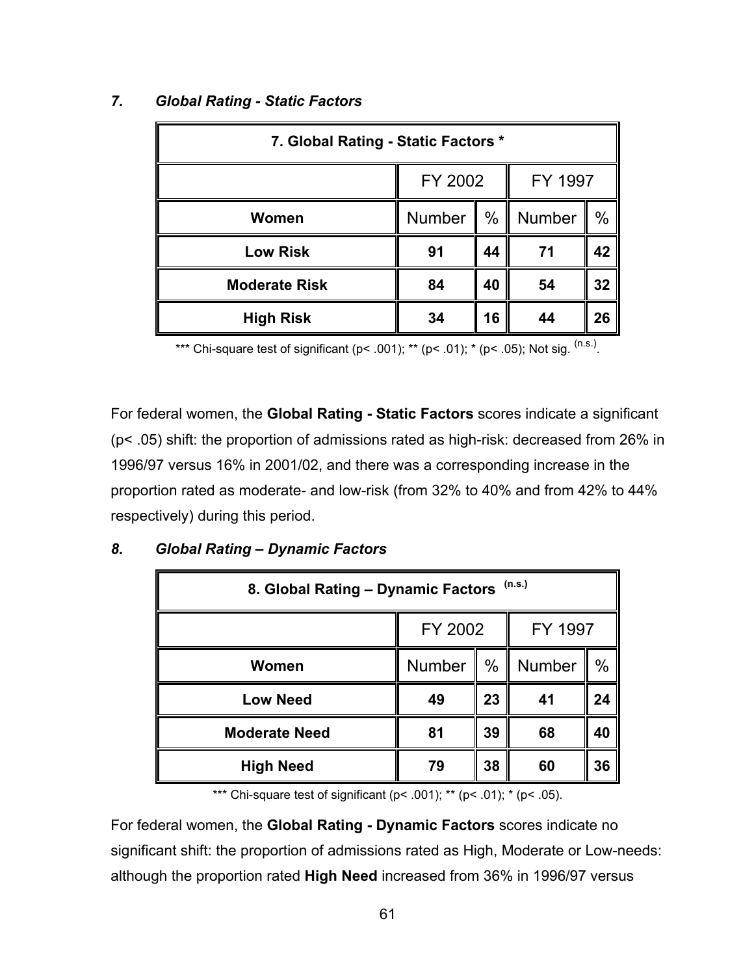| 7. Global Rating - Static Factors * |               |    |        |               |
|-------------------------------------|---------------|----|--------|---------------|
| FY 2002<br>FY 1997                  |               |    |        |               |
| <b>Women</b>                        | <b>Number</b> | %  | Number | $\frac{0}{0}$ |
| <b>Low Risk</b>                     | 91            | 44 | 71     | 42            |
| <b>Moderate Risk</b>                | 84            | 40 | 54     | 32            |
| <b>High Risk</b>                    | 34            | 16 | 44     | 26            |

## *7. Global Rating - Static Factors*

\*\*\* Chi-square test of significant (p< .001); \*\* (p< .01); \* (p< .05); Not sig.  $(n.s.)$ 

For federal women, the **Global Rating - Static Factors** scores indicate a significant (p< .05) shift: the proportion of admissions rated as high-risk: decreased from 26% in 1996/97 versus 16% in 2001/02, and there was a corresponding increase in the proportion rated as moderate- and low-risk (from 32% to 40% and from 42% to 44% respectively) during this period.

| 8. Global Rating - Dynamic Factors (n.s.) |        |               |        |      |  |
|-------------------------------------------|--------|---------------|--------|------|--|
| FY 2002<br>FY 1997                        |        |               |        |      |  |
| Women                                     | Number | $\frac{0}{0}$ | Number | $\%$ |  |
| <b>Low Need</b>                           | 49     | 23            | 41     | 24   |  |
| <b>Moderate Need</b>                      | 81     | 39            | 68     | 40   |  |
| <b>High Need</b>                          | 79     | 38            | 60     | 36   |  |

## *8. Global Rating – Dynamic Factors*

\*\*\* Chi-square test of significant ( $p$ < .001); \*\* ( $p$ < .01); \* ( $p$ < .05).

For federal women, the **Global Rating - Dynamic Factors** scores indicate no significant shift: the proportion of admissions rated as High, Moderate or Low-needs: although the proportion rated **High Need** increased from 36% in 1996/97 versus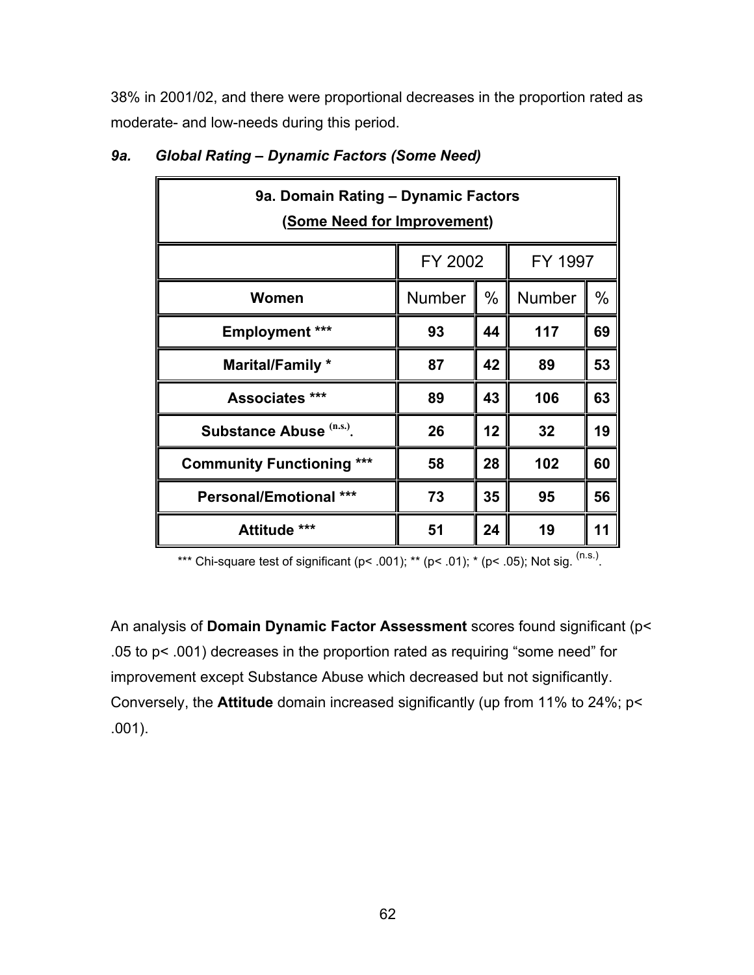38% in 2001/02, and there were proportional decreases in the proportion rated as moderate- and low-needs during this period.

| 9a. Domain Rating - Dynamic Factors<br><u>(Some Need for Improvement)</u> |               |      |        |      |  |
|---------------------------------------------------------------------------|---------------|------|--------|------|--|
| FY 1997<br>FY 2002                                                        |               |      |        |      |  |
| Women                                                                     | <b>Number</b> | $\%$ | Number | $\%$ |  |
| <b>Employment ***</b>                                                     | 93            | 44   | 117    | 69   |  |
| Marital/Family *                                                          | 87            | 42   | 89     | 53   |  |
| <b>Associates</b> ***                                                     | 89            | 43   | 106    | 63   |  |
| Substance Abuse (n.s.)                                                    | 26            | 12   | 32     | 19   |  |
| <b>Community Functioning ***</b>                                          | 58            | 28   | 102    | 60   |  |
| <b>Personal/Emotional ***</b>                                             | 73            | 35   | 95     | 56   |  |
| Attitude ***                                                              | 51            | 24   | 19     | 11   |  |

## *9a. Global Rating – Dynamic Factors (Some Need)*

\*\*\* Chi-square test of significant (p< .001); \*\* (p< .01); \* (p< .05); Not sig.  $(ns.)$ .

An analysis of **Domain Dynamic Factor Assessment** scores found significant (p< .05 to p< .001) decreases in the proportion rated as requiring "some need" for improvement except Substance Abuse which decreased but not significantly. Conversely, the **Attitude** domain increased significantly (up from 11% to 24%; p< .001).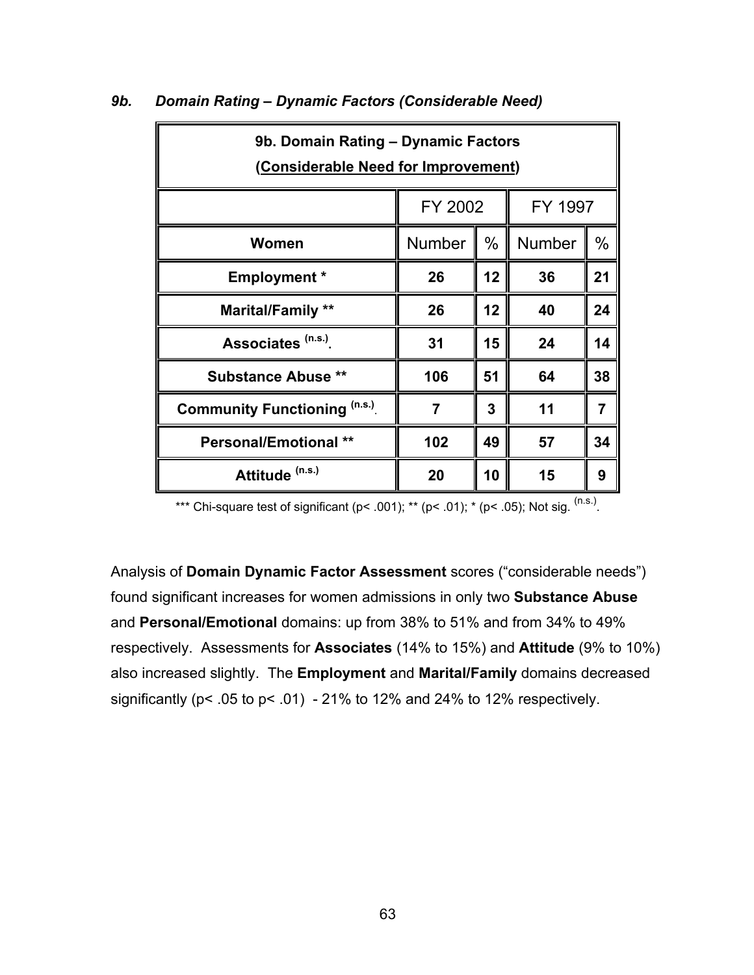| 9b. Domain Rating - Dynamic Factors<br>(Considerable Need for Improvement) |               |      |         |                |  |
|----------------------------------------------------------------------------|---------------|------|---------|----------------|--|
|                                                                            | FY 2002       |      | FY 1997 |                |  |
| Women                                                                      | <b>Number</b> | $\%$ | Number  | $\frac{0}{0}$  |  |
| <b>Employment</b> *                                                        | 26            | 12   | 36      | 21             |  |
| <b>Marital/Family **</b>                                                   | 26            | 12   | 40      | 24             |  |
| Associates (n.s.)                                                          | 31            | 15   | 24      | 14             |  |
| <b>Substance Abuse **</b>                                                  | 106           | 51   | 64      | 38             |  |
| <b>Community Functioning (n.s.)</b>                                        |               | 3    | 11      | $\overline{7}$ |  |
| <b>Personal/Emotional **</b>                                               | 102           | 49   | 57      | 34             |  |
| Attitude <sup>(n.s.)</sup>                                                 | 20            | 10   | 15      | 9              |  |

#### *9b. Domain Rating – Dynamic Factors (Considerable Need)*

\*\*\* Chi-square test of significant (p< .001); \*\* (p< .01); \* (p< .05); Not sig.  $^{(n.s.)}$ .

Analysis of **Domain Dynamic Factor Assessment** scores ("considerable needs") found significant increases for women admissions in only two **Substance Abuse** and **Personal/Emotional** domains: up from 38% to 51% and from 34% to 49% respectively. Assessments for **Associates** (14% to 15%) and **Attitude** (9% to 10%) also increased slightly. The **Employment** and **Marital/Family** domains decreased significantly (p< .05 to p< .01) - 21% to 12% and 24% to 12% respectively.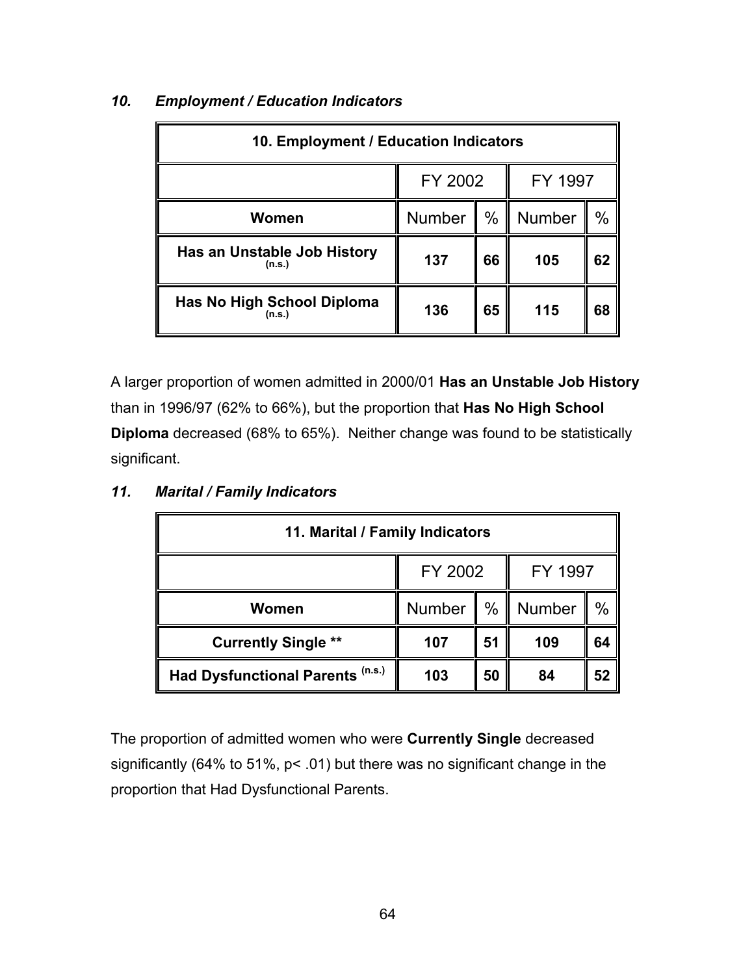| 10. Employment / Education Indicators |               |      |         |      |  |
|---------------------------------------|---------------|------|---------|------|--|
|                                       | FY 2002       |      | FY 1997 |      |  |
| Women                                 | <b>Number</b> | $\%$ | Number  | $\%$ |  |
| Has an Unstable Job History<br>(n.s.) | 137           | 66   | 105     | 62   |  |
| Has No High School Diploma<br>(n.s.)  | 136           | 65   | 115     | 68   |  |

## *10. Employment / Education Indicators*

A larger proportion of women admitted in 2000/01 **Has an Unstable Job History** than in 1996/97 (62% to 66%), but the proportion that **Has No High School Diploma** decreased (68% to 65%). Neither change was found to be statistically significant.

| 11. Marital / Family Indicators  |               |               |         |      |  |
|----------------------------------|---------------|---------------|---------|------|--|
|                                  | FY 2002       |               | FY 1997 |      |  |
| Women                            | <b>Number</b> | $\frac{0}{0}$ | Number  | $\%$ |  |
| <b>Currently Single **</b>       | 107           | 51            | 109     | 64   |  |
| Had Dysfunctional Parents (n.s.) | 103           | 50            | 84      | 52   |  |

## *11. Marital / Family Indicators*

The proportion of admitted women who were **Currently Single** decreased significantly (64% to 51%, p< .01) but there was no significant change in the proportion that Had Dysfunctional Parents.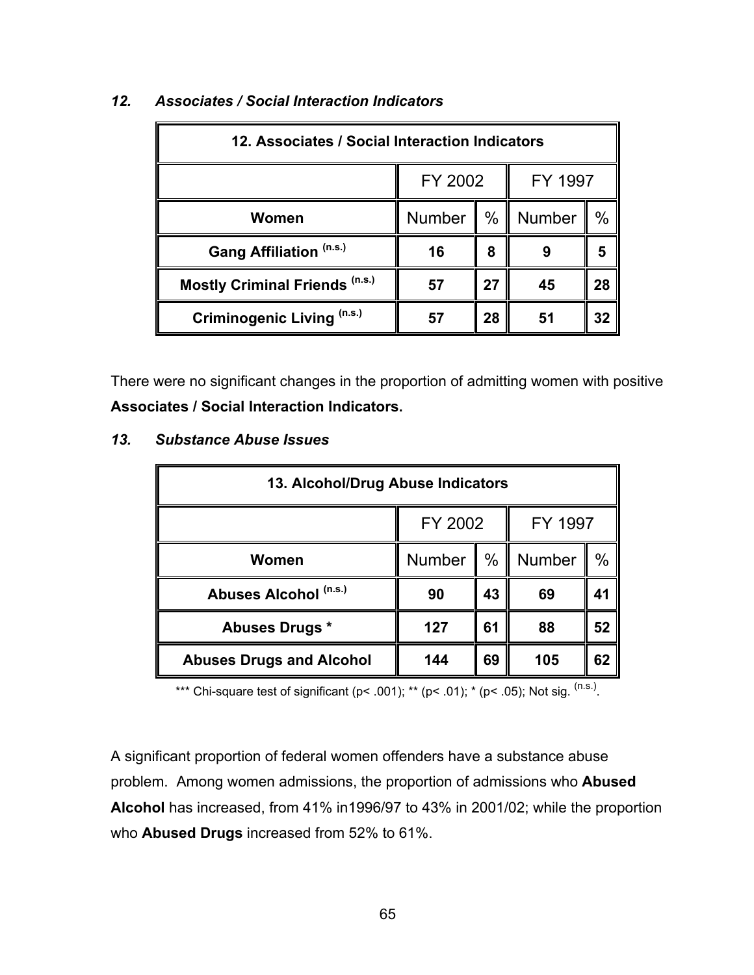| 12. Associates / Social Interaction Indicators |               |    |         |      |  |
|------------------------------------------------|---------------|----|---------|------|--|
|                                                | FY 2002       |    | FY 1997 |      |  |
| Women                                          | <b>Number</b> | %  | Number  | $\%$ |  |
| Gang Affiliation (n.s.)                        | 16            | 8  |         |      |  |
| <b>Mostly Criminal Friends (n.s.)</b>          | 57            | 27 | 45      | 28   |  |
| Criminogenic Living (n.s.)                     |               | 28 | 51      | 32   |  |

# *12. Associates / Social Interaction Indicators*

There were no significant changes in the proportion of admitting women with positive **Associates / Social Interaction Indicators.**

| 13. Alcohol/Drug Abuse Indicators |               |      |         |      |  |
|-----------------------------------|---------------|------|---------|------|--|
|                                   | FY 2002       |      | FY 1997 |      |  |
| Women                             | <b>Number</b> | $\%$ | Number  | $\%$ |  |
| Abuses Alcohol (n.s.)             | 90            | 43   | 69      | 41   |  |
| Abuses Drugs *                    | 127           | 61   | 88      | 52   |  |
| <b>Abuses Drugs and Alcohol</b>   | 144           | 69   | 105     | 62   |  |

#### *13. Substance Abuse Issues*

\*\*\* Chi-square test of significant (p< .001); \*\* (p< .01); \* (p< .05); Not sig.  $(ns.)$ .

A significant proportion of federal women offenders have a substance abuse problem. Among women admissions, the proportion of admissions who **Abused Alcohol** has increased, from 41% in1996/97 to 43% in 2001/02; while the proportion who **Abused Drugs** increased from 52% to 61%.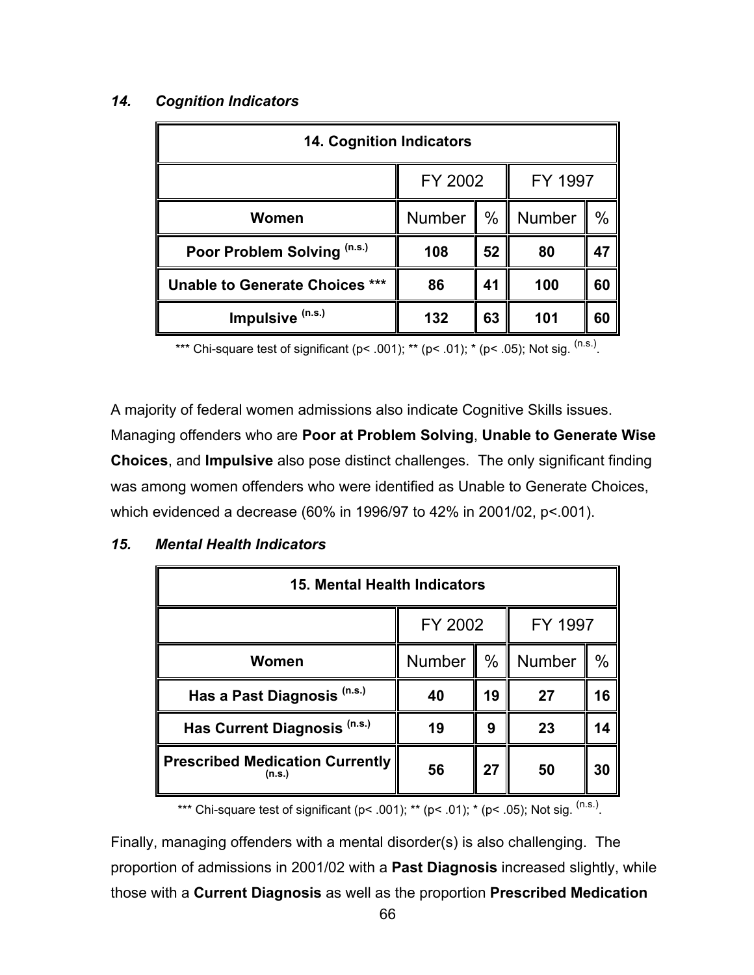## *14. Cognition Indicators*

| <b>14. Cognition Indicators</b> |         |      |         |    |  |
|---------------------------------|---------|------|---------|----|--|
|                                 | FY 2002 |      | FY 1997 |    |  |
| Women                           | Number  | $\%$ | Number  | %  |  |
| Poor Problem Solving (n.s.)     | 108     | 52   | 80      | 47 |  |
| Unable to Generate Choices ***  | 86      | 41   | 100     | 60 |  |
| Impulsive (n.s.)                | 132     | 63   | 101     | 60 |  |

\*\*\* Chi-square test of significant (p< .001); \*\* (p< .01); \* (p< .05); Not sig.  $(ns.)$ 

A majority of federal women admissions also indicate Cognitive Skills issues. Managing offenders who are **Poor at Problem Solving**, **Unable to Generate Wise Choices**, and **Impulsive** also pose distinct challenges. The only significant finding was among women offenders who were identified as Unable to Generate Choices, which evidenced a decrease (60% in 1996/97 to 42% in 2001/02, p<.001).

## *15. Mental Health Indicators*

| 15. Mental Health Indicators                     |               |      |         |      |  |
|--------------------------------------------------|---------------|------|---------|------|--|
|                                                  | FY 2002       |      | FY 1997 |      |  |
| Women                                            | <b>Number</b> | $\%$ | Number  | $\%$ |  |
| Has a Past Diagnosis (n.s.)                      | 40            | 19   | 27      | 16   |  |
| Has Current Diagnosis (n.s.)                     | 19            | 9    | 23      | 14   |  |
| <b>Prescribed Medication Currently</b><br>(n.s.) | 56            | 27   | 50      | 30   |  |

\*\*\* Chi-square test of significant (p< .001); \*\* (p< .01); \* (p< .05); Not sig.  $^{(n.s.)}$ .

Finally, managing offenders with a mental disorder(s) is also challenging. The proportion of admissions in 2001/02 with a **Past Diagnosis** increased slightly, while those with a **Current Diagnosis** as well as the proportion **Prescribed Medication**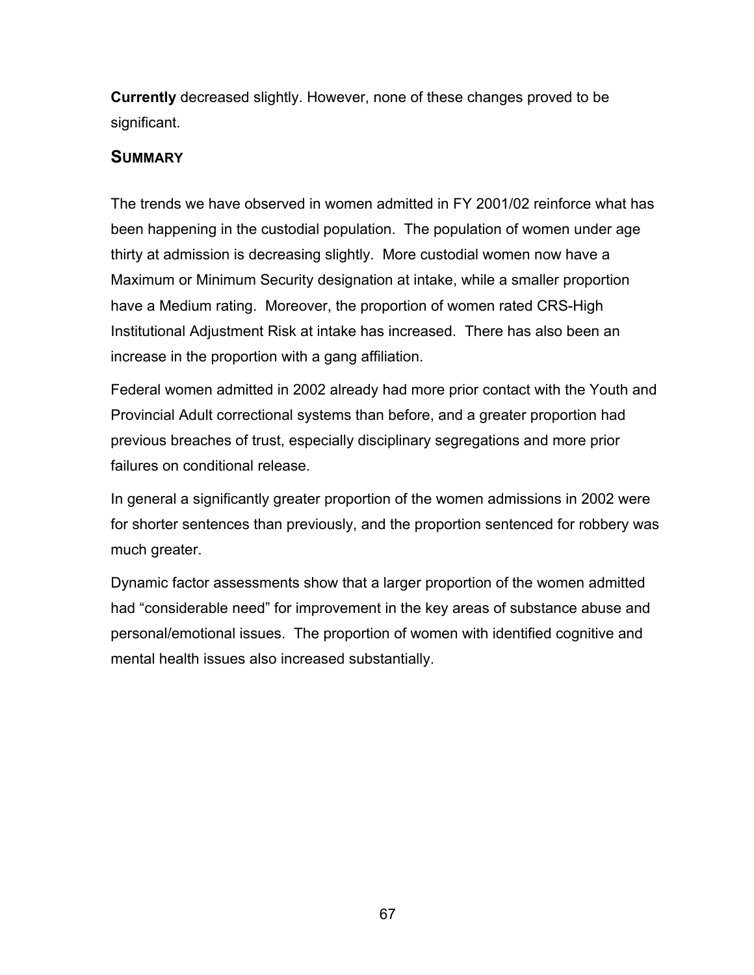**Currently** decreased slightly. However, none of these changes proved to be significant.

## **SUMMARY**

The trends we have observed in women admitted in FY 2001/02 reinforce what has been happening in the custodial population. The population of women under age thirty at admission is decreasing slightly. More custodial women now have a Maximum or Minimum Security designation at intake, while a smaller proportion have a Medium rating. Moreover, the proportion of women rated CRS-High Institutional Adjustment Risk at intake has increased. There has also been an increase in the proportion with a gang affiliation.

Federal women admitted in 2002 already had more prior contact with the Youth and Provincial Adult correctional systems than before, and a greater proportion had previous breaches of trust, especially disciplinary segregations and more prior failures on conditional release.

In general a significantly greater proportion of the women admissions in 2002 were for shorter sentences than previously, and the proportion sentenced for robbery was much greater.

Dynamic factor assessments show that a larger proportion of the women admitted had "considerable need" for improvement in the key areas of substance abuse and personal/emotional issues. The proportion of women with identified cognitive and mental health issues also increased substantially.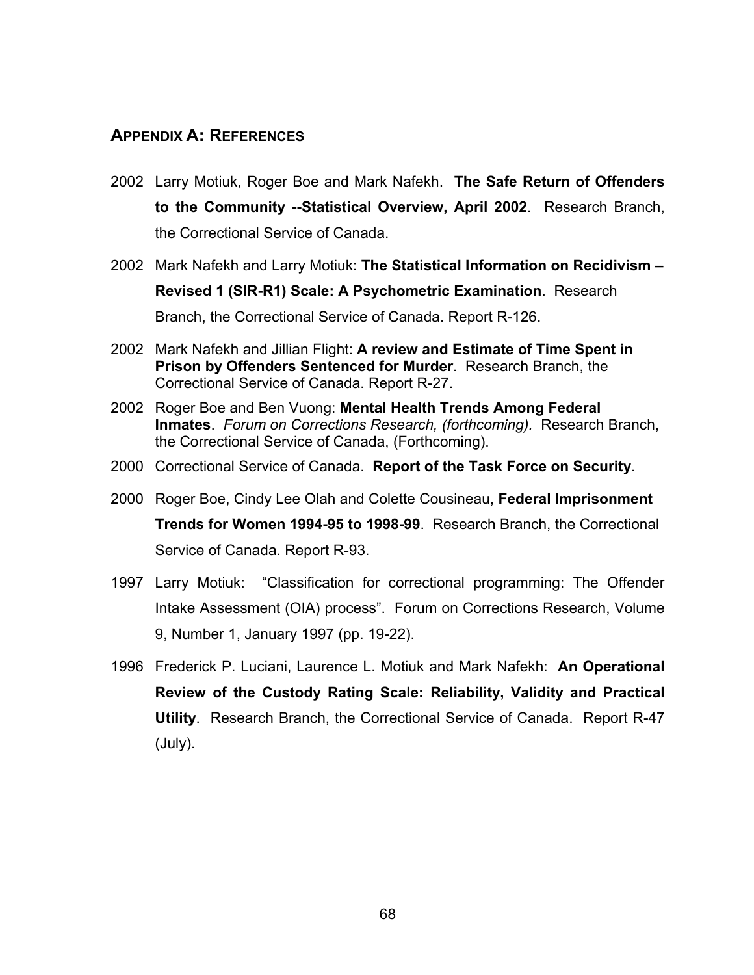## **APPENDIX A: REFERENCES**

- 2002 Larry Motiuk, Roger Boe and Mark Nafekh. **The Safe Return of Offenders to the Community --Statistical Overview, April 2002**. Research Branch, the Correctional Service of Canada.
- 2002 Mark Nafekh and Larry Motiuk: **The Statistical Information on Recidivism – Revised 1 (SIR-R1) Scale: A Psychometric Examination**. Research Branch, the Correctional Service of Canada. Report R-126.
- 2002 Mark Nafekh and Jillian Flight: **A review and Estimate of Time Spent in Prison by Offenders Sentenced for Murder**. Research Branch, the Correctional Service of Canada. Report R-27.
- 2002 Roger Boe and Ben Vuong: **Mental Health Trends Among Federal Inmates**. *Forum on Corrections Research, (forthcoming).* Research Branch, the Correctional Service of Canada, (Forthcoming).
- 2000 Correctional Service of Canada. **Report of the Task Force on Security**.
- 2000 Roger Boe, Cindy Lee Olah and Colette Cousineau, **Federal Imprisonment Trends for Women 1994-95 to 1998-99**. Research Branch, the Correctional Service of Canada. Report R-93.
- 1997 Larry Motiuk: "Classification for correctional programming: The Offender Intake Assessment (OIA) process". Forum on Corrections Research, Volume 9, Number 1, January 1997 (pp. 19-22).
- 1996 Frederick P. Luciani, Laurence L. Motiuk and Mark Nafekh: **An Operational Review of the Custody Rating Scale: Reliability, Validity and Practical Utility**. Research Branch, the Correctional Service of Canada. Report R-47 (July).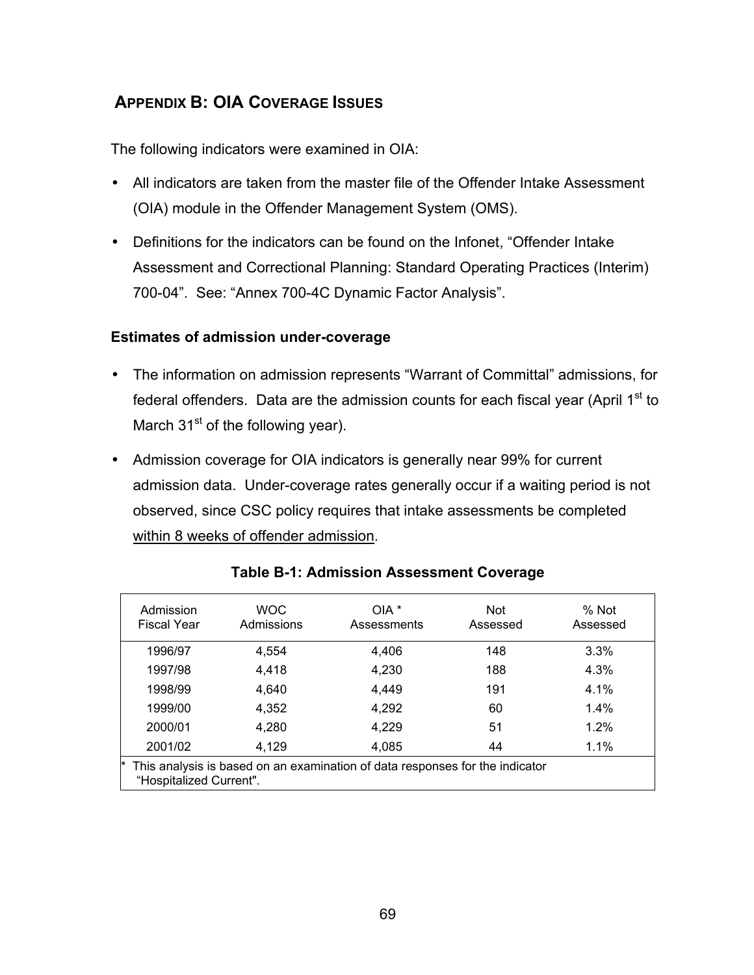# **APPENDIX B: OIA COVERAGE ISSUES**

The following indicators were examined in OIA:

- All indicators are taken from the master file of the Offender Intake Assessment (OIA) module in the Offender Management System (OMS).
- Definitions for the indicators can be found on the Infonet, "Offender Intake Assessment and Correctional Planning: Standard Operating Practices (Interim) 700-04". See: "Annex 700-4C Dynamic Factor Analysis".

### **Estimates of admission under-coverage**

- The information on admission represents "Warrant of Committal" admissions, for federal offenders. Data are the admission counts for each fiscal year (April  $1<sup>st</sup>$  to March  $31<sup>st</sup>$  of the following year).
- Admission coverage for OIA indicators is generally near 99% for current admission data. Under-coverage rates generally occur if a waiting period is not observed, since CSC policy requires that intake assessments be completed within 8 weeks of offender admission.

| Admission<br><b>Fiscal Year</b>                                                                         | <b>WOC</b><br>Admissions | $OIA*$<br>Assessments | <b>Not</b><br>Assessed | % Not<br>Assessed |  |
|---------------------------------------------------------------------------------------------------------|--------------------------|-----------------------|------------------------|-------------------|--|
| 1996/97                                                                                                 | 4,554                    | 4,406                 | 148                    | 3.3%              |  |
| 1997/98                                                                                                 | 4,418                    | 4,230                 | 188                    | 4.3%              |  |
| 1998/99                                                                                                 | 4,640                    | 4,449                 | 191                    | 4.1%              |  |
| 1999/00                                                                                                 | 4,352                    | 4,292                 | 60                     | $1.4\%$           |  |
| 2000/01                                                                                                 | 4,280                    | 4,229                 | 51                     | 1.2%              |  |
| 2001/02                                                                                                 | 4,129                    | 4,085                 | 44                     | 1.1%              |  |
| This analysis is based on an examination of data responses for the indicator<br>"Hospitalized Current". |                          |                       |                        |                   |  |

#### **Table B-1: Admission Assessment Coverage**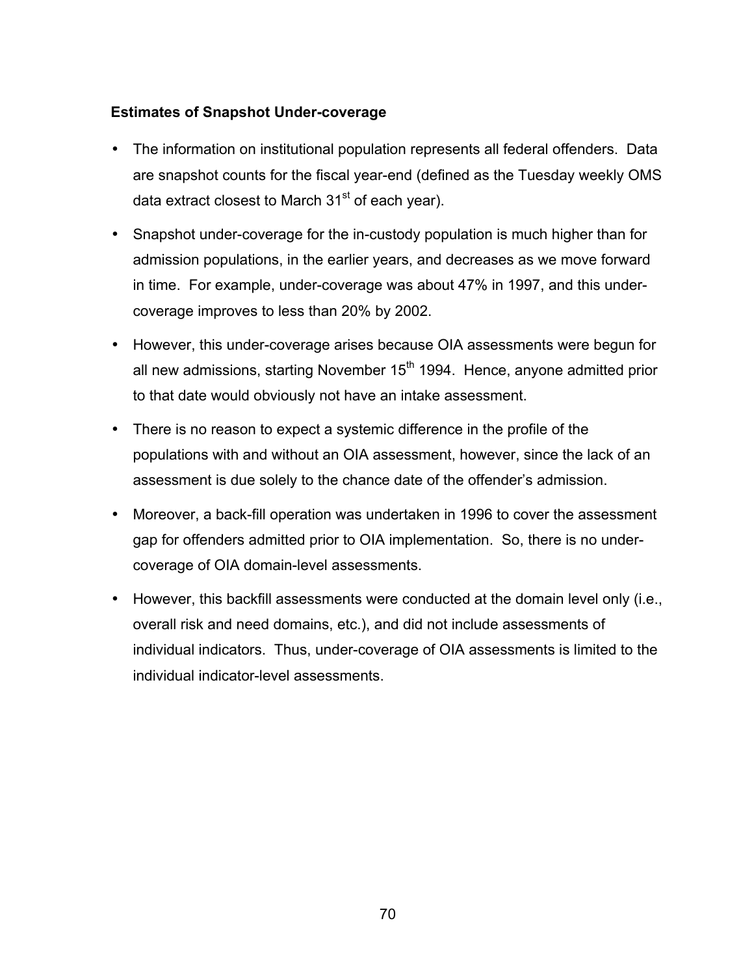### **Estimates of Snapshot Under-coverage**

- The information on institutional population represents all federal offenders. Data are snapshot counts for the fiscal year-end (defined as the Tuesday weekly OMS data extract closest to March  $31<sup>st</sup>$  of each year).
- Snapshot under-coverage for the in-custody population is much higher than for admission populations, in the earlier years, and decreases as we move forward in time. For example, under-coverage was about 47% in 1997, and this undercoverage improves to less than 20% by 2002.
- However, this under-coverage arises because OIA assessments were begun for all new admissions, starting November  $15<sup>th</sup>$  1994. Hence, anyone admitted prior to that date would obviously not have an intake assessment.
- There is no reason to expect a systemic difference in the profile of the populations with and without an OIA assessment, however, since the lack of an assessment is due solely to the chance date of the offender's admission.
- Moreover, a back-fill operation was undertaken in 1996 to cover the assessment gap for offenders admitted prior to OIA implementation. So, there is no undercoverage of OIA domain-level assessments.
- However, this backfill assessments were conducted at the domain level only (i.e., overall risk and need domains, etc.), and did not include assessments of individual indicators. Thus, under-coverage of OIA assessments is limited to the individual indicator-level assessments.